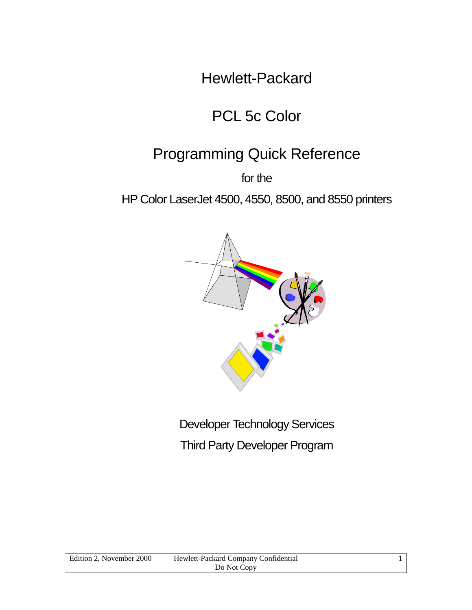Hewlett-Packard

## PCL 5c Color

## Programming Quick Reference

for the

HP Color LaserJet 4500, 4550, 8500, and 8550 printers



Developer Technology Services Third Party Developer Program

| Edition 2, November 2000 | Hewlett-Packard Company Confidential |  |
|--------------------------|--------------------------------------|--|
|                          | Do Not Copy                          |  |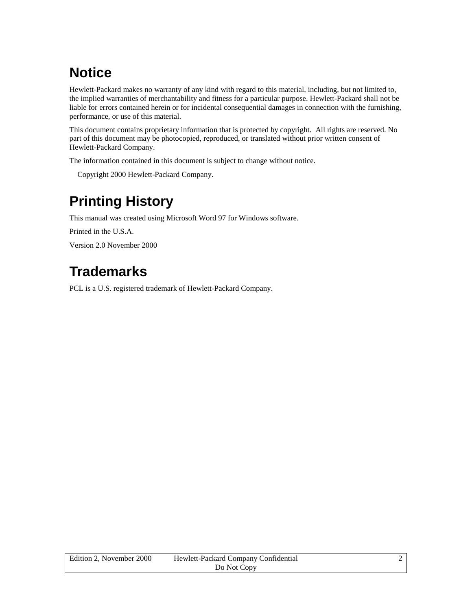## <span id="page-1-0"></span>**Notice**

Hewlett-Packard makes no warranty of any kind with regard to this material, including, but not limited to, the implied warranties of merchantability and fitness for a particular purpose. Hewlett-Packard shall not be liable for errors contained herein or for incidental consequential damages in connection with the furnishing, performance, or use of this material.

This document contains proprietary information that is protected by copyright. All rights are reserved. No part of this document may be photocopied, reproduced, or translated without prior written consent of Hewlett-Packard Company.

The information contained in this document is subject to change without notice.

Copyright 2000 Hewlett-Packard Company.

## **Printing History**

This manual was created using Microsoft Word 97 for Windows software.

Printed in the U.S.A.

Version 2.0 November 2000

## **Trademarks**

PCL is a U.S. registered trademark of Hewlett-Packard Company.

| Edition 2. November 2000 | Hewlett-Packard Company Confidential |  |
|--------------------------|--------------------------------------|--|
|                          | Do Not Copy                          |  |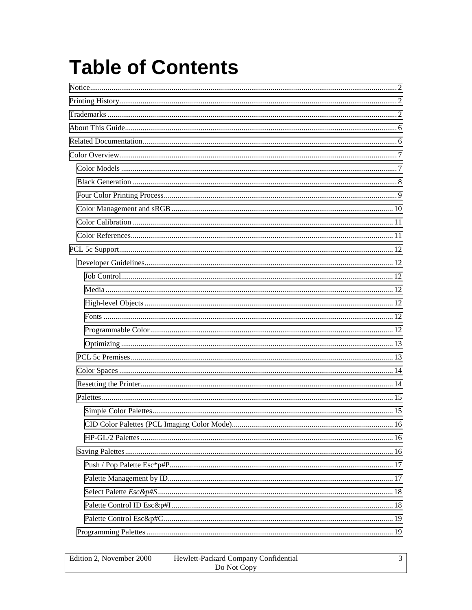# **Table of Contents**

| Edition 2. November 2000 | Hewlett-Packard Company Confidential |  |
|--------------------------|--------------------------------------|--|
|                          | Do Not Copy                          |  |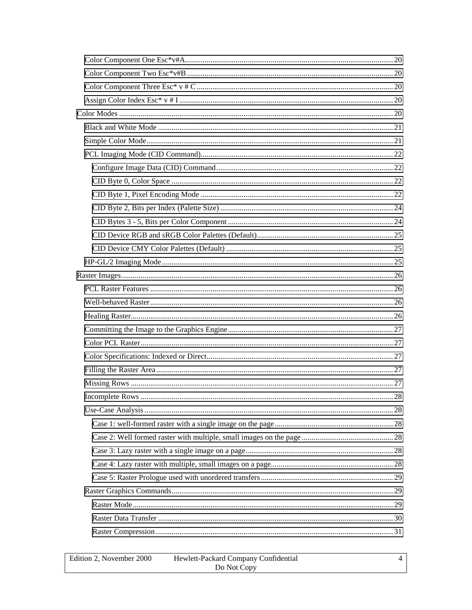| Edition 2. November 2000 | Hewlett-Packard Company Confidential |  |
|--------------------------|--------------------------------------|--|
|                          | Do Not Copy                          |  |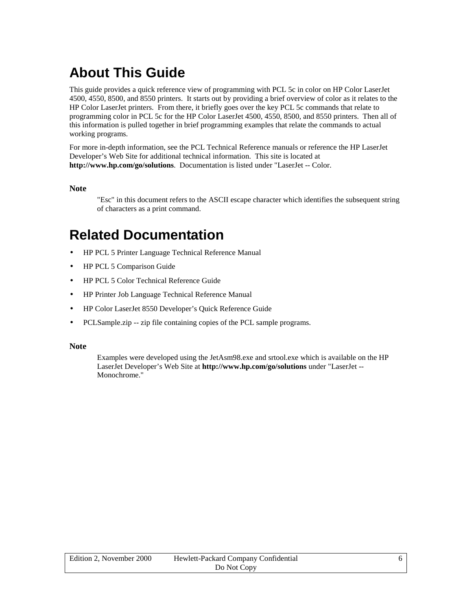## <span id="page-5-0"></span>**About This Guide**

This guide provides a quick reference view of programming with PCL 5c in color on HP Color LaserJet 4500, 4550, 8500, and 8550 printers. It starts out by providing a brief overview of color as it relates to the HP Color LaserJet printers. From there, it briefly goes over the key PCL 5c commands that relate to programming color in PCL 5c for the HP Color LaserJet 4500, 4550, 8500, and 8550 printers. Then all of this information is pulled together in brief programming examples that relate the commands to actual working programs.

For more in-depth information, see the PCL Technical Reference manuals or reference the HP LaserJet Developer's Web Site for additional technical information. This site is located at **http://www.hp.com/go/solutions**. Documentation is listed under "LaserJet -- Color.

#### **Note**

"Esc" in this document refers to the ASCII escape character which identifies the subsequent string of characters as a print command.

## **Related Documentation**

- HP PCL 5 Printer Language Technical Reference Manual
- HP PCL 5 Comparison Guide
- HP PCL 5 Color Technical Reference Guide
- HP Printer Job Language Technical Reference Manual
- HP Color LaserJet 8550 Developer's Quick Reference Guide
- PCLSample.zip -- zip file containing copies of the PCL sample programs.

#### **Note**

Examples were developed using the JetAsm98.exe and srtool.exe which is available on the HP LaserJet Developer's Web Site at **http://www.hp.com/go/solutions** under "LaserJet -- Monochrome."

| Edition 2, November 2000 | Hewlett-Packard Company Confidential |  |
|--------------------------|--------------------------------------|--|
|                          | Do Not Copy                          |  |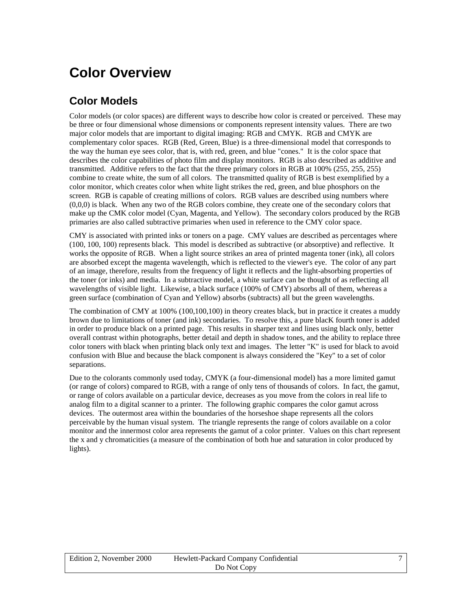## <span id="page-6-0"></span>**Color Overview**

### **Color Models**

Color models (or color spaces) are different ways to describe how color is created or perceived. These may be three or four dimensional whose dimensions or components represent intensity values. There are two major color models that are important to digital imaging: RGB and CMYK. RGB and CMYK are complementary color spaces. RGB (Red, Green, Blue) is a three-dimensional model that corresponds to the way the human eye sees color, that is, with red, green, and blue "cones." It is the color space that describes the color capabilities of photo film and display monitors. RGB is also described as additive and transmitted. Additive refers to the fact that the three primary colors in RGB at 100% (255, 255, 255) combine to create white, the sum of all colors. The transmitted quality of RGB is best exemplified by a color monitor, which creates color when white light strikes the red, green, and blue phosphors on the screen. RGB is capable of creating millions of colors. RGB values are described using numbers where (0,0,0) is black. When any two of the RGB colors combine, they create one of the secondary colors that make up the CMK color model (Cyan, Magenta, and Yellow). The secondary colors produced by the RGB primaries are also called subtractive primaries when used in reference to the CMY color space.

CMY is associated with printed inks or toners on a page. CMY values are described as percentages where (100, 100, 100) represents black. This model is described as subtractive (or absorptive) and reflective. It works the opposite of RGB. When a light source strikes an area of printed magenta toner (ink), all colors are absorbed except the magenta wavelength, which is reflected to the viewer's eye. The color of any part of an image, therefore, results from the frequency of light it reflects and the light-absorbing properties of the toner (or inks) and media. In a subtractive model, a white surface can be thought of as reflecting all wavelengths of visible light. Likewise, a black surface (100% of CMY) absorbs all of them, whereas a green surface (combination of Cyan and Yellow) absorbs (subtracts) all but the green wavelengths.

The combination of CMY at 100% (100,100,100) in theory creates black, but in practice it creates a muddy brown due to limitations of toner (and ink) secondaries. To resolve this, a pure blacK fourth toner is added in order to produce black on a printed page. This results in sharper text and lines using black only, better overall contrast within photographs, better detail and depth in shadow tones, and the ability to replace three color toners with black when printing black only text and images. The letter "K" is used for black to avoid confusion with Blue and because the black component is always considered the "Key" to a set of color separations.

Due to the colorants commonly used today, CMYK (a four-dimensional model) has a more limited gamut (or range of colors) compared to RGB, with a range of only tens of thousands of colors. In fact, the gamut, or range of colors available on a particular device, decreases as you move from the colors in real life to analog film to a digital scanner to a printer. The following graphic compares the color gamut across devices. The outermost area within the boundaries of the horseshoe shape represents all the colors perceivable by the human visual system. The triangle represents the range of colors available on a color monitor and the innermost color area represents the gamut of a color printer. Values on this chart represent the x and y chromaticities (a measure of the combination of both hue and saturation in color produced by lights).

| Edition 2, November 2000 | Hewlett-Packard Company Confidential |  |
|--------------------------|--------------------------------------|--|
|                          | Do Not Copy                          |  |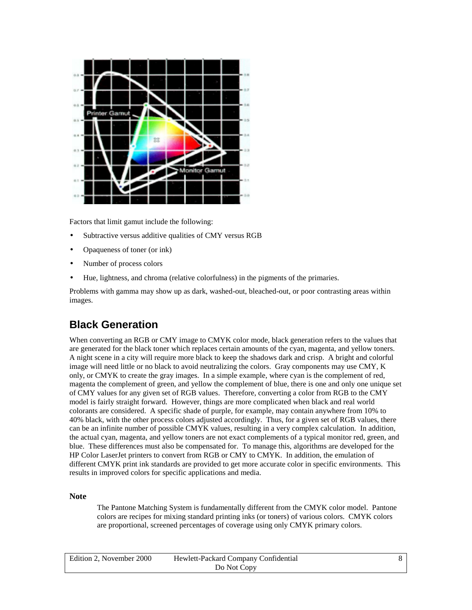<span id="page-7-0"></span>

Factors that limit gamut include the following:

- Subtractive versus additive qualities of CMY versus RGB
- Opaqueness of toner (or ink)
- Number of process colors
- Hue, lightness, and chroma (relative colorfulness) in the pigments of the primaries.

Problems with gamma may show up as dark, washed-out, bleached-out, or poor contrasting areas within images.

## **Black Generation**

When converting an RGB or CMY image to CMYK color mode, black generation refers to the values that are generated for the black toner which replaces certain amounts of the cyan, magenta, and yellow toners. A night scene in a city will require more black to keep the shadows dark and crisp. A bright and colorful image will need little or no black to avoid neutralizing the colors. Gray components may use CMY, K only, or CMYK to create the gray images. In a simple example, where cyan is the complement of red, magenta the complement of green, and yellow the complement of blue, there is one and only one unique set of CMY values for any given set of RGB values. Therefore, converting a color from RGB to the CMY model is fairly straight forward. However, things are more complicated when black and real world colorants are considered. A specific shade of purple, for example, may contain anywhere from 10% to 40% black, with the other process colors adjusted accordingly. Thus, for a given set of RGB values, there can be an infinite number of possible CMYK values, resulting in a very complex calculation. In addition, the actual cyan, magenta, and yellow toners are not exact complements of a typical monitor red, green, and blue. These differences must also be compensated for. To manage this, algorithms are developed for the HP Color LaserJet printers to convert from RGB or CMY to CMYK. In addition, the emulation of different CMYK print ink standards are provided to get more accurate color in specific environments. This results in improved colors for specific applications and media.

#### **Note**

The Pantone Matching System is fundamentally different from the CMYK color model. Pantone colors are recipes for mixing standard printing inks (or toners) of various colors. CMYK colors are proportional, screened percentages of coverage using only CMYK primary colors.

| Edition 2. November 2000 | Hewlett-Packard Company Confidential |  |
|--------------------------|--------------------------------------|--|
|                          | Do Not Copy                          |  |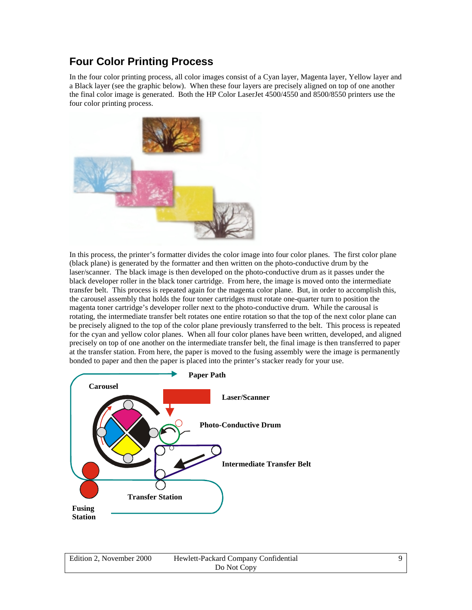### <span id="page-8-0"></span>**Four Color Printing Process**

In the four color printing process, all color images consist of a Cyan layer, Magenta layer, Yellow layer and a Black layer (see the graphic below). When these four layers are precisely aligned on top of one another the final color image is generated. Both the HP Color LaserJet 4500/4550 and 8500/8550 printers use the four color printing process.



In this process, the printer's formatter divides the color image into four color planes. The first color plane (black plane) is generated by the formatter and then written on the photo-conductive drum by the laser/scanner. The black image is then developed on the photo-conductive drum as it passes under the black developer roller in the black toner cartridge. From here, the image is moved onto the intermediate transfer belt. This process is repeated again for the magenta color plane. But, in order to accomplish this, the carousel assembly that holds the four toner cartridges must rotate one-quarter turn to position the magenta toner cartridge's developer roller next to the photo-conductive drum. While the carousal is rotating, the intermediate transfer belt rotates one entire rotation so that the top of the next color plane can be precisely aligned to the top of the color plane previously transferred to the belt. This process is repeated for the cyan and yellow color planes. When all four color planes have been written, developed, and aligned precisely on top of one another on the intermediate transfer belt, the final image is then transferred to paper at the transfer station. From here, the paper is moved to the fusing assembly were the image is permanently bonded to paper and then the paper is placed into the printer's stacker ready for your use.



| Edition 2. November 2000 | Hewlett-Packard Company Confidential |  |
|--------------------------|--------------------------------------|--|
|                          | Do Not Copy                          |  |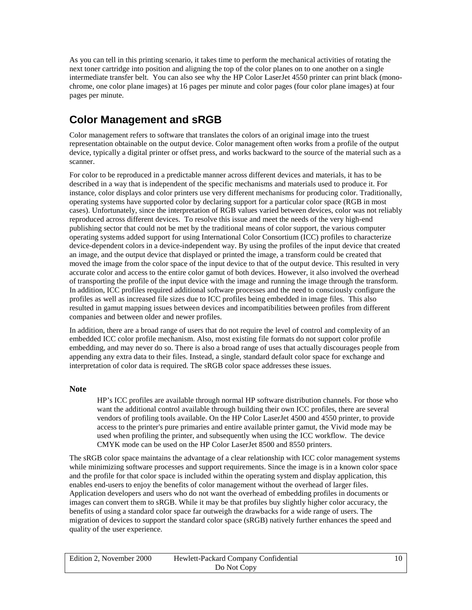<span id="page-9-0"></span>As you can tell in this printing scenario, it takes time to perform the mechanical activities of rotating the next toner cartridge into position and aligning the top of the color planes on to one another on a single intermediate transfer belt. You can also see why the HP Color LaserJet 4550 printer can print black (monochrome, one color plane images) at 16 pages per minute and color pages (four color plane images) at four pages per minute.

## **Color Management and sRGB**

Color management refers to software that translates the colors of an original image into the truest representation obtainable on the output device. Color management often works from a profile of the output device, typically a digital printer or offset press, and works backward to the source of the material such as a scanner.

For color to be reproduced in a predictable manner across different devices and materials, it has to be described in a way that is independent of the specific mechanisms and materials used to produce it. For instance, color displays and color printers use very different mechanisms for producing color. Traditionally, operating systems have supported color by declaring support for a particular color space (RGB in most cases). Unfortunately, since the interpretation of RGB values varied between devices, color was not reliably reproduced across different devices. To resolve this issue and meet the needs of the very high-end publishing sector that could not be met by the traditional means of color support, the various computer operating systems added support for using International Color Consortium (ICC) profiles to characterize device-dependent colors in a device-independent way. By using the profiles of the input device that created an image, and the output device that displayed or printed the image, a transform could be created that moved the image from the color space of the input device to that of the output device. This resulted in very accurate color and access to the entire color gamut of both devices. However, it also involved the overhead of transporting the profile of the input device with the image and running the image through the transform. In addition, ICC profiles required additional software processes and the need to consciously configure the profiles as well as increased file sizes due to ICC profiles being embedded in image files. This also resulted in gamut mapping issues between devices and incompatibilities between profiles from different companies and between older and newer profiles.

In addition, there are a broad range of users that do not require the level of control and complexity of an embedded ICC color profile mechanism. Also, most existing file formats do not support color profile embedding, and may never do so. There is also a broad range of uses that actually discourages people from appending any extra data to their files. Instead, a single, standard default color space for exchange and interpretation of color data is required. The sRGB color space addresses these issues.

#### **Note**

HP's ICC profiles are available through normal HP software distribution channels. For those who want the additional control available through building their own ICC profiles, there are several vendors of profiling tools available. On the HP Color LaserJet 4500 and 4550 printer, to provide access to the printer's pure primaries and entire available printer gamut, the Vivid mode may be used when profiling the printer, and subsequently when using the ICC workflow. The device CMYK mode can be used on the HP Color LaserJet 8500 and 8550 printers.

The sRGB color space maintains the advantage of a clear relationship with ICC color management systems while minimizing software processes and support requirements. Since the image is in a known color space and the profile for that color space is included within the operating system and display application, this enables end-users to enjoy the benefits of color management without the overhead of larger files. Application developers and users who do not want the overhead of embedding profiles in documents or images can convert them to sRGB. While it may be that profiles buy slightly higher color accuracy, the benefits of using a standard color space far outweigh the drawbacks for a wide range of users. The migration of devices to support the standard color space (sRGB) natively further enhances the speed and quality of the user experience.

| Edition 2, November 2000 | Hewlett-Packard Company Confidential |  |
|--------------------------|--------------------------------------|--|
|                          | Do Not Copy                          |  |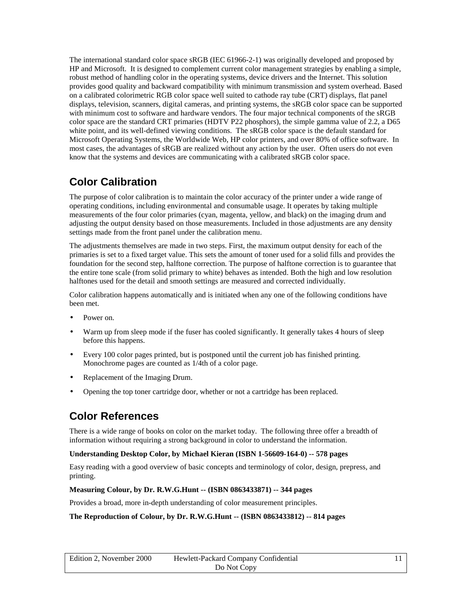<span id="page-10-0"></span>The international standard color space sRGB (IEC 61966-2-1) was originally developed and proposed by HP and Microsoft. It is designed to complement current color management strategies by enabling a simple, robust method of handling color in the operating systems, device drivers and the Internet. This solution provides good quality and backward compatibility with minimum transmission and system overhead. Based on a calibrated colorimetric RGB color space well suited to cathode ray tube (CRT) displays, flat panel displays, television, scanners, digital cameras, and printing systems, the sRGB color space can be supported with minimum cost to software and hardware vendors. The four major technical components of the sRGB color space are the standard CRT primaries (HDTV P22 phosphors), the simple gamma value of 2.2, a D65 white point, and its well-defined viewing conditions. The sRGB color space is the default standard for Microsoft Operating Systems, the Worldwide Web, HP color printers, and over 80% of office software. In most cases, the advantages of sRGB are realized without any action by the user. Often users do not even know that the systems and devices are communicating with a calibrated sRGB color space.

## **Color Calibration**

The purpose of color calibration is to maintain the color accuracy of the printer under a wide range of operating conditions, including environmental and consumable usage. It operates by taking multiple measurements of the four color primaries (cyan, magenta, yellow, and black) on the imaging drum and adjusting the output density based on those measurements. Included in those adjustments are any density settings made from the front panel under the calibration menu.

The adjustments themselves are made in two steps. First, the maximum output density for each of the primaries is set to a fixed target value. This sets the amount of toner used for a solid fills and provides the foundation for the second step, halftone correction. The purpose of halftone correction is to guarantee that the entire tone scale (from solid primary to white) behaves as intended. Both the high and low resolution halftones used for the detail and smooth settings are measured and corrected individually.

Color calibration happens automatically and is initiated when any one of the following conditions have been met.

- Power on.
- Warm up from sleep mode if the fuser has cooled significantly. It generally takes 4 hours of sleep before this happens.
- Every 100 color pages printed, but is postponed until the current job has finished printing. Monochrome pages are counted as 1/4th of a color page.
- Replacement of the Imaging Drum.
- Opening the top toner cartridge door, whether or not a cartridge has been replaced.

## **Color References**

There is a wide range of books on color on the market today. The following three offer a breadth of information without requiring a strong background in color to understand the information.

#### **Understanding Desktop Color, by Michael Kieran (ISBN 1-56609-164-0) -- 578 pages**

Easy reading with a good overview of basic concepts and terminology of color, design, prepress, and printing.

#### **Measuring Colour, by Dr. R.W.G.Hunt -- (ISBN 0863433871) -- 344 pages**

Provides a broad, more in-depth understanding of color measurement principles.

#### **The Reproduction of Colour, by Dr. R.W.G.Hunt -- (ISBN 0863433812) -- 814 pages**

| Edition 2, November 2000 | Hewlett-Packard Company Confidential |  |
|--------------------------|--------------------------------------|--|
| Do Not Copy              |                                      |  |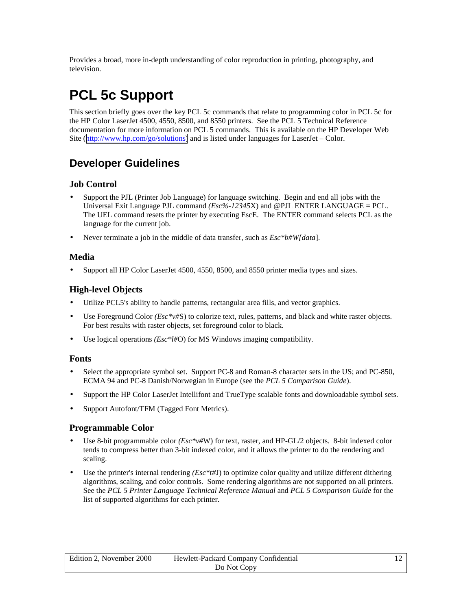<span id="page-11-0"></span>Provides a broad, more in-depth understanding of color reproduction in printing, photography, and television.

## **PCL 5c Support**

This section briefly goes over the key PCL 5c commands that relate to programming color in PCL 5c for the HP Color LaserJet 4500, 4550, 8500, and 8550 printers. See the PCL 5 Technical Reference documentation for more information on PCL 5 commands. This is available on the HP Developer Web Site ([http://www.hp.com/go/solutions\)](http://www.hp.com/go/solutions) and is listed under languages for LaserJet – Color.

## **Developer Guidelines**

#### **Job Control**

- Support the PJL (Printer Job Language) for language switching. Begin and end all jobs with the Universal Exit Language PJL command *(Esc%-12345*X) and @PJL ENTER LANGUAGE = PCL. The UEL command resets the printer by executing EscE. The ENTER command selects PCL as the language for the current job.
- Never terminate a job in the middle of data transfer, such as *Esc\*b#W[data*].

#### **Media**

• Support all HP Color LaserJet 4500, 4550, 8500, and 8550 printer media types and sizes.

#### **High-level Objects**

- Utilize PCL5's ability to handle patterns, rectangular area fills, and vector graphics.
- Use Foreground Color *(Esc\*v#*S) to colorize text, rules, patterns, and black and white raster objects. For best results with raster objects, set foreground color to black.
- Use logical operations *(Esc\*l#*O) for MS Windows imaging compatibility.

#### **Fonts**

- Select the appropriate symbol set. Support PC-8 and Roman-8 character sets in the US; and PC-850, ECMA 94 and PC-8 Danish/Norwegian in Europe (see the *PCL 5 Comparison Guide*).
- Support the HP Color LaserJet Intellifont and TrueType scalable fonts and downloadable symbol sets.
- Support Autofont/TFM (Tagged Font Metrics).

#### **Programmable Color**

- Use 8-bit programmable color *(Esc\*v#*W) for text, raster, and HP-GL/2 objects. 8-bit indexed color tends to compress better than 3-bit indexed color, and it allows the printer to do the rendering and scaling.
- Use the printer's internal rendering *(Esc\*t#*J) to optimize color quality and utilize different dithering algorithms, scaling, and color controls. Some rendering algorithms are not supported on all printers. See the *PCL 5 Printer Language Technical Reference Manual* and *PCL 5 Comparison Guide* for the list of supported algorithms for each printer.

| Edition 2, November 2000 | Hewlett-Packard Company Confidential |  |
|--------------------------|--------------------------------------|--|
|                          | Do Not Copy                          |  |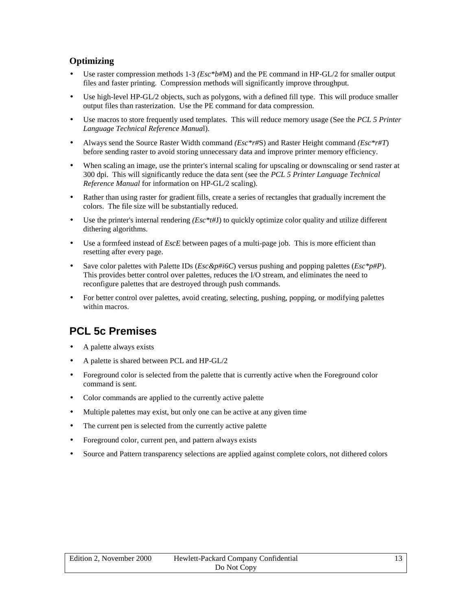#### <span id="page-12-0"></span>**Optimizing**

- Use raster compression methods 1-3 *(Esc\*b#*M) and the PE command in HP-GL/2 for smaller output files and faster printing. Compression methods will significantly improve throughput.
- Use high-level HP-GL/2 objects, such as polygons, with a defined fill type. This will produce smaller output files than rasterization. Use the PE command for data compression.
- Use macros to store frequently used templates. This will reduce memory usage (See the *PCL 5 Printer Language Technical Reference Manua*l).
- Always send the Source Raster Width command *(Esc\*r#*S) and Raster Height command *(Esc\*r#T*) before sending raster to avoid storing unnecessary data and improve printer memory efficiency.
- When scaling an image, use the printer's internal scaling for upscaling or downscaling or send raster at 300 dpi. This will significantly reduce the data sent (see the *PCL 5 Printer Language Technical Reference Manual* for information on HP-GL/2 scaling).
- Rather than using raster for gradient fills, create a series of rectangles that gradually increment the colors. The file size will be substantially reduced.
- Use the printer's internal rendering *(Esc\*t#J)* to quickly optimize color quality and utilize different dithering algorithms.
- Use a formfeed instead of *EscE* between pages of a multi-page job. This is more efficient than resetting after every page.
- Save color palettes with Palette IDs (*Esc&p#i6C*) versus pushing and popping palettes (*Esc\*p#P*). This provides better control over palettes, reduces the I/O stream, and eliminates the need to reconfigure palettes that are destroyed through push commands.
- For better control over palettes, avoid creating, selecting, pushing, popping, or modifying palettes within macros.

## **PCL 5c Premises**

- A palette always exists
- A palette is shared between PCL and HP-GL/2
- Foreground color is selected from the palette that is currently active when the Foreground color command is sent.
- Color commands are applied to the currently active palette
- Multiple palettes may exist, but only one can be active at any given time
- The current pen is selected from the currently active palette
- Foreground color, current pen, and pattern always exists
- Source and Pattern transparency selections are applied against complete colors, not dithered colors

| Edition 2, November 2000 | Hewlett-Packard Company Confidential |  |
|--------------------------|--------------------------------------|--|
|                          | Do Not Copy                          |  |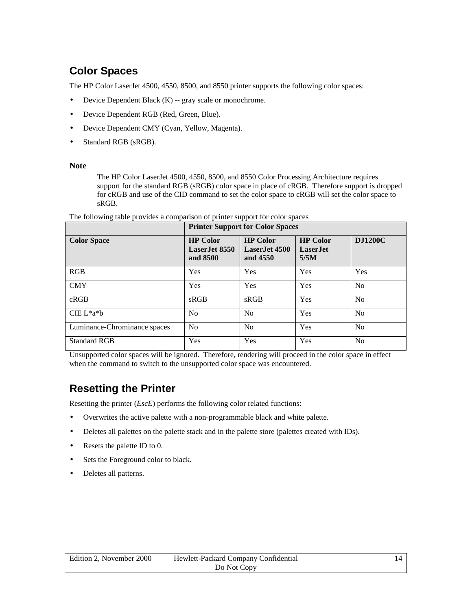## <span id="page-13-0"></span>**Color Spaces**

The HP Color LaserJet 4500, 4550, 8500, and 8550 printer supports the following color spaces:

- Device Dependent Black (K) -- gray scale or monochrome.
- Device Dependent RGB (Red, Green, Blue).
- Device Dependent CMY (Cyan, Yellow, Magenta).
- Standard RGB (sRGB).

#### **Note**

The HP Color LaserJet 4500, 4550, 8500, and 8550 Color Processing Architecture requires support for the standard RGB (sRGB) color space in place of cRGB. Therefore support is dropped for cRGB and use of the CID command to set the color space to cRGB will set the color space to sRGB.

|                              | <b>Printer Support for Color Spaces</b>        |                                                |                                               |                |
|------------------------------|------------------------------------------------|------------------------------------------------|-----------------------------------------------|----------------|
| <b>Color Space</b>           | <b>HP Color</b><br>Laser. Iet 8550<br>and 8500 | <b>HP</b> Color<br>Laser. Iet 4500<br>and 4550 | <b>HP Color</b><br>Laser. <b>I</b> et<br>5/5M | <b>DJ1200C</b> |
| RGB                          | Yes                                            | Yes                                            | Yes                                           | Yes            |
| <b>CMY</b>                   | Yes                                            | Yes                                            | Yes                                           | N <sub>0</sub> |
| cRGB                         | sRGB                                           | sRGB                                           | Yes                                           | N <sub>0</sub> |
| $CIE L^*a^*b$                | No                                             | No                                             | Yes                                           | N <sub>0</sub> |
| Luminance-Chrominance spaces | N <sub>o</sub>                                 | No                                             | Yes                                           | N <sub>0</sub> |
| <b>Standard RGB</b>          | Yes                                            | Yes                                            | Yes                                           | N <sub>0</sub> |

The following table provides a comparison of printer support for color spaces

Unsupported color spaces will be ignored. Therefore, rendering will proceed in the color space in effect when the command to switch to the unsupported color space was encountered.

### **Resetting the Printer**

Resetting the printer (*EscE*) performs the following color related functions:

- Overwrites the active palette with a non-programmable black and white palette.
- Deletes all palettes on the palette stack and in the palette store (palettes created with IDs).
- Resets the palette ID to 0.
- Sets the Foreground color to black.
- Deletes all patterns.

| Edition 2. November 2000 | Hewlett-Packard Company Confidential |  |
|--------------------------|--------------------------------------|--|
|                          | Do Not Copy                          |  |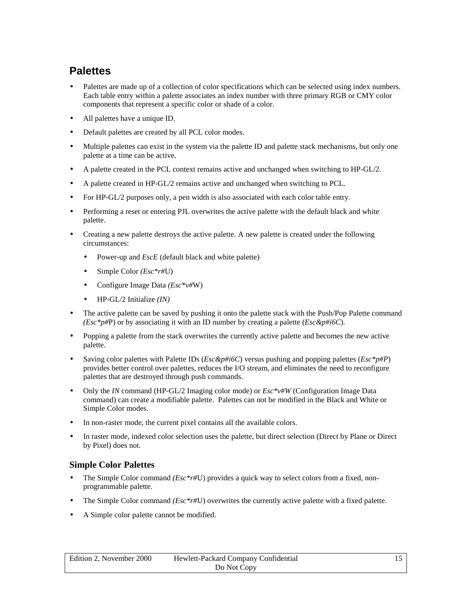## <span id="page-14-0"></span>**Palettes**

- Palettes are made up of a collection of color specifications which can be selected using index numbers. Each table entry within a palette associates an index number with three primary RGB or CMY color components that represent a specific color or shade of a color.
- All palettes have a unique ID.
- Default palettes are created by all PCL color modes.
- Multiple palettes can exist in the system via the palette ID and palette stack mechanisms, but only one palette at a time can be active.
- A palette created in the PCL context remains active and unchanged when switching to HP-GL/2*.*
- A palette created in HP-GL/2 remains active and unchanged when switching to PCL.
- For HP-GL/2 purposes only, a pen width is also associated with each color table entry.
- Performing a reset or entering PJL overwrites the active palette with the default black and white palette.
- Creating a new palette destroys the active palette. A new palette is created under the following circumstances:
	- Power-up and *EscE* (default black and white palette)
	- Simple Color *(Esc\*r#*U)
	- Configure Image Data *(Esc\*v#*W)
	- HP-GL/2 Initialize *(IN)*
- The active palette can be saved by pushing it onto the palette stack with the Push/Pop Palette command *(Esc\*p#*P) or by associating it with an ID number by creating a palette (*Esc&p#i6C*).
- Popping a palette from the stack overwrites the currently active palette and becomes the new active palette.
- Saving color palettes with Palette IDs (*Esc&p#i6C*) versus pushing and popping palettes (*Esc\*p#P*) provides better control over palettes, reduces the I/O stream, and eliminates the need to reconfigure palettes that are destroyed through push commands.
- Only the *IN* command (HP-GL/2 Imaging color mode) or  $Esc^*v\#W$  (Configuration Image Data command) can create a modifiable palette. Palettes can not be modified in the Black and White or Simple Color modes.
- In non-raster mode, the current pixel contains all the available colors.
- In raster mode, indexed color selection uses the palette, but direct selection (Direct by Plane or Direct by Pixel) does not.

#### **Simple Color Palettes**

- The Simple Color command *(Esc\*r#*U) provides a quick way to select colors from a fixed, nonprogrammable palette.
- The Simple Color command *(Esc\*r#*U) overwrites the currently active palette with a fixed palette.
- A Simple color palette cannot be modified.

| Edition 2, November 2000 | Hewlett-Packard Company Confidential |  |
|--------------------------|--------------------------------------|--|
|                          | Do Not Copy                          |  |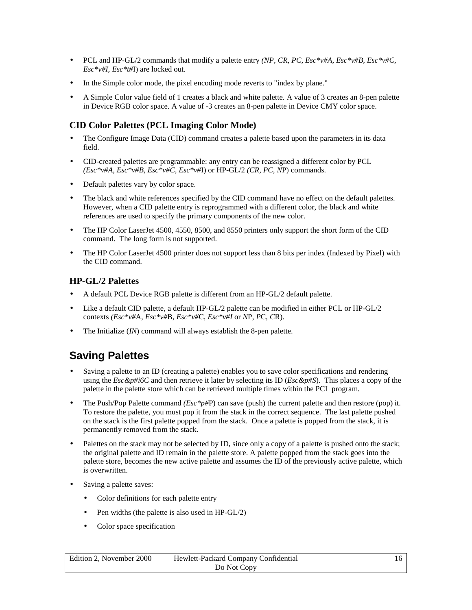- <span id="page-15-0"></span>• PCL and HP-GL/2 commands that modify a palette entry *(NP, CR, PC, Esc\*v#A, Esc\*v#B, Esc\*v#C, Esc\*v#I, Esc\*t#*I) are locked out.
- In the Simple color mode, the pixel encoding mode reverts to "index by plane."
- A Simple Color value field of 1 creates a black and white palette. A value of 3 creates an 8-pen palette in Device RGB color space. A value of -3 creates an 8-pen palette in Device CMY color space.

#### **CID Color Palettes (PCL Imaging Color Mode)**

- The Configure Image Data (CID) command creates a palette based upon the parameters in its data field.
- CID-created palettes are programmable: any entry can be reassigned a different color by PCL *(Esc\*v#A, Esc\*v#B, Esc\*v#C, Esc\*v#*I) or HP-GL/2 *(CR, PC, N*P) commands.
- Default palettes vary by color space.
- The black and white references specified by the CID command have no effect on the default palettes. However, when a CID palette entry is reprogrammed with a different color, the black and white references are used to specify the primary components of the new color.
- The HP Color LaserJet 4500, 4550, 8500, and 8550 printers only support the short form of the CID command. The long form is not supported.
- The HP Color LaserJet 4500 printer does not support less than 8 bits per index (Indexed by Pixel) with the CID command.

#### **HP-GL/2 Palettes**

- A default PCL Device RGB palette is different from an HP-GL/2 default palette.
- Like a default CID palette, a default HP-GL/2 palette can be modified in either PCL or HP-GL/2 contexts *(Esc\*v#*A, *Esc\*v#*B, *Esc\*v#*C, *Esc\*v#I* or *N*P, *P*C, *C*R).
- The Initialize *(IN)* command will always establish the 8-pen palette.

## **Saving Palettes**

- Saving a palette to an ID (creating a palette) enables you to save color specifications and rendering using the *Esc&p#i6C* and then retrieve it later by selecting its ID (*Esc&p#S*). This places a copy of the palette in the palette store which can be retrieved multiple times within the PCL program.
- The Push/Pop Palette command *(Esc\*p#P)* can save (push) the current palette and then restore (pop) it. To restore the palette, you must pop it from the stack in the correct sequence. The last palette pushed on the stack is the first palette popped from the stack. Once a palette is popped from the stack, it is permanently removed from the stack.
- Palettes on the stack may not be selected by ID, since only a copy of a palette is pushed onto the stack; the original palette and ID remain in the palette store. A palette popped from the stack goes into the palette store, becomes the new active palette and assumes the ID of the previously active palette, which is overwritten.
- Saving a palette saves:
	- Color definitions for each palette entry
	- Pen widths (the palette is also used in HP-GL/2)
	- Color space specification

| Edition 2, November 2000 | Hewlett-Packard Company Confidential |  |
|--------------------------|--------------------------------------|--|
|                          | Do Not Copy                          |  |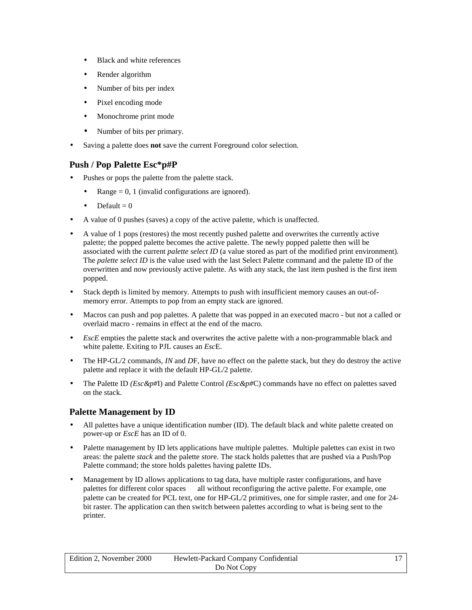- <span id="page-16-0"></span>• Black and white references
- Render algorithm
- Number of bits per index
- Pixel encoding mode
- Monochrome print mode
- Number of bits per primary.
- Saving a palette does **not** save the current Foreground color selection.

#### **Push / Pop Palette Esc\*p#P**

- Pushes or pops the palette from the palette stack.
	- Range  $= 0$ , 1 (invalid configurations are ignored).
	- Default  $= 0$
- A value of 0 pushes (saves) a copy of the active palette, which is unaffected.
- A value of 1 pops (restores) the most recently pushed palette and overwrites the currently active palette; the popped palette becomes the active palette. The newly popped palette then will be associated with the current *palette select ID* (a value stored as part of the modified print environment). The *palette select ID* is the value used with the last Select Palette command and the palette ID of the overwritten and now previously active palette. As with any stack, the last item pushed is the first item popped.
- Stack depth is limited by memory. Attempts to push with insufficient memory causes an out-ofmemory error. Attempts to pop from an empty stack are ignored.
- Macros can push and pop palettes. A palette that was popped in an executed macro but not a called or overlaid macro - remains in effect at the end of the macro.
- *EscE* empties the palette stack and overwrites the active palette with a non-programmable black and white palette. Exiting to PJL causes an *Esc*E.
- The HP-GL/2 commands, *IN* and *D*F, have no effect on the palette stack, but they do destroy the active palette and replace it with the default HP-GL/2 palette.
- The Palette ID *(Esc&p#*I) and Palette Control *(Esc&p#*C) commands have no effect on palettes saved on the stack.

#### **Palette Management by ID**

- All palettes have a unique identification number (ID). The default black and white palette created on power-up or *EscE* has an ID of 0.
- Palette management by ID lets applications have multiple palettes. Multiple palettes can exist in two areas: the palette *stack* and the palette *stor*e. The stack holds palettes that are pushed via a Push/Pop Palette command; the store holds palettes having palette IDs.
- Management by ID allows applications to tag data, have multiple raster configurations, and have palettes for different color spaces — all without reconfiguring the active palette. For example, one palette can be created for PCL text, one for HP-GL/2 primitives, one for simple raster, and one for 24 bit raster. The application can then switch between palettes according to what is being sent to the printer.

| Edition 2, November 2000 | Hewlett-Packard Company Confidential |  |
|--------------------------|--------------------------------------|--|
|                          | Do Not Copy                          |  |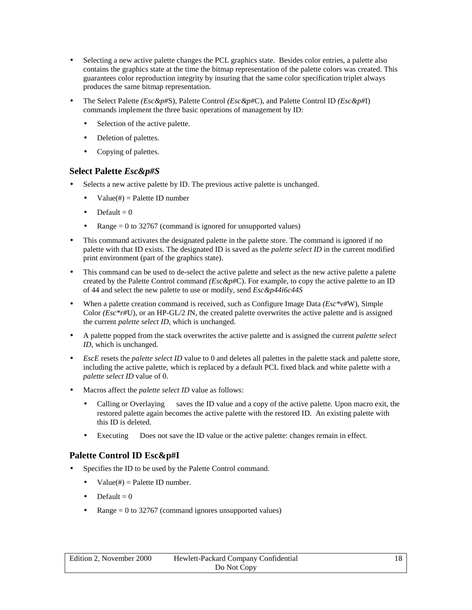- <span id="page-17-0"></span>Selecting a new active palette changes the PCL graphics state. Besides color entries, a palette also contains the graphics state at the time the bitmap representation of the palette colors was created. This guarantees color reproduction integrity by insuring that the same color specification triplet always produces the same bitmap representation.
- The Select Palette *(Esc&p#*S), Palette Control *(Esc&p#*C), and Palette Control ID *(Esc&p#*I) commands implement the three basic operations of management by ID:
	- Selection of the active palette.
	- Deletion of palettes.
	- Copying of palettes.

#### **Select Palette** *Esc&p#S*

- Selects a new active palette by ID. The previous active palette is unchanged.
	- $Value(\#) =$  Palette ID number
	- $\text{Default} = 0$
	- Range  $= 0$  to 32767 (command is ignored for unsupported values)
- This command activates the designated palette in the palette store. The command is ignored if no palette with that ID exists. The designated ID is saved as the *palette select ID* in the current modified print environment (part of the graphics state).
- This command can be used to de-select the active palette and select as the new active palette a palette created by the Palette Control command *(Esc&p#*C). For example, to copy the active palette to an ID of 44 and select the new palette to use or modify, send *Esc&p44i6c44S*
- When a palette creation command is received, such as Configure Image Data *(Esc\*v#*W), Simple Color *(Esc\*r#*U), or an HP-GL/2 *I*N, the created palette overwrites the active palette and is assigned the current *palette select ID*, which is unchanged.
- A palette popped from the stack overwrites the active palette and is assigned the current *palette select ID*, which is unchanged.
- *EscE* resets the *palette select ID* value to 0 and deletes all palettes in the palette stack and palette store, including the active palette, which is replaced by a default PCL fixed black and white palette with a *palette select ID* value of 0.
- Macros affect the *palette select ID* value as follows:
	- Calling or Overlaying saves the ID value and a copy of the active palette. Upon macro exit, the restored palette again becomes the active palette with the restored ID. An existing palette with this ID is deleted.
	- Executing Does not save the ID value or the active palette: changes remain in effect.

#### **Palette Control ID Esc&p#I**

- Specifies the ID to be used by the Palette Control command.
	- $Value(\#) =$  Palette ID number.
	- Default  $= 0$
	- Range  $= 0$  to 32767 (command ignores unsupported values)

| Edition 2, November 2000 | Hewlett-Packard Company Confidential |  |
|--------------------------|--------------------------------------|--|
|                          | Do Not Copy                          |  |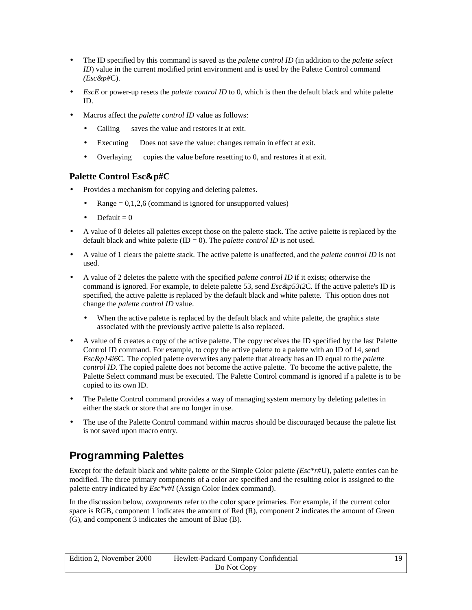- <span id="page-18-0"></span>• The ID specified by this command is saved as the *palette control ID* (in addition to the *palette select ID*) value in the current modified print environment and is used by the Palette Control command *(Esc&p#*C).
- *EscE* or power-up resets the *palette control ID* to 0, which is then the default black and white palette ID.
- Macros affect the *palette control ID* value as follows:
	- Calling  $\sim$  saves the value and restores it at exit.
	- Executing Does not save the value: changes remain in effect at exit.
	- Overlaying copies the value before resetting to 0, and restores it at exit.

#### **Palette Control Esc&p#C**

- Provides a mechanism for copying and deleting palettes.
	- $Range = 0,1,2,6$  (command is ignored for unsupported values)
	- Default  $= 0$
- A value of 0 deletes all palettes except those on the palette stack. The active palette is replaced by the default black and white palette (ID = 0). The *palette control ID* is not used.
- A value of 1 clears the palette stack. The active palette is unaffected, and the *palette control ID* is not used.
- A value of 2 deletes the palette with the specified *palette control ID* if it exists; otherwise the command is ignored. For example, to delete palette 53, send *Esc&p53i2*C. If the active palette's ID is specified, the active palette is replaced by the default black and white palette. This option does not change the *palette control ID* value.
	- When the active palette is replaced by the default black and white palette, the graphics state associated with the previously active palette is also replaced.
- A value of 6 creates a copy of the active palette. The copy receives the ID specified by the last Palette Control ID command. For example, to copy the active palette to a palette with an ID of 14, send *Esc&p14i6*C. The copied palette overwrites any palette that already has an ID equal to the *palette control ID*. The copied palette does not become the active palette. To become the active palette, the Palette Select command must be executed. The Palette Control command is ignored if a palette is to be copied to its own ID.
- The Palette Control command provides a way of managing system memory by deleting palettes in either the stack or store that are no longer in use.
- The use of the Palette Control command within macros should be discouraged because the palette list is not saved upon macro entry.

## **Programming Palettes**

Except for the default black and white palette or the Simple Color palette *(Esc\*r#*U), palette entries can be modified. The three primary components of a color are specified and the resulting color is assigned to the palette entry indicated by *Esc\*v#I* (Assign Color Index command).

In the discussion below, *components* refer to the color space primaries. For example, if the current color space is RGB, component 1 indicates the amount of Red (R), component 2 indicates the amount of Green (G), and component 3 indicates the amount of Blue (B).

| Edition 2. November 2000 | Hewlett-Packard Company Confidential |  |
|--------------------------|--------------------------------------|--|
|                          | Do Not Copy                          |  |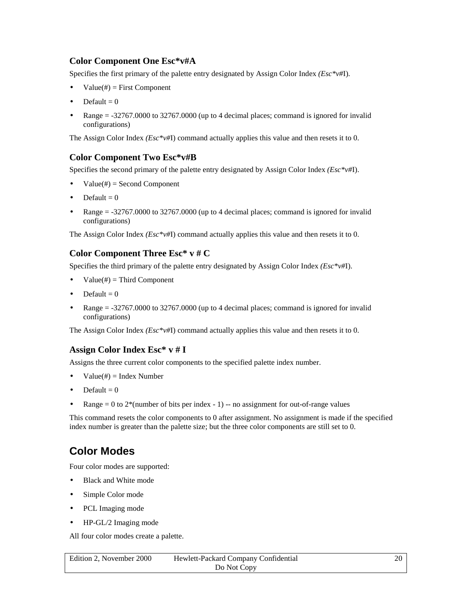#### <span id="page-19-0"></span>**Color Component One Esc\*v#A**

Specifies the first primary of the palette entry designated by Assign Color Index *(Esc\*v#*I).

- $Value(\#) = First Component$
- Default  $= 0$
- Range  $= -32767.0000$  to 32767.0000 (up to 4 decimal places; command is ignored for invalid configurations)

The Assign Color Index *(Esc\*v#*I) command actually applies this value and then resets it to 0.

#### **Color Component Two Esc\*v#B**

Specifies the second primary of the palette entry designated by Assign Color Index *(Esc\*v#*I).

- $Value(\#) = Second Component$
- Default  $= 0$
- Range = -32767.0000 to 32767.0000 (up to 4 decimal places; command is ignored for invalid configurations)

The Assign Color Index *(Esc\*v#*I) command actually applies this value and then resets it to 0.

#### **Color Component Three Esc\* v # C**

Specifies the third primary of the palette entry designated by Assign Color Index *(Esc\*v#*I).

- $Value(\#) = Third Component$
- Default  $= 0$
- Range = -32767.0000 to 32767.0000 (up to 4 decimal places; command is ignored for invalid configurations)

The Assign Color Index *(Esc\*v#*I) command actually applies this value and then resets it to 0.

#### **Assign Color Index Esc\* v # I**

Assigns the three current color components to the specified palette index number.

- $Value(\#) = Index Number$
- Default  $= 0$
- Range  $= 0$  to  $2^*$  (number of bits per index 1) -- no assignment for out-of-range values

This command resets the color components to 0 after assignment. No assignment is made if the specified index number is greater than the palette size; but the three color components are still set to 0.

### **Color Modes**

Four color modes are supported:

- Black and White mode
- Simple Color mode
- PCL Imaging mode
- HP-GL/2 Imaging mode

All four color modes create a palette.

| Edition 2. November 2000 | Hewlett-Packard Company Confidential |  |
|--------------------------|--------------------------------------|--|
|                          | Do Not Copy                          |  |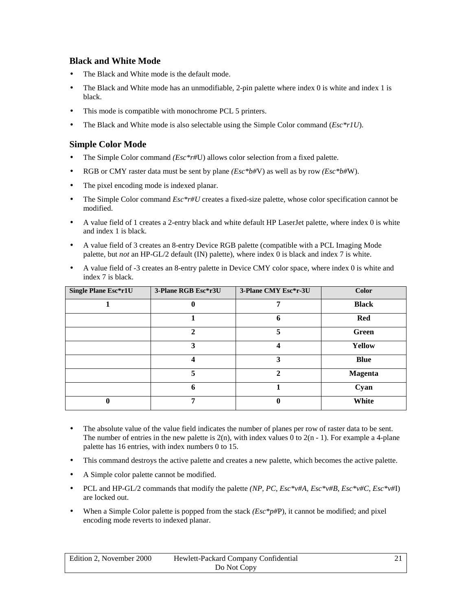#### <span id="page-20-0"></span>**Black and White Mode**

- The Black and White mode is the default mode.
- The Black and White mode has an unmodifiable, 2-pin palette where index 0 is white and index 1 is black.
- This mode is compatible with monochrome PCL 5 printers.
- The Black and White mode is also selectable using the Simple Color command (*Esc\*r1U*).

#### **Simple Color Mode**

- The Simple Color command *(Esc\*r#*U) allows color selection from a fixed palette.
- RGB or CMY raster data must be sent by plane *(Esc\*b#*V) as well as by row *(Esc\*b#*W).
- The pixel encoding mode is indexed planar.
- The Simple Color command *Esc\*r#U* creates a fixed-size palette, whose color specification cannot be modified.
- A value field of 1 creates a 2-entry black and white default HP LaserJet palette, where index 0 is white and index 1 is black.
- A value field of 3 creates an 8-entry Device RGB palette (compatible with a PCL Imaging Mode palette, but *not* an HP-GL/2 default (IN) palette), where index 0 is black and index 7 is white.
- A value field of -3 creates an 8-entry palette in Device CMY color space, where index 0 is white and index 7 is black.

| <b>Single Plane Esc*r1U</b> | 3-Plane RGB Esc*r3U | 3-Plane CMY Esc*r-3U | <b>Color</b>   |
|-----------------------------|---------------------|----------------------|----------------|
|                             |                     | 7                    | <b>Black</b>   |
|                             |                     | 6                    | Red            |
|                             | $\mathbf{2}$        | 5                    | Green          |
|                             | 3                   | 4                    | <b>Yellow</b>  |
|                             | 4                   | 3                    | <b>Blue</b>    |
|                             | 5                   | 2                    | <b>Magenta</b> |
|                             | 6                   |                      | Cyan           |
|                             | 7                   | 0                    | White          |

- The absolute value of the value field indicates the number of planes per row of raster data to be sent. The number of entries in the new palette is  $2(n)$ , with index values 0 to  $2(n - 1)$ . For example a 4-plane palette has 16 entries, with index numbers 0 to 15.
- This command destroys the active palette and creates a new palette, which becomes the active palette.
- A Simple color palette cannot be modified.
- PCL and HP-GL/2 commands that modify the palette *(NP, PC, Esc\*v#A, Esc\*v#B, Esc\*v#C, Esc\*v#I*) are locked out.
- When a Simple Color palette is popped from the stack  $(Esc^*p\#P)$ , it cannot be modified; and pixel encoding mode reverts to indexed planar.

| Edition 2. November 2000 | Hewlett-Packard Company Confidential |  |
|--------------------------|--------------------------------------|--|
|                          | Do Not Copy                          |  |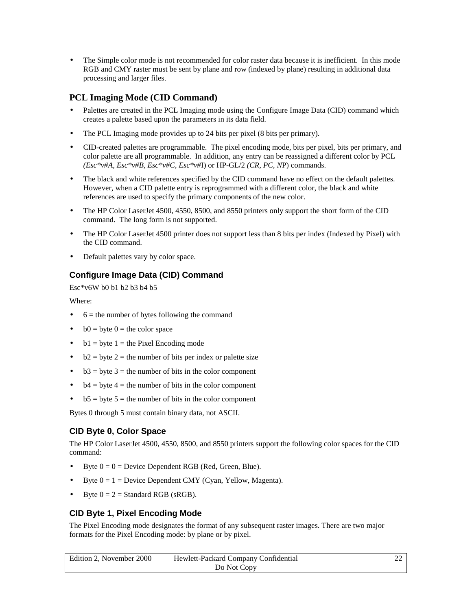<span id="page-21-0"></span>The Simple color mode is not recommended for color raster data because it is inefficient. In this mode RGB and CMY raster must be sent by plane and row (indexed by plane) resulting in additional data processing and larger files.

#### **PCL Imaging Mode (CID Command)**

- Palettes are created in the PCL Imaging mode using the Configure Image Data (CID) command which creates a palette based upon the parameters in its data field.
- The PCL Imaging mode provides up to 24 bits per pixel (8 bits per primary).
- CID-created palettes are programmable. The pixel encoding mode, bits per pixel, bits per primary, and color palette are all programmable. In addition, any entry can be reassigned a different color by PCL *(Esc\*v#A, Esc\*v#B, Esc\*v#C, Esc\*v#*I) or HP-GL/2 *(CR, PC, N*P) commands.
- The black and white references specified by the CID command have no effect on the default palettes. However, when a CID palette entry is reprogrammed with a different color, the black and white references are used to specify the primary components of the new color.
- The HP Color LaserJet 4500, 4550, 8500, and 8550 printers only support the short form of the CID command. The long form is not supported.
- The HP Color LaserJet 4500 printer does not support less than 8 bits per index (Indexed by Pixel) with the CID command.
- Default palettes vary by color space.

#### **Configure Image Data (CID) Command**

Esc\*v6W b0 b1 b2 b3 b4 b5

Where:

- $6$  = the number of bytes following the command
- $b0 = b$ yte  $0 =$  the color space
- $b1 = byte 1 = the Fixed Encoding mode$
- $b2 = b$ yte 2 = the number of bits per index or palette size
- $b3 = byte 3 = the number of bits in the color component$
- $b4 = byte 4 = the number of bits in the color component$
- $b5 = b$ yte  $5 =$  the number of bits in the color component

Bytes 0 through 5 must contain binary data, not ASCII.

#### **CID Byte 0, Color Space**

The HP Color LaserJet 4500, 4550, 8500, and 8550 printers support the following color spaces for the CID command:

- Byte  $0 = 0$  = Device Dependent RGB (Red, Green, Blue).
- Byte  $0 = 1$  = Device Dependent CMY (Cyan, Yellow, Magenta).
- Byte  $0 = 2 =$  Standard RGB (sRGB).

#### **CID Byte 1, Pixel Encoding Mode**

The Pixel Encoding mode designates the format of any subsequent raster images. There are two major formats for the Pixel Encoding mode: by plane or by pixel.

| Edition 2. November 2000<br>Hewlett-Packard Company Confidential |             |  |
|------------------------------------------------------------------|-------------|--|
|                                                                  | Do Not Copy |  |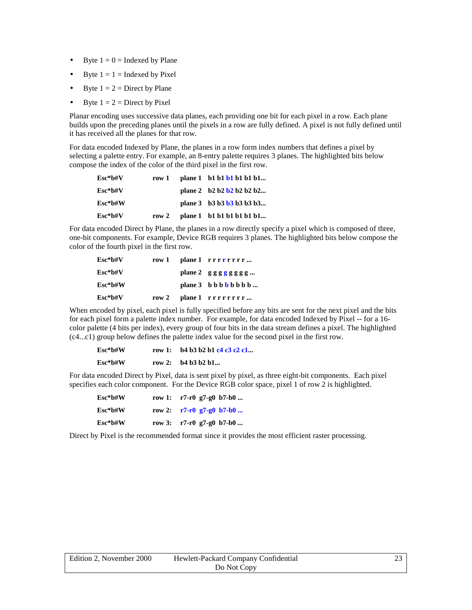- Byte  $1 = 0$  = Indexed by Plane
- Byte  $1 = 1$  = Indexed by Pixel
- Byte  $1 = 2 =$  Direct by Plane
- Byte  $1 = 2 =$  Direct by Pixel

Planar encoding uses successive data planes, each providing one bit for each pixel in a row. Each plane builds upon the preceding planes until the pixels in a row are fully defined. A pixel is not fully defined until it has received all the planes for that row.

For data encoded Indexed by Plane, the planes in a row form index numbers that defines a pixel by selecting a palette entry. For example, an 8-entry palette requires 3 planes. The highlighted bits below compose the index of the color of the third pixel in the first row.

| $Esc*$ b#V | row 1   | plane 1 b1 b1 b1 b1 b1 b1                     |
|------------|---------|-----------------------------------------------|
| $Esc*$ b#V |         | plane 2 $\frac{1}{2}$ b2 b2 b2 b2 b2          |
| $Esc*h\#W$ |         | plane $3$ b $3$ b $3$ b $3$ b $3$ b $3$ b $3$ |
| Esc*b#V    | row $2$ | plane 1 b1 b1 b1 b1 b1 b1                     |

For data encoded Direct by Plane, the planes in a row directly specify a pixel which is composed of three, one-bit components. For example, Device RGB requires 3 planes. The highlighted bits below compose the color of the fourth pixel in the first row.

| Esc*b#V    | row 1    | plane 1 rrrrrrr           |
|------------|----------|---------------------------|
| $Esc*$ b#V |          | plane 2 $g g g g g g g$   |
| $Esc*$ b#W |          | plane $3$ b b b b b b b b |
| $Esc*bfV$  | row $21$ | plane 1 rrrrrrrr          |

When encoded by pixel, each pixel is fully specified before any bits are sent for the next pixel and the bits for each pixel form a palette index number. For example, for data encoded Indexed by Pixel -- for a 16 color palette (4 bits per index), every group of four bits in the data stream defines a pixel. The highlighted (c4...c1) group below defines the palette index value for the second pixel in the first row.

| $Esc*$ b#W | row 1: $\frac{1}{2}$ b4 b3 b2 b1 c4 c3 c2 c1 |
|------------|----------------------------------------------|
| $Esc*$ b#W | row 2: $b4 b3 b2 b1$                         |

For data encoded Direct by Pixel, data is sent pixel by pixel, as three eight-bit components. Each pixel specifies each color component. For the Device RGB color space, pixel 1 of row 2 is highlighted.

| $Esc*b\#W$ | row 1: $r7-r0 g7-g0 b7-b0 $ |
|------------|-----------------------------|
| Esc*b#W    | row 2: $r7-r0 g7-g0 b7-b0 $ |
| Esc*b#W    | row 3: $r7-r0 g7-g0 b7-b0 $ |

Direct by Pixel is the recommended format since it provides the most efficient raster processing.

| Edition 2, November 2000 | Hewlett-Packard Company Confidential | າາ |
|--------------------------|--------------------------------------|----|
|                          | Do Not Copy                          |    |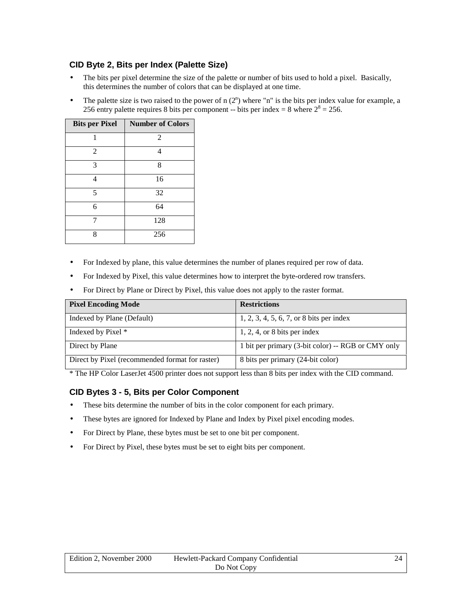#### <span id="page-23-0"></span>**CID Byte 2, Bits per Index (Palette Size)**

- The bits per pixel determine the size of the palette or number of bits used to hold a pixel. Basically, this determines the number of colors that can be displayed at one time.
- The palette size is two raised to the power of  $n(2^n)$  where "n" is the bits per index value for example, a 256 entry palette requires 8 bits per component -- bits per index = 8 where  $2^8 = 256$ .

| <b>Bits per Pixel</b> | <b>Number of Colors</b> |
|-----------------------|-------------------------|
| 1                     | 2                       |
| $\overline{c}$        | 4                       |
| 3                     | 8                       |
| 4                     | 16                      |
| 5                     | 32                      |
| 6                     | 64                      |
|                       | 128                     |
| Ջ                     | 256                     |

- For Indexed by plane, this value determines the number of planes required per row of data.
- For Indexed by Pixel, this value determines how to interpret the byte-ordered row transfers.
- For Direct by Plane or Direct by Pixel, this value does not apply to the raster format.

| <b>Pixel Encoding Mode</b>                      | <b>Restrictions</b>                                |
|-------------------------------------------------|----------------------------------------------------|
| Indexed by Plane (Default)                      | $1, 2, 3, 4, 5, 6, 7, or 8$ bits per index         |
| Indexed by Pixel *                              | $1, 2, 4$ , or 8 bits per index                    |
| Direct by Plane                                 | 1 bit per primary (3-bit color) -- RGB or CMY only |
| Direct by Pixel (recommended format for raster) | 8 bits per primary (24-bit color)                  |

\* The HP Color LaserJet 4500 printer does not support less than 8 bits per index with the CID command.

#### **CID Bytes 3 - 5, Bits per Color Component**

- These bits determine the number of bits in the color component for each primary.
- These bytes are ignored for Indexed by Plane and Index by Pixel pixel encoding modes.
- For Direct by Plane, these bytes must be set to one bit per component.
- For Direct by Pixel, these bytes must be set to eight bits per component.

| Edition 2. November 2000 | Hewlett-Packard Company Confidential |  |
|--------------------------|--------------------------------------|--|
|                          | Do Not Copy                          |  |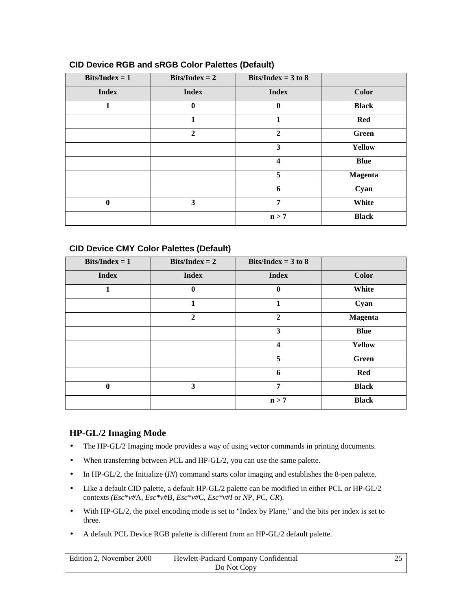| $Bits/Index = 1$ | $Bits/Index = 2$ | Bits/Index = $3$ to $8$ |                |
|------------------|------------------|-------------------------|----------------|
| <b>Index</b>     | <b>Index</b>     | <b>Index</b>            | <b>Color</b>   |
| 1                | $\bf{0}$         | $\bf{0}$                | <b>Black</b>   |
|                  | 1                | 1                       | <b>Red</b>     |
|                  | $\boldsymbol{2}$ | $\mathbf{2}$            | Green          |
|                  |                  | 3                       | <b>Yellow</b>  |
|                  |                  | $\overline{\mathbf{4}}$ | <b>Blue</b>    |
|                  |                  | 5                       | <b>Magenta</b> |
|                  |                  | 6                       | Cyan           |
| $\boldsymbol{0}$ | 3                | 7                       | White          |
|                  |                  | n > 7                   | <b>Black</b>   |

#### <span id="page-24-0"></span>**CID Device RGB and sRGB Color Palettes (Default)**

#### **CID Device CMY Color Palettes (Default)**

| $Bits/Index = 1$ | $\textbf{Bits/Index} = 2$ | Bits/Index = $3$ to $8$ |                |
|------------------|---------------------------|-------------------------|----------------|
| <b>Index</b>     | <b>Index</b>              | <b>Index</b>            | <b>Color</b>   |
| 1                | $\bf{0}$                  | $\bf{0}$                | White          |
|                  | 1                         | 1                       | Cyan           |
|                  | $\mathbf{2}$              | $\mathbf{2}$            | <b>Magenta</b> |
|                  |                           | 3                       | <b>Blue</b>    |
|                  |                           | $\overline{\mathbf{4}}$ | <b>Yellow</b>  |
|                  |                           | 5                       | Green          |
|                  |                           | 6                       | <b>Red</b>     |
| $\mathbf{0}$     | 3                         | 7                       | <b>Black</b>   |
|                  |                           | n > 7                   | <b>Black</b>   |

#### **HP-GL/2 Imaging Mode**

- The HP-GL/2 Imaging mode provides a way of using vector commands in printing documents.
- When transferring between PCL and HP-GL/2, you can use the same palette.
- In HP-GL/2, the Initialize (*IN*) command starts color imaging and establishes the 8-pen palette.
- Like a default CID palette, a default HP-GL/2 palette can be modified in either PCL or HP-GL/2 contexts *(Esc\*v#*A, *Esc\*v#*B, *Esc\*v#*C, *Esc\*v#I* or *N*P, *P*C, *CR*).
- With HP-GL/2, the pixel encoding mode is set to "Index by Plane," and the bits per index is set to three.
- A default PCL Device RGB palette is different from an HP-GL/2 default palette.

| Edition 2. November 2000 | Hewlett-Packard Company Confidential |  |
|--------------------------|--------------------------------------|--|
|                          | Do Not Copy                          |  |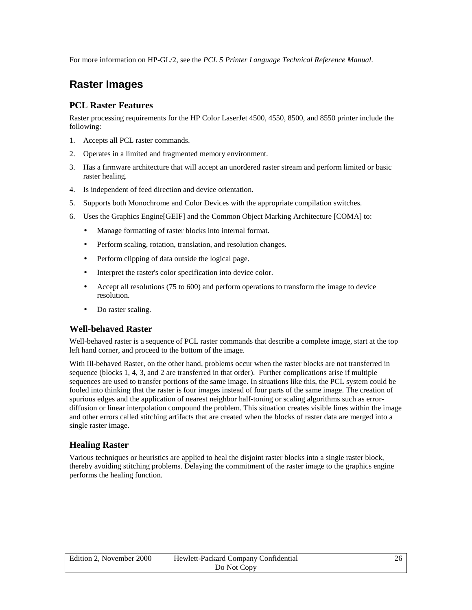<span id="page-25-0"></span>For more information on HP-GL/2, see the *PCL 5 Printer Language Technical Reference Manual*.

### **Raster Images**

#### **PCL Raster Features**

Raster processing requirements for the HP Color LaserJet 4500, 4550, 8500, and 8550 printer include the following:

- 1. Accepts all PCL raster commands.
- 2. Operates in a limited and fragmented memory environment.
- 3. Has a firmware architecture that will accept an unordered raster stream and perform limited or basic raster healing.
- 4. Is independent of feed direction and device orientation.
- 5. Supports both Monochrome and Color Devices with the appropriate compilation switches.
- 6. Uses the Graphics Engine[GEIF] and the Common Object Marking Architecture [COMA] to:
	- Manage formatting of raster blocks into internal format.
	- Perform scaling, rotation, translation, and resolution changes.
	- Perform clipping of data outside the logical page.
	- Interpret the raster's color specification into device color.
	- Accept all resolutions (75 to 600) and perform operations to transform the image to device resolution.
	- Do raster scaling.

#### **Well-behaved Raster**

Well-behaved raster is a sequence of PCL raster commands that describe a complete image, start at the top left hand corner, and proceed to the bottom of the image.

With Ill-behaved Raster, on the other hand, problems occur when the raster blocks are not transferred in sequence (blocks 1, 4, 3, and 2 are transferred in that order). Further complications arise if multiple sequences are used to transfer portions of the same image. In situations like this, the PCL system could be fooled into thinking that the raster is four images instead of four parts of the same image. The creation of spurious edges and the application of nearest neighbor half-toning or scaling algorithms such as errordiffusion or linear interpolation compound the problem. This situation creates visible lines within the image and other errors called stitching artifacts that are created when the blocks of raster data are merged into a single raster image.

#### **Healing Raster**

Various techniques or heuristics are applied to heal the disjoint raster blocks into a single raster block, thereby avoiding stitching problems. Delaying the commitment of the raster image to the graphics engine performs the healing function.

| Edition 2. November 2000<br>Hewlett-Packard Company Confidential |             |  |
|------------------------------------------------------------------|-------------|--|
|                                                                  | Do Not Copy |  |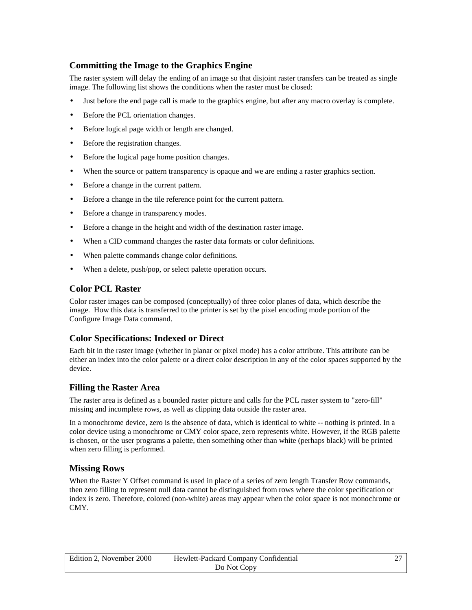#### <span id="page-26-0"></span>**Committing the Image to the Graphics Engine**

The raster system will delay the ending of an image so that disjoint raster transfers can be treated as single image. The following list shows the conditions when the raster must be closed:

- Just before the end page call is made to the graphics engine, but after any macro overlay is complete.
- Before the PCL orientation changes.
- Before logical page width or length are changed.
- Before the registration changes.
- Before the logical page home position changes.
- When the source or pattern transparency is opaque and we are ending a raster graphics section.
- Before a change in the current pattern.
- Before a change in the tile reference point for the current pattern.
- Before a change in transparency modes.
- Before a change in the height and width of the destination raster image.
- When a CID command changes the raster data formats or color definitions.
- When palette commands change color definitions.
- When a delete, push/pop, or select palette operation occurs.

#### **Color PCL Raster**

Color raster images can be composed (conceptually) of three color planes of data, which describe the image. How this data is transferred to the printer is set by the pixel encoding mode portion of the Configure Image Data command.

#### **Color Specifications: Indexed or Direct**

Each bit in the raster image (whether in planar or pixel mode) has a color attribute. This attribute can be either an index into the color palette or a direct color description in any of the color spaces supported by the device.

#### **Filling the Raster Area**

The raster area is defined as a bounded raster picture and calls for the PCL raster system to "zero-fill" missing and incomplete rows, as well as clipping data outside the raster area.

In a monochrome device, zero is the absence of data, which is identical to white -- nothing is printed. In a color device using a monochrome or CMY color space, zero represents white. However, if the RGB palette is chosen, or the user programs a palette, then something other than white (perhaps black) will be printed when zero filling is performed.

#### **Missing Rows**

When the Raster Y Offset command is used in place of a series of zero length Transfer Row commands, then zero filling to represent null data cannot be distinguished from rows where the color specification or index is zero. Therefore, colored (non-white) areas may appear when the color space is not monochrome or CMY.

| Edition 2, November 2000 | Hewlett-Packard Company Confidential |  |
|--------------------------|--------------------------------------|--|
|                          | Do Not Copy                          |  |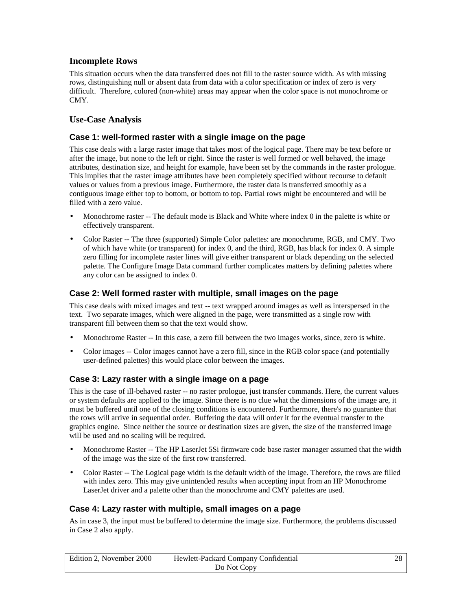#### <span id="page-27-0"></span>**Incomplete Rows**

This situation occurs when the data transferred does not fill to the raster source width. As with missing rows, distinguishing null or absent data from data with a color specification or index of zero is very difficult. Therefore, colored (non-white) areas may appear when the color space is not monochrome or CMY.

#### **Use-Case Analysis**

#### **Case 1: well-formed raster with a single image on the page**

This case deals with a large raster image that takes most of the logical page. There may be text before or after the image, but none to the left or right. Since the raster is well formed or well behaved, the image attributes, destination size, and height for example, have been set by the commands in the raster prologue. This implies that the raster image attributes have been completely specified without recourse to default values or values from a previous image. Furthermore, the raster data is transferred smoothly as a contiguous image either top to bottom, or bottom to top. Partial rows might be encountered and will be filled with a zero value.

- Monochrome raster -- The default mode is Black and White where index 0 in the palette is white or effectively transparent.
- Color Raster -- The three (supported) Simple Color palettes: are monochrome, RGB, and CMY. Two of which have white (or transparent) for index 0, and the third, RGB, has black for index 0. A simple zero filling for incomplete raster lines will give either transparent or black depending on the selected palette. The Configure Image Data command further complicates matters by defining palettes where any color can be assigned to index 0.

#### **Case 2: Well formed raster with multiple, small images on the page**

This case deals with mixed images and text -- text wrapped around images as well as interspersed in the text. Two separate images, which were aligned in the page, were transmitted as a single row with transparent fill between them so that the text would show.

- Monochrome Raster -- In this case, a zero fill between the two images works, since, zero is white.
- Color images -- Color images cannot have a zero fill, since in the RGB color space (and potentially user-defined palettes) this would place color between the images.

#### **Case 3: Lazy raster with a single image on a page**

This is the case of ill-behaved raster -- no raster prologue, just transfer commands. Here, the current values or system defaults are applied to the image. Since there is no clue what the dimensions of the image are, it must be buffered until one of the closing conditions is encountered. Furthermore, there's no guarantee that the rows will arrive in sequential order. Buffering the data will order it for the eventual transfer to the graphics engine. Since neither the source or destination sizes are given, the size of the transferred image will be used and no scaling will be required.

- Monochrome Raster -- The HP LaserJet 5Si firmware code base raster manager assumed that the width of the image was the size of the first row transferred.
- Color Raster -- The Logical page width is the default width of the image. Therefore, the rows are filled with index zero. This may give unintended results when accepting input from an HP Monochrome LaserJet driver and a palette other than the monochrome and CMY palettes are used.

#### **Case 4: Lazy raster with multiple, small images on a page**

As in case 3, the input must be buffered to determine the image size. Furthermore, the problems discussed in Case 2 also apply.

| Edition 2. November 2000<br>Hewlett-Packard Company Confidential |             | 28 |
|------------------------------------------------------------------|-------------|----|
|                                                                  | Do Not Copy |    |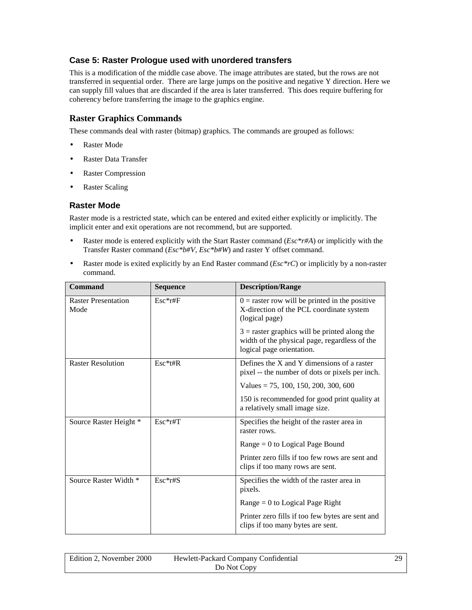#### <span id="page-28-0"></span>**Case 5: Raster Prologue used with unordered transfers**

This is a modification of the middle case above. The image attributes are stated, but the rows are not transferred in sequential order. There are large jumps on the positive and negative Y direction. Here we can supply fill values that are discarded if the area is later transferred. This does require buffering for coherency before transferring the image to the graphics engine.

#### **Raster Graphics Commands**

These commands deal with raster (bitmap) graphics. The commands are grouped as follows:

- Raster Mode
- Raster Data Transfer
- Raster Compression
- Raster Scaling

#### **Raster Mode**

Raster mode is a restricted state, which can be entered and exited either explicitly or implicitly. The implicit enter and exit operations are not recommend, but are supported.

- Raster mode is entered explicitly with the Start Raster command (*Esc\*r#A*) or implicitly with the Transfer Raster command (*Esc\*b#V, Esc\*b#W*) and raster Y offset command.
- Raster mode is exited explicitly by an End Raster command (*Esc\*rC*) or implicitly by a non-raster command.

| Command                            | <b>Sequence</b> | <b>Description/Range</b>                                                                                                      |
|------------------------------------|-----------------|-------------------------------------------------------------------------------------------------------------------------------|
| <b>Raster Presentation</b><br>Mode | $Esc*rtF$       | $0 =$ raster row will be printed in the positive<br>X-direction of the PCL coordinate system<br>(logical page)                |
|                                    |                 | $3$ = raster graphics will be printed along the<br>width of the physical page, regardless of the<br>logical page orientation. |
| <b>Raster Resolution</b>           | $Esc*t#R$       | Defines the $X$ and $Y$ dimensions of a raster<br>pixel -- the number of dots or pixels per inch.                             |
|                                    |                 | Values = 75, 100, 150, 200, 300, 600                                                                                          |
|                                    |                 | 150 is recommended for good print quality at<br>a relatively small image size.                                                |
| Source Raster Height *             | $Esc*rfT$       | Specifies the height of the raster area in<br>raster rows.                                                                    |
|                                    |                 | $Range = 0$ to Logical Page Bound                                                                                             |
|                                    |                 | Printer zero fills if too few rows are sent and<br>clips if too many rows are sent.                                           |
| Source Raster Width *              | $Esc*rtS$       | Specifies the width of the raster area in<br>pixels.                                                                          |
|                                    |                 | $Range = 0$ to Logical Page Right                                                                                             |
|                                    |                 | Printer zero fills if too few bytes are sent and<br>clips if too many bytes are sent.                                         |

| Edition 2. November 2000<br>Hewlett-Packard Company Confidential |             |  |
|------------------------------------------------------------------|-------------|--|
|                                                                  | Do Not Copy |  |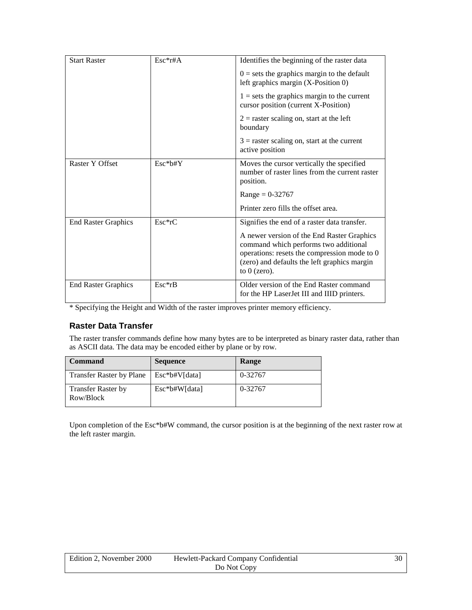<span id="page-29-0"></span>

| <b>Start Raster</b>        | $Esc*rtA$ | Identifies the beginning of the raster data                                                                                                                                                           |
|----------------------------|-----------|-------------------------------------------------------------------------------------------------------------------------------------------------------------------------------------------------------|
|                            |           | $0 = sets$ the graphics margin to the default<br>left graphics margin (X-Position 0)                                                                                                                  |
|                            |           | $1 = sets$ the graphics margin to the current<br>cursor position (current X-Position)                                                                                                                 |
|                            |           | $2$ = raster scaling on, start at the left<br>boundary                                                                                                                                                |
|                            |           | $3$ = raster scaling on, start at the current<br>active position                                                                                                                                      |
| Raster Y Offset            | $Esc*b#Y$ | Moves the cursor vertically the specified<br>number of raster lines from the current raster<br>position.                                                                                              |
|                            |           | $Range = 0.32767$                                                                                                                                                                                     |
|                            |           | Printer zero fills the offset area.                                                                                                                                                                   |
| <b>End Raster Graphics</b> | $Esc*rC$  | Signifies the end of a raster data transfer.                                                                                                                                                          |
|                            |           | A newer version of the End Raster Graphics<br>command which performs two additional<br>operations: resets the compression mode to 0<br>(zero) and defaults the left graphics margin<br>to $0$ (zero). |
| <b>End Raster Graphics</b> | $Esc*rB$  | Older version of the End Raster command<br>for the HP LaserJet III and IIID printers.                                                                                                                 |

\* Specifying the Height and Width of the raster improves printer memory efficiency.

#### **Raster Data Transfer**

The raster transfer commands define how many bytes are to be interpreted as binary raster data, rather than as ASCII data. The data may be encoded either by plane or by row.

| <b>Command</b>                         | <b>Sequence</b>    | Range   |
|----------------------------------------|--------------------|---------|
| <b>Transfer Raster by Plane</b>        | $Esc * b# V[data]$ | 0-32767 |
| <b>Transfer Raster by</b><br>Row/Block | Esc*b#W[data]      | 0-32767 |

Upon completion of the Esc\*b#W command, the cursor position is at the beginning of the next raster row at the left raster margin.

| Edition 2, November 2000 | Hewlett-Packard Company Confidential | 30 |
|--------------------------|--------------------------------------|----|
|                          | Do Not Copy                          |    |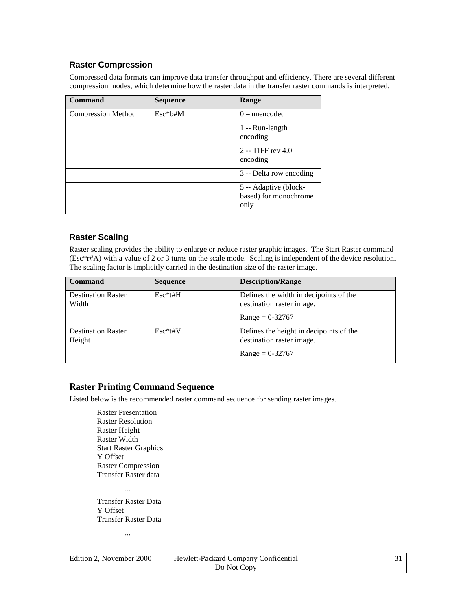#### <span id="page-30-0"></span>**Raster Compression**

Compressed data formats can improve data transfer throughput and efficiency. There are several different compression modes, which determine how the raster data in the transfer raster commands is interpreted.

| Command                   | <b>Sequence</b> | Range                                                  |
|---------------------------|-----------------|--------------------------------------------------------|
| <b>Compression Method</b> | $Esc*btHM$      | $0$ – unencoded                                        |
|                           |                 | $1 -$ Run-length<br>encoding                           |
|                           |                 | $2 - TIFF rev 4.0$<br>encoding                         |
|                           |                 | 3 -- Delta row encoding                                |
|                           |                 | 5 -- Adaptive (block-<br>based) for monochrome<br>only |

#### **Raster Scaling**

Raster scaling provides the ability to enlarge or reduce raster graphic images. The Start Raster command (Esc\*r#A) with a value of 2 or 3 turns on the scale mode. Scaling is independent of the device resolution. The scaling factor is implicitly carried in the destination size of the raster image.

| <b>Command</b>                      | <b>Sequence</b> | <b>Description/Range</b>                                                                  |
|-------------------------------------|-----------------|-------------------------------------------------------------------------------------------|
| <b>Destination Raster</b><br>Width  | $Esc*t#H$       | Defines the width in decipoints of the<br>destination raster image.<br>$Range = 0.32767$  |
| <b>Destination Raster</b><br>Height | $Esc*ttW$       | Defines the height in decipoints of the<br>destination raster image.<br>$Range = 0.32767$ |

#### **Raster Printing Command Sequence**

Listed below is the recommended raster command sequence for sending raster images.

Raster Presentation Raster Resolution Raster Height Raster Width Start Raster Graphics Y Offset Raster Compression Transfer Raster data

... Transfer Raster Data Y Offset

Transfer Raster Data

...

| Edition 2. November 2000 | Hewlett-Packard Company Confidential |  |
|--------------------------|--------------------------------------|--|
|                          | Do Not Copy                          |  |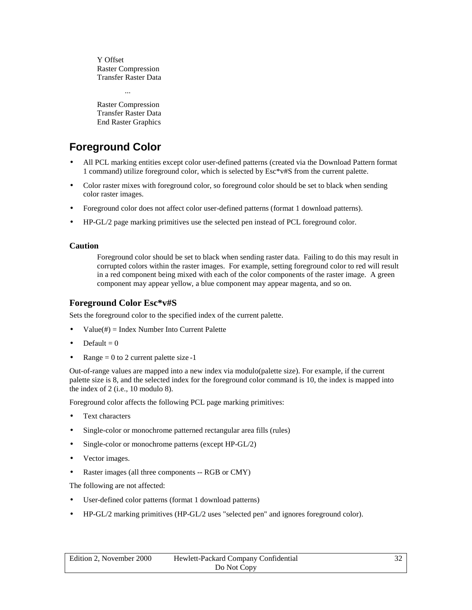<span id="page-31-0"></span>Y Offset Raster Compression Transfer Raster Data

Raster Compression Transfer Raster Data End Raster Graphics

...

## **Foreground Color**

- All PCL marking entities except color user-defined patterns (created via the Download Pattern format 1 command) utilize foreground color, which is selected by Esc\*v#S from the current palette.
- Color raster mixes with foreground color, so foreground color should be set to black when sending color raster images.
- Foreground color does not affect color user-defined patterns (format 1 download patterns).
- HP-GL/2 page marking primitives use the selected pen instead of PCL foreground color.

#### **Caution**

Foreground color should be set to black when sending raster data. Failing to do this may result in corrupted colors within the raster images. For example, setting foreground color to red will result in a red component being mixed with each of the color components of the raster image. A green component may appear yellow, a blue component may appear magenta, and so on.

#### **Foreground Color Esc\*v#S**

Sets the foreground color to the specified index of the current palette.

- $Value(\#) = Index Number Into Current Palette$
- Default  $= 0$
- $Range = 0$  to 2 current palette size -1

Out-of-range values are mapped into a new index via modulo(palette size). For example, if the current palette size is 8, and the selected index for the foreground color command is 10, the index is mapped into the index of 2 (i.e., 10 modulo 8).

Foreground color affects the following PCL page marking primitives:

- Text characters
- Single-color or monochrome patterned rectangular area fills (rules)
- Single-color or monochrome patterns (except HP-GL/2)
- Vector images.
- Raster images (all three components -- RGB or CMY)

The following are not affected:

- User-defined color patterns (format 1 download patterns)
- HP-GL/2 marking primitives (HP-GL/2 uses "selected pen" and ignores foreground color).

| Edition 2, November 2000 | Hewlett-Packard Company Confidential |  |
|--------------------------|--------------------------------------|--|
|                          | Do Not Copy                          |  |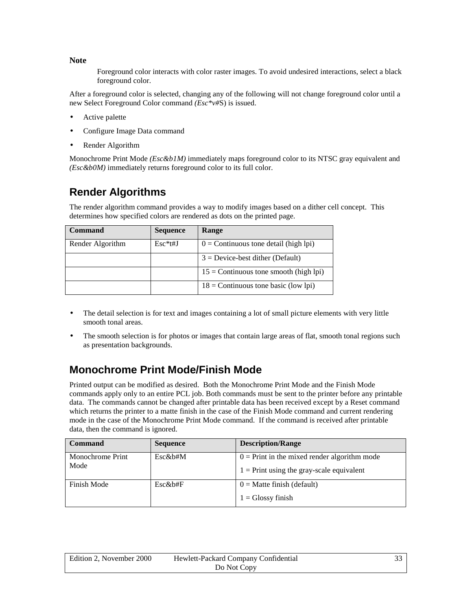<span id="page-32-0"></span>**Note**

Foreground color interacts with color raster images. To avoid undesired interactions, select a black foreground color.

After a foreground color is selected, changing any of the following will not change foreground color until a new Select Foreground Color command *(Esc\*v#*S) is issued.

- Active palette
- Configure Image Data command
- Render Algorithm

Monochrome Print Mode *(Esc&b1M)* immediately maps foreground color to its NTSC gray equivalent and *(Esc&b0M)* immediately returns foreground color to its full color.

## **Render Algorithms**

The render algorithm command provides a way to modify images based on a dither cell concept. This determines how specified colors are rendered as dots on the printed page.

| Command          | <b>Sequence</b> | Range                                    |
|------------------|-----------------|------------------------------------------|
| Render Algorithm | $Esc*t#J$       | $0 =$ Continuous tone detail (high lpi)  |
|                  |                 | $3 =$ Device-best dither (Default)       |
|                  |                 | $15 =$ Continuous tone smooth (high lpi) |
|                  |                 | $18 =$ Continuous tone basic (low lpi)   |

- The detail selection is for text and images containing a lot of small picture elements with very little smooth tonal areas.
- The smooth selection is for photos or images that contain large areas of flat, smooth tonal regions such as presentation backgrounds.

## **Monochrome Print Mode/Finish Mode**

Printed output can be modified as desired. Both the Monochrome Print Mode and the Finish Mode commands apply only to an entire PCL job. Both commands must be sent to the printer before any printable data. The commands cannot be changed after printable data has been received except by a Reset command which returns the printer to a matte finish in the case of the Finish Mode command and current rendering mode in the case of the Monochrome Print Mode command. If the command is received after printable data, then the command is ignored.

| Command                  | <b>Sequence</b> | <b>Description/Range</b>                       |
|--------------------------|-----------------|------------------------------------------------|
| Monochrome Print<br>Mode | $Esc\&b\#M$     | $0 =$ Print in the mixed render algorithm mode |
|                          |                 | $1 =$ Print using the gray-scale equivalent    |
| Finish Mode              | $Esc\&b#F$      | $0 =$ Matte finish (default)                   |
|                          |                 | $1 = \text{Glossy finish}$                     |

| Edition 2, November 2000 | Hewlett-Packard Company Confidential | າາ |
|--------------------------|--------------------------------------|----|
|                          | Do Not Copy                          |    |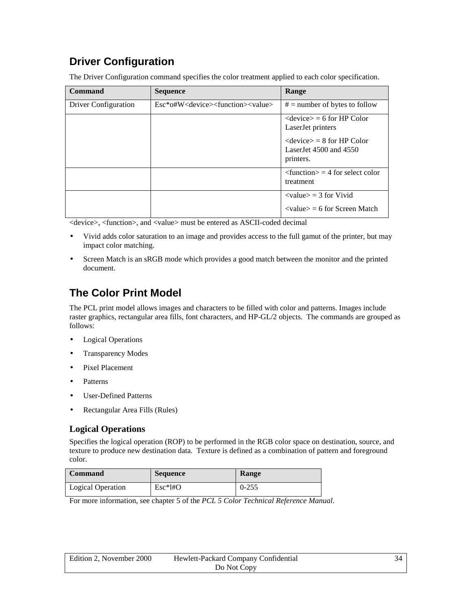## <span id="page-33-0"></span>**Driver Configuration**

| Command              | <b>Sequence</b> | Range                                                                                  |
|----------------------|-----------------|----------------------------------------------------------------------------------------|
| Driver Configuration | $Esc*ofW$       | $# =$ number of bytes to follow                                                        |
|                      |                 | $\langle$ device $\rangle$ = 6 for HP Color<br>LaserJet printers                       |
|                      |                 | $\langle$ device $\rangle$ = 8 for HP Color<br>LaserJet $4500$ and $4550$<br>printers. |
|                      |                 | $\tau$ = 4 for select color<br>treatment                                               |
|                      |                 | $\langle$ value $\rangle$ = 3 for Vivid                                                |
|                      |                 | $\langle$ value $\rangle$ = 6 for Screen Match                                         |

The Driver Configuration command specifies the color treatment applied to each color specification.

<device>, <function>, and <value> must be entered as ASCII-coded decimal

- Vivid adds color saturation to an image and provides access to the full gamut of the printer, but may impact color matching.
- Screen Match is an sRGB mode which provides a good match between the monitor and the printed document.

## **The Color Print Model**

The PCL print model allows images and characters to be filled with color and patterns. Images include raster graphics, rectangular area fills, font characters, and HP-GL/2 objects. The commands are grouped as follows:

- **Logical Operations**
- Transparency Modes
- Pixel Placement
- Patterns
- User-Defined Patterns
- Rectangular Area Fills (Rules)

#### **Logical Operations**

Specifies the logical operation (ROP) to be performed in the RGB color space on destination, source, and texture to produce new destination data. Texture is defined as a combination of pattern and foreground color.

| Command           | <b>Sequence</b> | <b>Range</b> |
|-------------------|-----------------|--------------|
| Logical Operation | $Esc*l#O$       | $0 - 255$    |

For more information, see chapter 5 of the *PCL 5 Color Technical Reference Manual*.

| Edition 2, November 2000 | Hewlett-Packard Company Confidential | 34 |
|--------------------------|--------------------------------------|----|
|                          | Do Not Copy                          |    |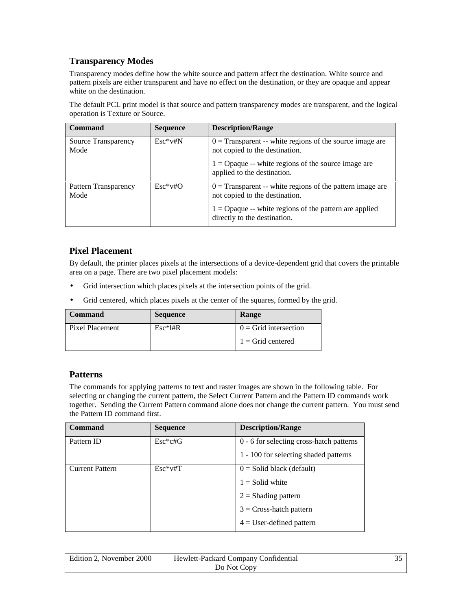#### <span id="page-34-0"></span>**Transparency Modes**

Transparency modes define how the white source and pattern affect the destination. White source and pattern pixels are either transparent and have no effect on the destination, or they are opaque and appear white on the destination.

The default PCL print model is that source and pattern transparency modes are transparent, and the logical operation is Texture or Source.

| Command                      | <b>Sequence</b> | <b>Description/Range</b>                                                                      |
|------------------------------|-----------------|-----------------------------------------------------------------------------------------------|
| Source Transparency<br>Mode  | $Esc*v#N$       | $0 =$ Transparent -- white regions of the source image are<br>not copied to the destination.  |
|                              |                 | $1 =$ Opaque -- white regions of the source image are<br>applied to the destination.          |
| Pattern Transparency<br>Mode | $Esc*vtO$       | $0 =$ Transparent -- white regions of the pattern image are<br>not copied to the destination. |
|                              |                 | $1 =$ Opaque -- white regions of the pattern are applied<br>directly to the destination.      |

#### **Pixel Placement**

By default, the printer places pixels at the intersections of a device-dependent grid that covers the printable area on a page. There are two pixel placement models:

- Grid intersection which places pixels at the intersection points of the grid.
- Grid centered, which places pixels at the center of the squares, formed by the grid.

| Command         | <b>Sequence</b> | Range                     |
|-----------------|-----------------|---------------------------|
| Pixel Placement | $Esc*1#R$       | $0 =$ Grid intersection   |
|                 |                 | $\vert$ 1 = Grid centered |

#### **Patterns**

The commands for applying patterns to text and raster images are shown in the following table. For selecting or changing the current pattern, the Select Current Pattern and the Pattern ID commands work together. Sending the Current Pattern command alone does not change the current pattern. You must send the Pattern ID command first.

| <b>Command</b>         | <b>Sequence</b> | <b>Description/Range</b>                 |
|------------------------|-----------------|------------------------------------------|
| Pattern ID             | $Esc*c#G$       | 0 - 6 for selecting cross-hatch patterns |
|                        |                 | 1 - 100 for selecting shaded patterns    |
| <b>Current Pattern</b> | $Esc*vtT$       | $0 =$ Solid black (default)              |
|                        |                 | $1 =$ Solid white                        |
|                        |                 | $2 =$ Shading pattern                    |
|                        |                 | $3 = Cross-hatch$ pattern                |
|                        |                 | $4 =$ User-defined pattern               |

| Edition 2. November 2000<br>Hewlett-Packard Company Confidential |             |  |
|------------------------------------------------------------------|-------------|--|
|                                                                  | Do Not Copy |  |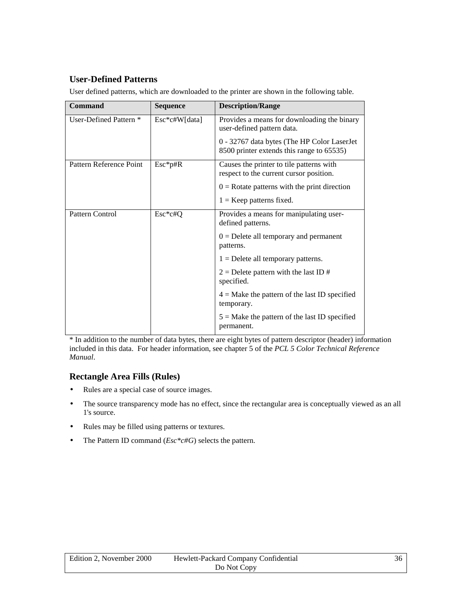#### <span id="page-35-0"></span>**User-Defined Patterns**

| Command                 | <b>Sequence</b> | <b>Description/Range</b>                                                                 |
|-------------------------|-----------------|------------------------------------------------------------------------------------------|
| User-Defined Pattern *  | $Esc*c#W[data]$ | Provides a means for downloading the binary<br>user-defined pattern data.                |
|                         |                 | 0 - 32767 data bytes (The HP Color LaserJet<br>8500 printer extends this range to 65535) |
| Pattern Reference Point | $Esc*p#R$       | Causes the printer to tile patterns with<br>respect to the current cursor position.      |
|                         |                 | $0 =$ Rotate patterns with the print direction                                           |
|                         |                 | $1 =$ Keep patterns fixed.                                                               |
| Pattern Control         | Esc*c#Q         | Provides a means for manipulating user-<br>defined patterns.                             |
|                         |                 | $0 =$ Delete all temporary and permanent<br>patterns.                                    |
|                         |                 | $1 =$ Delete all temporary patterns.                                                     |
|                         |                 | $2 =$ Delete pattern with the last ID #<br>specified.                                    |
|                         |                 | $4 =$ Make the pattern of the last ID specified<br>temporary.                            |
|                         |                 | $5 =$ Make the pattern of the last ID specified<br>permanent.                            |

User defined patterns, which are downloaded to the printer are shown in the following table.

\* In addition to the number of data bytes, there are eight bytes of pattern descriptor (header) information included in this data. For header information, see chapter 5 of the *PCL 5 Color Technical Reference Manual*.

#### **Rectangle Area Fills (Rules)**

- Rules are a special case of source images.
- The source transparency mode has no effect, since the rectangular area is conceptually viewed as an all 1's source.
- Rules may be filled using patterns or textures.
- The Pattern ID command (*Esc\*c#G*) selects the pattern.

| Edition 2, November 2000 | Hewlett-Packard Company Confidential | 36 |
|--------------------------|--------------------------------------|----|
|                          | Do Not Copy                          |    |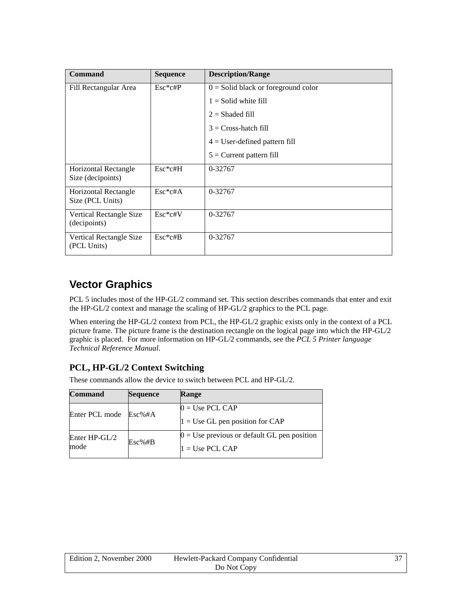| Command                                   | <b>Sequence</b> | <b>Description/Range</b>              |
|-------------------------------------------|-----------------|---------------------------------------|
| Fill Rectangular Area                     | $Esc*c#P$       | $0 =$ Solid black or foreground color |
|                                           |                 | $1 =$ Solid white fill                |
|                                           |                 | $2 =$ Shaded fill                     |
|                                           |                 | $3 = Cross-hatch$ fill                |
|                                           |                 | $4 =$ User-defined pattern fill       |
|                                           |                 | $5 =$ Current pattern fill            |
| Horizontal Rectangle<br>Size (decipoints) | $Esc*c#H$       | 0-32767                               |
| Horizontal Rectangle<br>Size (PCL Units)  | $Esc*c#A$       | 0-32767                               |
| Vertical Rectangle Size<br>(decipoints)   | Esc*c#V         | 0-32767                               |
| Vertical Rectangle Size<br>(PCL Units)    | $Esc*c#B$       | 0-32767                               |

### **Vector Graphics**

PCL 5 includes most of the HP-GL/2 command set. This section describes commands that enter and exit the HP-GL/2 context and manage the scaling of HP-GL/2 graphics to the PCL page.

When entering the HP-GL/2 context from PCL, the HP-GL/2 graphic exists only in the context of a PCL picture frame. The picture frame is the destination rectangle on the logical page into which the HP-GL/2 graphic is placed. For more information on HP-GL/2 commands, see the *PCL 5 Printer language Technical Reference Manual*.

### **PCL, HP-GL/2 Context Switching**

These commands allow the device to switch between PCL and HP-GL/2.

| <b>Command</b>  | <b>Sequence</b> | Range                                         |
|-----------------|-----------------|-----------------------------------------------|
| Enter PCL mode  | Esc%#A          | $0 = Use PCL CAP$                             |
|                 |                 | $1 = Use GL$ pen position for CAP             |
| Enter $HP-GL/2$ | Esc%#B          | $0 =$ Use previous or default GL pen position |
| mode            |                 | $1 = Use PCL CAP$                             |

| Edition 2, November 2000 | Hewlett-Packard Company Confidential | 37 |
|--------------------------|--------------------------------------|----|
|                          | Do Not Copy                          |    |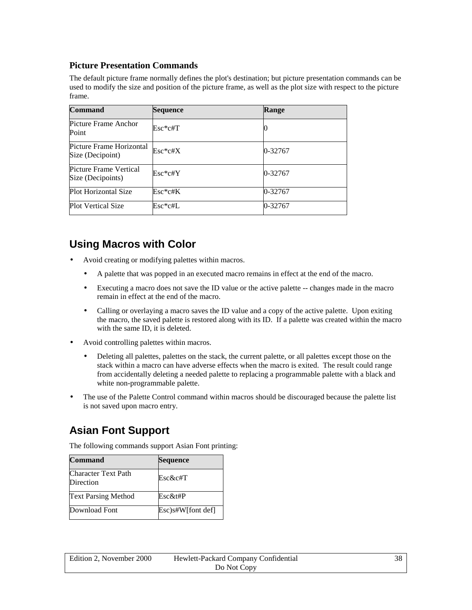### **Picture Presentation Commands**

The default picture frame normally defines the plot's destination; but picture presentation commands can be used to modify the size and position of the picture frame, as well as the plot size with respect to the picture frame.

| <b>Command</b>                               | <b>Sequence</b> | Range   |
|----------------------------------------------|-----------------|---------|
| Picture Frame Anchor<br>Point                | $Esc*c#T$       |         |
| Picture Frame Horizontal<br>Size (Decipoint) | Esc*c#X         | 0-32767 |
| Picture Frame Vertical<br>Size (Decipoints)  | Esc*c#Y         | 0-32767 |
| Plot Horizontal Size                         | Esc*c#K         | 0-32767 |
| <b>Plot Vertical Size</b>                    | $\rm Esc*c\#L$  | 0-32767 |

## **Using Macros with Color**

- Avoid creating or modifying palettes within macros.
	- A palette that was popped in an executed macro remains in effect at the end of the macro.
	- Executing a macro does not save the ID value or the active palette -- changes made in the macro remain in effect at the end of the macro.
	- Calling or overlaying a macro saves the ID value and a copy of the active palette. Upon exiting the macro, the saved palette is restored along with its ID. If a palette was created within the macro with the same ID, it is deleted.
- Avoid controlling palettes within macros.
	- Deleting all palettes, palettes on the stack, the current palette, or all palettes except those on the stack within a macro can have adverse effects when the macro is exited. The result could range from accidentally deleting a needed palette to replacing a programmable palette with a black and white non-programmable palette.
- The use of the Palette Control command within macros should be discouraged because the palette list is not saved upon macro entry.

### **Asian Font Support**

The following commands support Asian Font printing:

| <b>Command</b>                   | Sequence             |
|----------------------------------|----------------------|
| Character Text Path<br>Direction | Esc&c#T              |
| <b>Text Parsing Method</b>       | Esc&t#P              |
| Download Font                    | $Esc$ )s#W[font def] |

| Edition 2, November 2000 | Hewlett-Packard Company Confidential | 38. |
|--------------------------|--------------------------------------|-----|
|                          | Do Not Copy                          |     |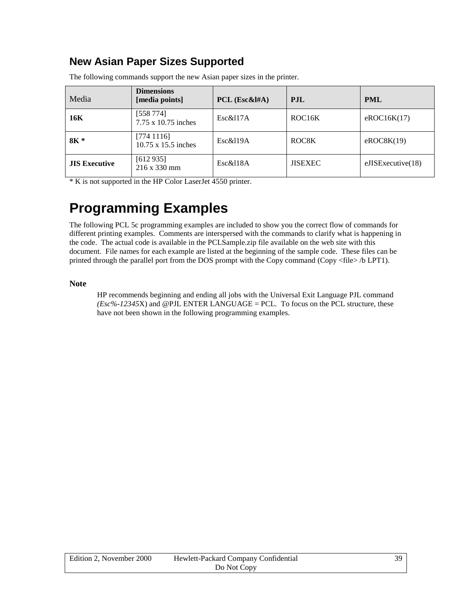### **New Asian Paper Sizes Supported**

| Media                | <b>Dimensions</b><br>[media points]     | PCL $(Esc&HA)$ | <b>P.IL</b>         | <b>PML</b>        |
|----------------------|-----------------------------------------|----------------|---------------------|-------------------|
| 16K                  | [558 774]<br>7.75 x 10.75 inches        | Esc&117A       | ROC <sub>16</sub> K | eROC16K(17)       |
| $8K *$               | [7741116]<br>$10.75 \times 15.5$ inches | Esc&119A       | ROC8K               | eROCSK(19)        |
| <b>JIS Executive</b> | [612935]<br>$216 \times 330 \text{ mm}$ | Esc&118A       | <b>JISEXEC</b>      | eJISExecutive(18) |

The following commands support the new Asian paper sizes in the printer.

\* K is not supported in the HP Color LaserJet 4550 printer.

# **Programming Examples**

The following PCL 5c programming examples are included to show you the correct flow of commands for different printing examples. Comments are interspersed with the commands to clarify what is happening in the code. The actual code is available in the PCLSample.zip file available on the web site with this document. File names for each example are listed at the beginning of the sample code. These files can be printed through the parallel port from the DOS prompt with the Copy command (Copy <file> /b LPT1).

#### **Note**

HP recommends beginning and ending all jobs with the Universal Exit Language PJL command *(Esc%-12345*X) and @PJL ENTER LANGUAGE = PCL. To focus on the PCL structure, these have not been shown in the following programming examples.

| Edition 2, November 2000 | Hewlett-Packard Company Confidential | 39 |
|--------------------------|--------------------------------------|----|
|                          | Do Not Copy                          |    |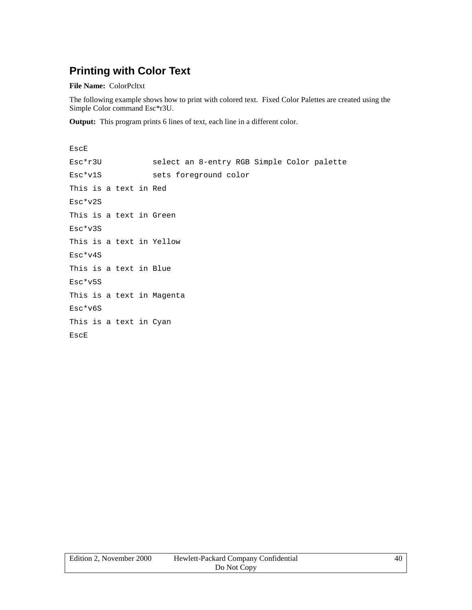## **Printing with Color Text**

**File Name:** ColorPcltxt

The following example shows how to print with colored text. Fixed Color Palettes are created using the Simple Color command Esc\*r3U.

**Output:** This program prints 6 lines of text, each line in a different color.

EscE Esc\*r3U select an 8-entry RGB Simple Color palette Esc\*v1S sets foreground color This is a text in Red Esc\*v2S This is a text in Green Esc\*v3S This is a text in Yellow Esc\*v4S This is a text in Blue Esc\*v5S This is a text in Magenta Esc\*v6S This is a text in Cyan EscE

| Edition 2, November 2000 | Hewlett-Packard Company Confidential | 40 |
|--------------------------|--------------------------------------|----|
|                          | Do Not Copy                          |    |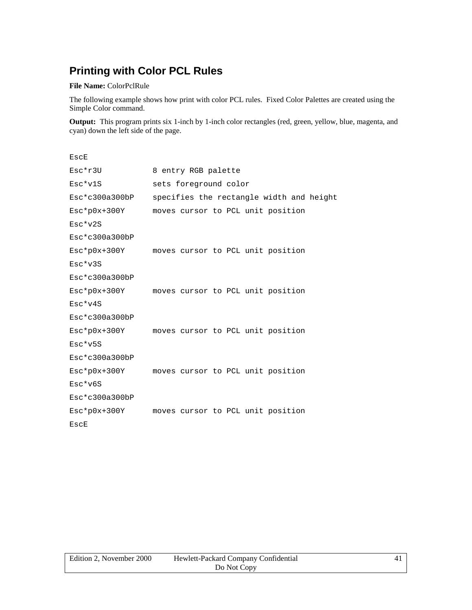# **Printing with Color PCL Rules**

#### **File Name:** ColorPclRule

The following example shows how print with color PCL rules. Fixed Color Palettes are created using the Simple Color command.

**Output:** This program prints six 1-inch by 1-inch color rectangles (red, green, yellow, blue, magenta, and cyan) down the left side of the page.

| EscE               |                                                |
|--------------------|------------------------------------------------|
| Esc*r3U            | 8 entry RGB palette                            |
| Esc*v1S            | sets foreground color                          |
| $Esc*c300a300bp$   | specifies the rectangle width and height       |
| $Esc*p0x+300Y$     | moves cursor to PCL unit position              |
| $Esc*v2S$          |                                                |
| $Esc*c300a300bp$   |                                                |
|                    | Esc*p0x+300Y moves cursor to PCL unit position |
| $Esc*v3S$          |                                                |
| $Esc*c300a300bp$   |                                                |
| $Esc*p0x+300Y$     | moves cursor to PCL unit position              |
| $Esc*v4S$          |                                                |
| $Esc*c300a300bp$   |                                                |
| $Esc * p0x + 300Y$ | moves cursor to PCL unit position              |
| $Esc*v5S$          |                                                |
| $Esc*c300a300bp$   |                                                |
| $Esc*p0x+300Y$     | moves cursor to PCL unit position              |
| $Esc*v6S$          |                                                |
| Esc*c300a300bP     |                                                |
| $Esc * p0x + 300Y$ | moves cursor to PCL unit position              |
| EscE               |                                                |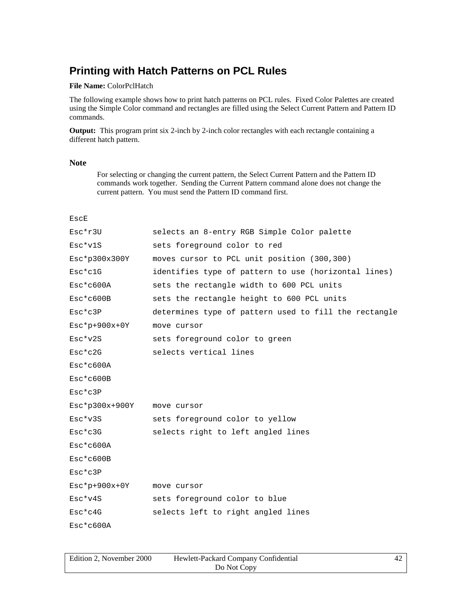### **Printing with Hatch Patterns on PCL Rules**

#### **File Name:** ColorPclHatch

The following example shows how to print hatch patterns on PCL rules. Fixed Color Palettes are created using the Simple Color command and rectangles are filled using the Select Current Pattern and Pattern ID commands.

**Output:** This program print six 2-inch by 2-inch color rectangles with each rectangle containing a different hatch pattern.

#### **Note**

For selecting or changing the current pattern, the Select Current Pattern and the Pattern ID commands work together. Sending the Current Pattern command alone does not change the current pattern. You must send the Pattern ID command first.

| EscE                  |                                                       |
|-----------------------|-------------------------------------------------------|
| Esc*r3U               | selects an 8-entry RGB Simple Color palette           |
| $Esc*v1S$             | sets foreground color to red                          |
| Esc*p300x300Y         | moves cursor to PCL unit position (300,300)           |
| $Esc*c1G$             | identifies type of pattern to use (horizontal lines)  |
| $Esc*c600A$           | sets the rectangle width to 600 PCL units             |
| $Esc*c600B$           | sets the rectangle height to 600 PCL units            |
| Esc*c3P               | determines type of pattern used to fill the rectangle |
| $Esc * p + 900x + 0Y$ | move cursor                                           |
| $Esc*v2S$             | sets foreground color to green                        |
| $Esc*c2G$             | selects vertical lines                                |
| $Esc*c600A$           |                                                       |
| $Esc*c600B$           |                                                       |
| $Esc*c3P$             |                                                       |
| $Esc * p300x+900Y$    | move cursor                                           |
| $Esc*v3S$             | sets foreground color to yellow                       |
| $Esc*c3G$             | selects right to left angled lines                    |
| $Esc*c600A$           |                                                       |
| $Esc*c600B$           |                                                       |
| $Esc*c3P$             |                                                       |
| $Esc * p + 900x + 0Y$ | move cursor                                           |
| $Esc*v4S$             | sets foreground color to blue                         |
| $Esc*c4G$             | selects left to right angled lines                    |
| $Esc*c600A$           |                                                       |

| Edition 2, November 2000 | Hewlett-Packard Company Confidential |  |
|--------------------------|--------------------------------------|--|
|                          | Do Not Copy                          |  |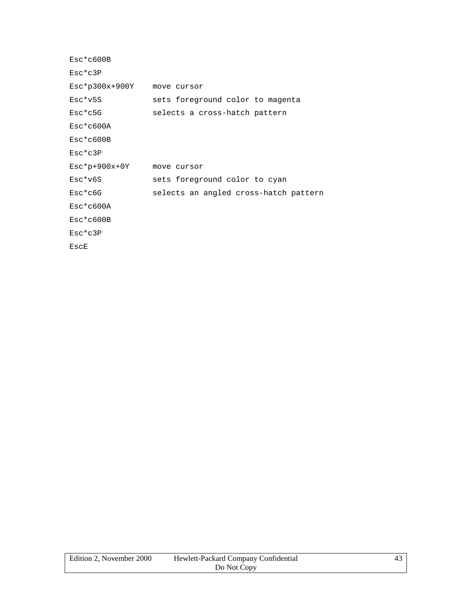| $Esc*c600B$        |                                       |
|--------------------|---------------------------------------|
| $Esc*c3P$          |                                       |
| $Esc * p300x+900Y$ | move cursor                           |
| $Esc*v5S$          | sets foreground color to magenta      |
| $Esc*c5G$          | selects a cross-hatch pattern         |
| $Esc*c600A$        |                                       |
| $Esc*c600B$        |                                       |
| $Esc*c3P$          |                                       |
| $Esc*p+900x+0Y$    | move cursor                           |
| $Esc*v6S$          | sets foreground color to cyan         |
| $Esc*c6G$          | selects an angled cross-hatch pattern |
| $Esc*c600A$        |                                       |
| $Esc*c600B$        |                                       |
| $Esc*c3P$          |                                       |
| EscE               |                                       |
|                    |                                       |

| Edition 2, November 2000 | Hewlett-Packard Company Confidential |  |
|--------------------------|--------------------------------------|--|
|                          | Do Not Copy                          |  |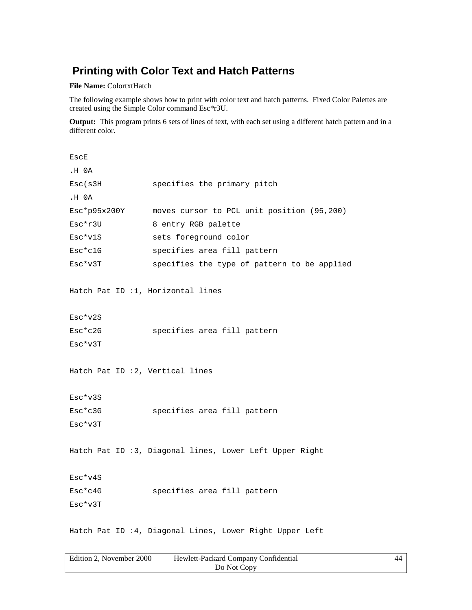### **Printing with Color Text and Hatch Patterns**

**File Name:** ColortxtHatch

The following example shows how to print with color text and hatch patterns. Fixed Color Palettes are created using the Simple Color command Esc\*r3U.

**Output:** This program prints 6 sets of lines of text, with each set using a different hatch pattern and in a different color.

| EscE                            |                                                         |
|---------------------------------|---------------------------------------------------------|
| .H 0A                           |                                                         |
| Esc(s3H                         | specifies the primary pitch                             |
| .H 0A                           |                                                         |
| Esc*p95x200Y                    | moves cursor to PCL unit position (95,200)              |
| Esc*r3U                         | 8 entry RGB palette                                     |
| Esc*v1S                         | sets foreground color                                   |
| Esc*c1G                         | specifies area fill pattern                             |
| Esc*v3T                         | specifies the type of pattern to be applied             |
|                                 |                                                         |
|                                 | Hatch Pat ID :1, Horizontal lines                       |
|                                 |                                                         |
| Esc*v2S                         |                                                         |
| Esc*c2G                         | specifies area fill pattern                             |
| Esc*v3T                         |                                                         |
|                                 |                                                         |
| Hatch Pat ID :2, Vertical lines |                                                         |
|                                 |                                                         |
| Esc*v3S                         |                                                         |
| Esc*c3G                         | specifies area fill pattern                             |
| Esc*v3T                         |                                                         |
|                                 |                                                         |
|                                 | Hatch Pat ID :3, Diagonal lines, Lower Left Upper Right |
|                                 |                                                         |
| Esc*v4S                         |                                                         |
| Esc*c4G                         | specifies area fill pattern                             |
| Esc*v3T                         |                                                         |
|                                 |                                                         |
|                                 |                                                         |

Hatch Pat ID :4, Diagonal Lines, Lower Right Upper Left

| Edition 2. November 2000 | Hewlett-Packard Company Confidential | 44 |
|--------------------------|--------------------------------------|----|
|                          | Do Not Copy                          |    |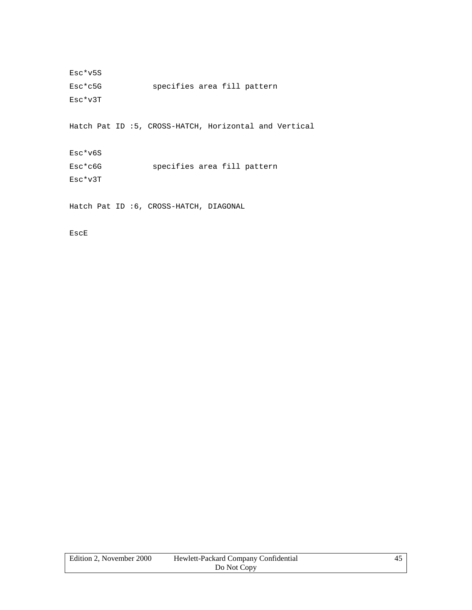Esc\*v5S Esc\*c5G specifies area fill pattern Esc\*v3T

Hatch Pat ID :5, CROSS-HATCH, Horizontal and Vertical

Esc\*v6S Esc\*c6G specifies area fill pattern Esc\*v3T

Hatch Pat ID :6, CROSS-HATCH, DIAGONAL

EscE

| Edition 2. November 2000 | Hewlett-Packard Company Confidential |  |
|--------------------------|--------------------------------------|--|
|                          | Do Not Copy                          |  |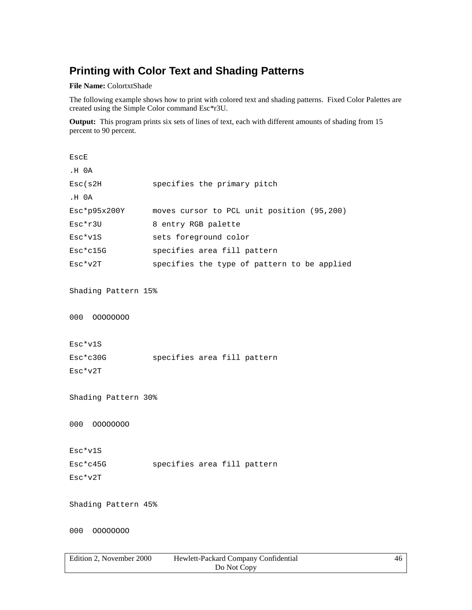## **Printing with Color Text and Shading Patterns**

**File Name:** ColortxtShade

The following example shows how to print with colored text and shading patterns. Fixed Color Palettes are created using the Simple Color command Esc\*r3U.

**Output:** This program prints six sets of lines of text, each with different amounts of shading from 15 percent to 90 percent.

| EscE                              |                                             |
|-----------------------------------|---------------------------------------------|
| .H 0A                             |                                             |
| Esc(s2H)                          | specifies the primary pitch                 |
| .H 0A                             |                                             |
| Esc*p95x200Y                      | moves cursor to PCL unit position (95,200)  |
| Esc*r3U                           | 8 entry RGB palette                         |
| Esc*v1S                           | sets foreground color                       |
| Esc*c15G                          | specifies area fill pattern                 |
| $Esc*v2T$                         | specifies the type of pattern to be applied |
|                                   |                                             |
| Shading Pattern 15%               |                                             |
|                                   |                                             |
| 000 00000000                      |                                             |
|                                   |                                             |
| Esc*v1S                           |                                             |
| Esc*c30G                          | specifies area fill pattern                 |
| Esc*v2T                           |                                             |
|                                   |                                             |
| Shading Pattern 30%               |                                             |
|                                   |                                             |
| 000<br>00000000                   |                                             |
|                                   |                                             |
| Esc*v1S                           |                                             |
| $Esc*c45G$                        | specifies area fill pattern                 |
| $Esc*v2T$                         |                                             |
|                                   |                                             |
| Shading Pattern 45%               |                                             |
|                                   |                                             |
| 00000000<br>000                   |                                             |
|                                   |                                             |
| $\lambda$ <sup>T</sup> 1 0.000 IT |                                             |

| Edition 2. November 2000 | Hewlett-Packard Company Confidential | 46 |
|--------------------------|--------------------------------------|----|
|                          | Do Not Copy                          |    |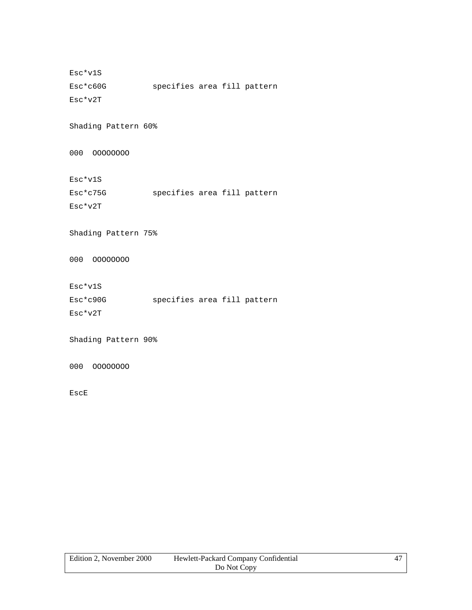Esc\*v1S Esc\*c60G specifies area fill pattern Esc\*v2T

Shading Pattern 60%

000 OOOOOOOO

Esc\*v1S

Esc\*c75G specifies area fill pattern

Esc\*v2T

Shading Pattern 75%

000 OOOOOOOO

Esc\*v1S

| Esc*c90G | specifies area fill pattern |  |  |
|----------|-----------------------------|--|--|
| Esc*v2T  |                             |  |  |

Shading Pattern 90%

000 OOOOOOOO

EscE

| Edition 2. November 2000 | Hewlett-Packard Company Confidential |  |
|--------------------------|--------------------------------------|--|
|                          | Do Not Copy                          |  |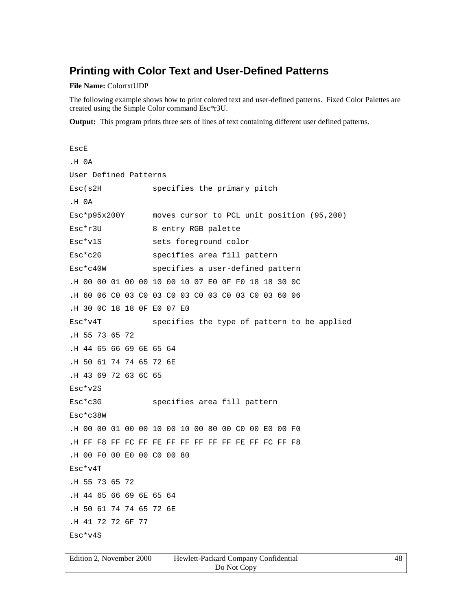### **Printing with Color Text and User-Defined Patterns**

#### **File Name:** ColortxtUDP

The following example shows how to print colored text and user-defined patterns. Fixed Color Palettes are created using the Simple Color command Esc\*r3U.

**Output:** This program prints three sets of lines of text containing different user defined patterns.

```
EscE
.H 0A
User Defined Patterns
Esc(s2H specifies the primary pitch
.H 0A
Esc*p95x200Y moves cursor to PCL unit position (95,200)
Esc*r3U 8 entry RGB palette
Esc*v1S sets foreground color
Esc*c2G specifies area fill pattern
Esc*c40W specifies a user-defined pattern
.H 00 00 01 00 00 10 00 10 07 E0 0F F0 18 18 30 0C
.H 60 06 C0 03 C0 03 C0 03 C0 03 C0 03 C0 03 60 06
.H 30 0C 18 18 0F E0 07 E0
Esc*v4T specifies the type of pattern to be applied
.H 55 73 65 72
.H 44 65 66 69 6E 65 64
.H 50 61 74 74 65 72 6E
.H 43 69 72 63 6C 65
Esc*v2S
Esc*c3G specifies area fill pattern
Esc*c38W
.H 00 00 01 00 00 10 00 10 00 80 00 C0 00 E0 00 F0
.H FF F8 FF FC FF FE FF FF FF FF FF FE FF FC FF F8
.H 00 F0 00 E0 00 C0 00 80
Esc*v4T
.H 55 73 65 72
.H 44 65 66 69 6E 65 64
.H 50 61 74 74 65 72 6E
.H 41 72 72 6F 77
Esc*v4S
```

| Edition 2. November 2000 | Hewlett-Packard Company Confidential | 48 |
|--------------------------|--------------------------------------|----|
|                          | Do Not Copy                          |    |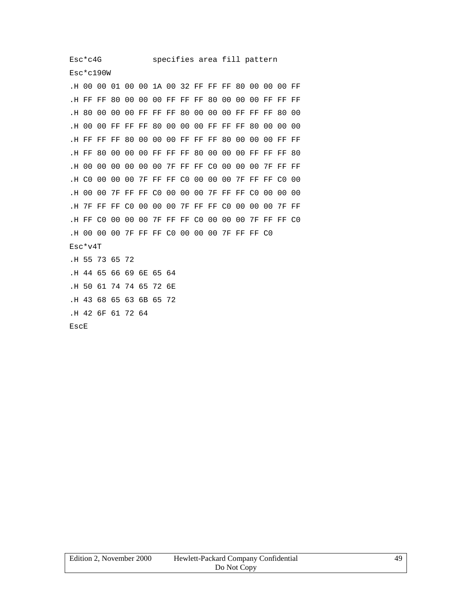Esc\*c190W

.H 00 00 01 00 00 1A 00 32 FF FF FF 80 00 00 00 FF .H FF FF 80 00 00 00 FF FF FF 80 00 00 00 FF FF FF .H 80 00 00 00 FF FF FF 80 00 00 00 FF FF FF 80 00 .H 00 00 FF FF FF 80 00 00 00 FF FF FF 80 00 00 00 .H FF FF FF 80 00 00 00 FF FF FF 80 00 00 00 FF FF .H FF 80 00 00 00 FF FF FF 80 00 00 00 FF FF FF 80 .H 00 00 00 00 00 00 7F FF FF C0 00 00 00 7F FF FF .H C0 00 00 00 7F FF FF C0 00 00 00 7F FF FF C0 00 .H 00 00 7F FF FF C0 00 00 00 7F FF FF C0 00 00 00 .H 7F FF FF C0 00 00 00 7F FF FF C0 00 00 00 7F FF .H FF C0 00 00 00 7F FF FF C0 00 00 00 7F FF FF C0 .H 00 00 00 7F FF FF C0 00 00 00 7F FF FF C0 Esc\*v4T .H 55 73 65 72 .H 44 65 66 69 6E 65 64 .H 50 61 74 74 65 72 6E .H 43 68 65 63 6B 65 72 .H 42 6F 61 72 64 EscE

| Edition 2. November 2000 | Hewlett-Packard Company Confidential | 49 |
|--------------------------|--------------------------------------|----|
|                          | Do Not Copy                          |    |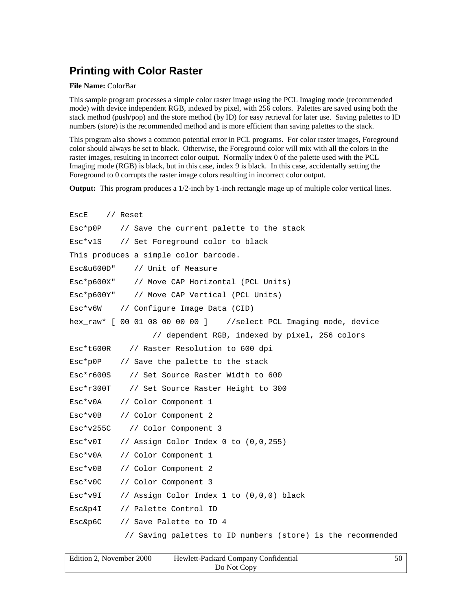### **Printing with Color Raster**

#### **File Name:** ColorBar

This sample program processes a simple color raster image using the PCL Imaging mode (recommended mode) with device independent RGB, indexed by pixel, with 256 colors. Palettes are saved using both the stack method (push/pop) and the store method (by ID) for easy retrieval for later use. Saving palettes to ID numbers (store) is the recommended method and is more efficient than saving palettes to the stack.

This program also shows a common potential error in PCL programs. For color raster images, Foreground color should always be set to black. Otherwise, the Foreground color will mix with all the colors in the raster images, resulting in incorrect color output. Normally index 0 of the palette used with the PCL Imaging mode (RGB) is black, but in this case, index 9 is black. In this case, accidentally setting the Foreground to 0 corrupts the raster image colors resulting in incorrect color output.

**Output:** This program produces a  $1/2$ -inch by 1-inch rectangle mage up of multiple color vertical lines.

```
EscE // Reset
Esc*p0P // Save the current palette to the stack
Esc*v1S // Set Foreground color to black
This produces a simple color barcode.
Esc&u600D" // Unit of Measure
Esc*p600X" // Move CAP Horizontal (PCL Units)
Esc*p600Y" // Move CAP Vertical (PCL Units)
Esc*v6W // Configure Image Data (CID)
hex_raw* [ 00 01 08 00 00 00 ] //select PCL Imaging mode, device
                 // dependent RGB, indexed by pixel, 256 colors
Esc*t600R // Raster Resolution to 600 dpi
Esc*p0P // Save the palette to the stack
Esc*r600S // Set Source Raster Width to 600
Esc*r300T // Set Source Raster Height to 300
Esc*v0A // Color Component 1
Esc*v0B // Color Component 2
Esc*v255C // Color Component 3
Esc*v0I // Assign Color Index 0 to (0,0,255)
Esc*v0A // Color Component 1
Esc*v0B // Color Component 2
Esc*v0C // Color Component 3
Esc*v9I // Assign Color Index 1 to (0,0,0) black
Esc&p4I // Palette Control ID
Esc&p6C // Save Palette to ID 4
           // Saving palettes to ID numbers (store) is the recommended
```

| Edition 2, November 2000 | Hewlett-Packard Company Confidential |  |
|--------------------------|--------------------------------------|--|
|                          | Do Not Copy                          |  |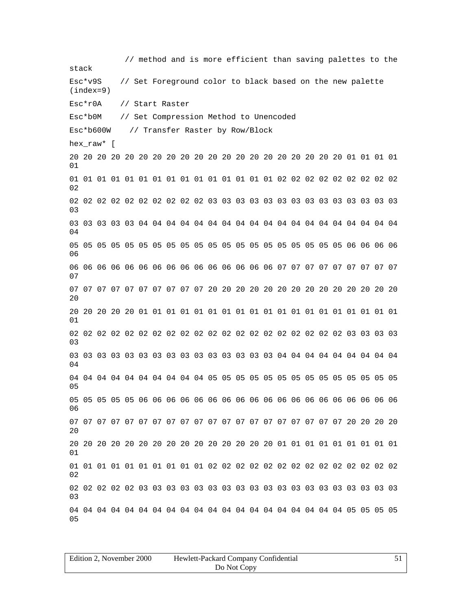| Edition 2, November 2000 | Hewlett-Packard Company Confidential |  |
|--------------------------|--------------------------------------|--|
|                          | Do Not Copy                          |  |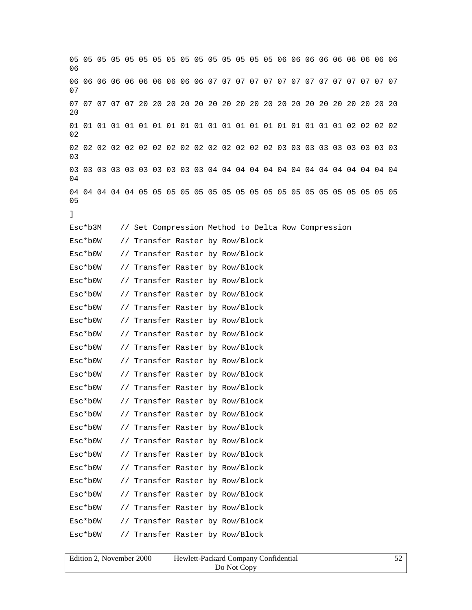05 05 05 05 05 05 05 05 05 05 05 05 05 05 05 06 06 06 06 06 06 06 06 06 06 06 06 06 06 06 06 06 06 06 06 07 07 07 07 07 07 07 07 07 07 07 07 07 07 07 07 07 07 07 07 20 20 20 20 20 20 20 20 20 20 20 20 20 20 20 20 20 20 20  $20^{\circ}$ 01 01 01 01 01 01 01 01 01 01 01 01 01 01 01 01 01 01 01 01 02 02 02 02 02 02 02 02 02 02 02 02 02 02 02 02 02 02 02 02 03 03 03 03 03 03 03 03 03  $03$ 03 03 03 03 03 03 03 03 03 03 04 04 04 04 04 04 04 04 04 04 04 04 04 04 04 04 04 04 04 04 05 05 05 05 05 05 05 05 05 05 05 05 05 05 05 05 05 05 05 05 ] Esc\*b3M // Set Compression Method to Delta Row Compression Esc\*b0W // Transfer Raster by Row/Block Esc\*b0W // Transfer Raster by Row/Block Esc\*b0W // Transfer Raster by Row/Block Esc\*b0W // Transfer Raster by Row/Block Esc\*b0W // Transfer Raster by Row/Block Esc\*b0W // Transfer Raster by Row/Block Esc\*b0W // Transfer Raster by Row/Block Esc\*b0W // Transfer Raster by Row/Block Esc\*b0W // Transfer Raster by Row/Block Esc\*b0W // Transfer Raster by Row/Block Esc\*b0W // Transfer Raster by Row/Block Esc\*b0W // Transfer Raster by Row/Block Esc\*b0W // Transfer Raster by Row/Block Esc\*b0W // Transfer Raster by Row/Block Esc\*b0W // Transfer Raster by Row/Block Esc\*b0W // Transfer Raster by Row/Block Esc\*b0W // Transfer Raster by Row/Block Esc\*b0W // Transfer Raster by Row/Block Esc\*b0W // Transfer Raster by Row/Block Esc\*b0W // Transfer Raster by Row/Block Esc\*b0W // Transfer Raster by Row/Block Esc\*b0W // Transfer Raster by Row/Block Esc\*b0W // Transfer Raster by Row/Block

| Edition 2. November 2000 | Hewlett-Packard Company Confidential |  |
|--------------------------|--------------------------------------|--|
|                          | Do Not Copy                          |  |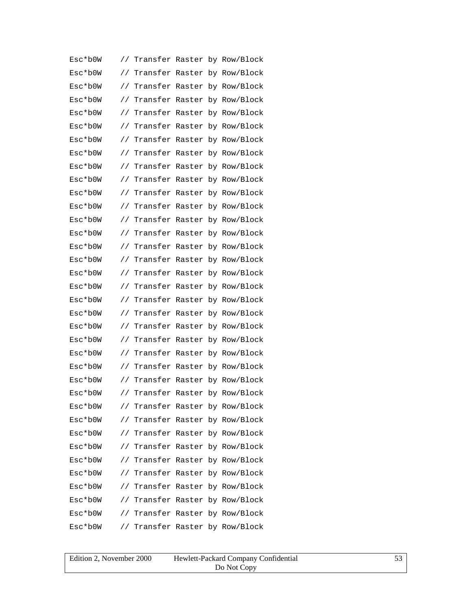| Esc*b0W       | $\frac{1}{2}$ |  | Transfer Raster by Row/Block    |
|---------------|---------------|--|---------------------------------|
| Esc*b0W       | $\frac{1}{2}$ |  | Transfer Raster by Row/Block    |
| $Esc*$ b $0W$ | $\frac{1}{2}$ |  | Transfer Raster by Row/Block    |
| Esc*b0W       | $\frac{1}{2}$ |  | Transfer Raster by Row/Block    |
| Esc*b0W       | $\frac{1}{2}$ |  | Transfer Raster by Row/Block    |
| $Esc*$ b $0W$ | $\frac{1}{2}$ |  | Transfer Raster by Row/Block    |
| Esc*b0W       | $\frac{1}{2}$ |  | Transfer Raster by Row/Block    |
| Esc*b0W       | $\frac{1}{2}$ |  | Transfer Raster by Row/Block    |
| Esc*b0W       | $\frac{1}{2}$ |  | Transfer Raster by Row/Block    |
| Esc*b0W       | $\frac{1}{2}$ |  | Transfer Raster by Row/Block    |
| Esc*b0W       | $\frac{1}{2}$ |  | Transfer Raster by Row/Block    |
| Esc*b0W       | $\frac{1}{2}$ |  | Transfer Raster by Row/Block    |
| Esc*b0W       | $\frac{1}{2}$ |  | Transfer Raster by Row/Block    |
| Esc*b0W       | $\frac{1}{2}$ |  | Transfer Raster by Row/Block    |
| $Esc*$ b0W    | $\frac{1}{2}$ |  | Transfer Raster by Row/Block    |
| Esc*b0W       | $\frac{1}{2}$ |  | Transfer Raster by Row/Block    |
| Esc*b0W       | $\frac{1}{2}$ |  | Transfer Raster by Row/Block    |
| Esc*b0W       | $\frac{1}{2}$ |  | Transfer Raster by Row/Block    |
| Esc*b0W       | $\frac{1}{2}$ |  | Transfer Raster by Row/Block    |
| Esc*b0W       | $\frac{1}{2}$ |  | Transfer Raster by Row/Block    |
| Esc*b0W       | $\frac{1}{2}$ |  | Transfer Raster by Row/Block    |
| Esc*b0W       | $\frac{1}{2}$ |  | Transfer Raster by Row/Block    |
| $Esc*$ b $0W$ | $\frac{1}{2}$ |  | Transfer Raster by Row/Block    |
| $Esc*$ b0W    |               |  | // Transfer Raster by Row/Block |
| Esc*b0W       |               |  | // Transfer Raster by Row/Block |
| $Esc*$ b $0W$ |               |  | // Transfer Raster by Row/Block |
| Esc*b0W       | $\frac{1}{2}$ |  | Transfer Raster by Row/Block    |
| Esc*b0W       |               |  | // Transfer Raster by Row/Block |
| Esc*b0W       |               |  | // Transfer Raster by Row/Block |
| Esc*b0W       | $\frac{1}{2}$ |  | Transfer Raster by Row/Block    |
| Esc*b0W       | $\frac{1}{2}$ |  | Transfer Raster by Row/Block    |
| Esc*b0W       |               |  | // Transfer Raster by Row/Block |
| Esc*b0W       |               |  | // Transfer Raster by Row/Block |
| Esc*b0W       |               |  | // Transfer Raster by Row/Block |
| Esc*b0W       |               |  | // Transfer Raster by Row/Block |
| Esc*b0W       |               |  | // Transfer Raster by Row/Block |

| Edition 2, November 2000 | Hewlett-Packard Company Confidential | 53 |
|--------------------------|--------------------------------------|----|
|                          | Do Not Copy                          |    |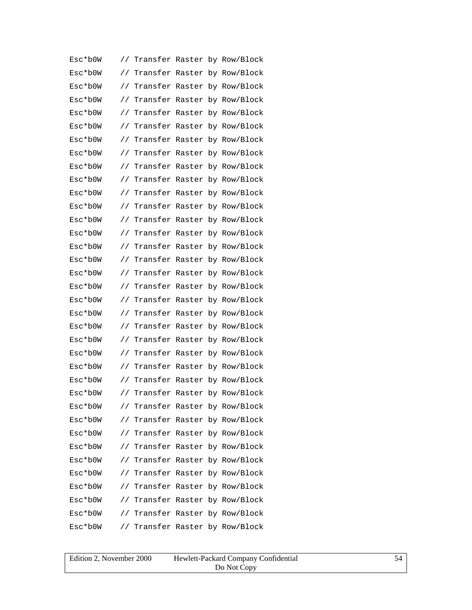| Esc*b0W       | $\frac{1}{2}$ |  | Transfer Raster by Row/Block    |
|---------------|---------------|--|---------------------------------|
| Esc*b0W       | $\frac{1}{2}$ |  | Transfer Raster by Row/Block    |
| $Esc*$ b $0W$ | $\frac{1}{2}$ |  | Transfer Raster by Row/Block    |
| Esc*b0W       | $\frac{1}{2}$ |  | Transfer Raster by Row/Block    |
| Esc*b0W       | $\frac{1}{2}$ |  | Transfer Raster by Row/Block    |
| $Esc*$ b $0W$ | $\frac{1}{2}$ |  | Transfer Raster by Row/Block    |
| Esc*b0W       | $\frac{1}{2}$ |  | Transfer Raster by Row/Block    |
| Esc*b0W       | $\frac{1}{2}$ |  | Transfer Raster by Row/Block    |
| Esc*b0W       | $\frac{1}{2}$ |  | Transfer Raster by Row/Block    |
| Esc*b0W       | $\frac{1}{2}$ |  | Transfer Raster by Row/Block    |
| Esc*b0W       | $\frac{1}{2}$ |  | Transfer Raster by Row/Block    |
| Esc*b0W       | $\frac{1}{2}$ |  | Transfer Raster by Row/Block    |
| Esc*b0W       | $\frac{1}{2}$ |  | Transfer Raster by Row/Block    |
| Esc*b0W       | $\frac{1}{2}$ |  | Transfer Raster by Row/Block    |
| $Esc*$ b0W    | $\frac{1}{2}$ |  | Transfer Raster by Row/Block    |
| Esc*b0W       | $\frac{1}{2}$ |  | Transfer Raster by Row/Block    |
| Esc*b0W       | $\frac{1}{2}$ |  | Transfer Raster by Row/Block    |
| Esc*b0W       | $\frac{1}{2}$ |  | Transfer Raster by Row/Block    |
| Esc*b0W       | $\frac{1}{2}$ |  | Transfer Raster by Row/Block    |
| Esc*b0W       | $\frac{1}{2}$ |  | Transfer Raster by Row/Block    |
| Esc*b0W       | $\frac{1}{2}$ |  | Transfer Raster by Row/Block    |
| Esc*b0W       | $\frac{1}{2}$ |  | Transfer Raster by Row/Block    |
| Esc*b0W       | $\frac{1}{2}$ |  | Transfer Raster by Row/Block    |
| $Esc*$ b0W    |               |  | // Transfer Raster by Row/Block |
| Esc*b0W       |               |  | // Transfer Raster by Row/Block |
| $Esc*$ b $0W$ |               |  | // Transfer Raster by Row/Block |
| Esc*b0W       | $\frac{1}{2}$ |  | Transfer Raster by Row/Block    |
| Esc*b0W       |               |  | // Transfer Raster by Row/Block |
| Esc*b0W       |               |  | // Transfer Raster by Row/Block |
| Esc*b0W       | $\frac{1}{2}$ |  | Transfer Raster by Row/Block    |
| Esc*b0W       | $\frac{1}{2}$ |  | Transfer Raster by Row/Block    |
| Esc*b0W       |               |  | // Transfer Raster by Row/Block |
| Esc*b0W       |               |  | // Transfer Raster by Row/Block |
| Esc*b0W       |               |  | // Transfer Raster by Row/Block |
| Esc*b0W       |               |  | // Transfer Raster by Row/Block |
| Esc*b0W       |               |  | // Transfer Raster by Row/Block |

| Edition 2, November 2000 | Hewlett-Packard Company Confidential |  |
|--------------------------|--------------------------------------|--|
|                          | Do Not Copy                          |  |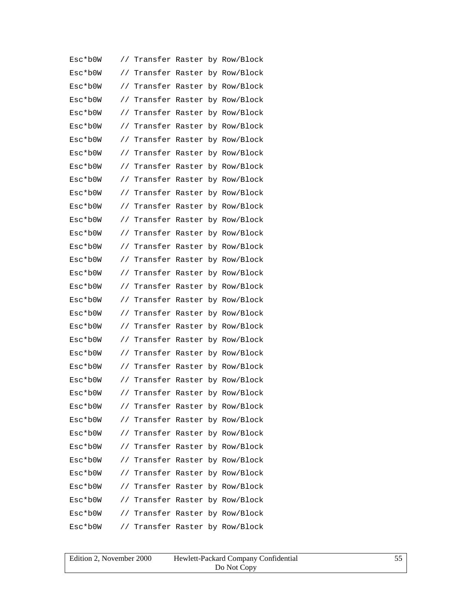| Esc*b0W       | $\frac{1}{2}$ |  | Transfer Raster by Row/Block    |
|---------------|---------------|--|---------------------------------|
| Esc*b0W       | $\frac{1}{2}$ |  | Transfer Raster by Row/Block    |
| Esc*b0W       | $\frac{1}{2}$ |  | Transfer Raster by Row/Block    |
| Esc*b0W       | $\frac{1}{2}$ |  | Transfer Raster by Row/Block    |
| Esc*b0W       | $\frac{1}{2}$ |  | Transfer Raster by Row/Block    |
| $Esc*$ b $0W$ | $\frac{1}{2}$ |  | Transfer Raster by Row/Block    |
| Esc*b0W       | $\frac{1}{2}$ |  | Transfer Raster by Row/Block    |
| Esc*b0W       | $\frac{1}{2}$ |  | Transfer Raster by Row/Block    |
| Esc*b0W       | $\frac{1}{2}$ |  | Transfer Raster by Row/Block    |
| Esc*b0W       | $\frac{1}{2}$ |  | Transfer Raster by Row/Block    |
| Esc*b0W       | $\frac{1}{2}$ |  | Transfer Raster by Row/Block    |
| Esc*b0W       | $\frac{1}{2}$ |  | Transfer Raster by Row/Block    |
| Esc*b0W       | $\frac{1}{2}$ |  | Transfer Raster by Row/Block    |
| Esc*b0W       | $\frac{1}{2}$ |  | Transfer Raster by Row/Block    |
| $Esc*$ b0W    | $\frac{1}{2}$ |  | Transfer Raster by Row/Block    |
| Esc*b0W       | $\frac{1}{2}$ |  | Transfer Raster by Row/Block    |
| Esc*b0W       | $\frac{1}{2}$ |  | Transfer Raster by Row/Block    |
| Esc*b0W       | $\frac{1}{2}$ |  | Transfer Raster by Row/Block    |
| Esc*b0W       | $\frac{1}{2}$ |  | Transfer Raster by Row/Block    |
| Esc*b0W       | $\frac{1}{2}$ |  | Transfer Raster by Row/Block    |
| Esc*b0W       | $\frac{1}{2}$ |  | Transfer Raster by Row/Block    |
| Esc*b0W       | $\frac{1}{2}$ |  | Transfer Raster by Row/Block    |
| $Esc*$ b $0W$ | $\frac{1}{2}$ |  | Transfer Raster by Row/Block    |
| $Esc*$ b0W    |               |  | // Transfer Raster by Row/Block |
| Esc*b0W       |               |  | // Transfer Raster by Row/Block |
| $Esc*$ b $0W$ |               |  | // Transfer Raster by Row/Block |
| Esc*b0W       | $\frac{1}{2}$ |  | Transfer Raster by Row/Block    |
| Esc*b0W       |               |  | // Transfer Raster by Row/Block |
| Esc*b0W       |               |  | // Transfer Raster by Row/Block |
| Esc*b0W       | $\frac{1}{2}$ |  | Transfer Raster by Row/Block    |
| Esc*b0W       | $\frac{1}{2}$ |  | Transfer Raster by Row/Block    |
| Esc*b0W       |               |  | // Transfer Raster by Row/Block |
| Esc*b0W       |               |  | // Transfer Raster by Row/Block |
| Esc*b0W       |               |  | // Transfer Raster by Row/Block |
| Esc*b0W       |               |  | // Transfer Raster by Row/Block |
| Esc*b0W       |               |  | // Transfer Raster by Row/Block |

| Edition 2, November 2000 | Hewlett-Packard Company Confidential |  |
|--------------------------|--------------------------------------|--|
|                          | Do Not Copy                          |  |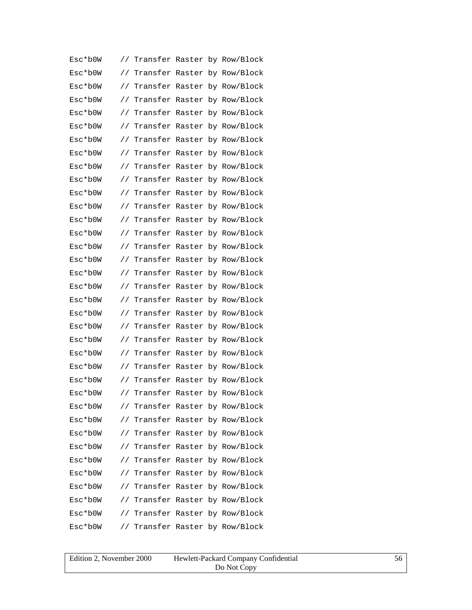| Esc*b0W       | $\frac{1}{2}$ |  | Transfer Raster by Row/Block    |
|---------------|---------------|--|---------------------------------|
| Esc*b0W       | $\frac{1}{2}$ |  | Transfer Raster by Row/Block    |
| $Esc*$ b $0W$ | $\frac{1}{2}$ |  | Transfer Raster by Row/Block    |
| Esc*b0W       | $\frac{1}{2}$ |  | Transfer Raster by Row/Block    |
| Esc*b0W       | $\frac{1}{2}$ |  | Transfer Raster by Row/Block    |
| $Esc*$ b $0W$ | $\frac{1}{2}$ |  | Transfer Raster by Row/Block    |
| Esc*b0W       | $\frac{1}{2}$ |  | Transfer Raster by Row/Block    |
| Esc*b0W       | $\frac{1}{2}$ |  | Transfer Raster by Row/Block    |
| Esc*b0W       | $\frac{1}{2}$ |  | Transfer Raster by Row/Block    |
| Esc*b0W       | $\frac{1}{2}$ |  | Transfer Raster by Row/Block    |
| Esc*b0W       | $\frac{1}{2}$ |  | Transfer Raster by Row/Block    |
| Esc*b0W       | $\frac{1}{2}$ |  | Transfer Raster by Row/Block    |
| Esc*b0W       | $\frac{1}{2}$ |  | Transfer Raster by Row/Block    |
| Esc*b0W       | $\frac{1}{2}$ |  | Transfer Raster by Row/Block    |
| $Esc*$ b0W    | $\frac{1}{2}$ |  | Transfer Raster by Row/Block    |
| Esc*b0W       | $\frac{1}{2}$ |  | Transfer Raster by Row/Block    |
| Esc*b0W       | $\frac{1}{2}$ |  | Transfer Raster by Row/Block    |
| Esc*b0W       | $\frac{1}{2}$ |  | Transfer Raster by Row/Block    |
| Esc*b0W       | $\frac{1}{2}$ |  | Transfer Raster by Row/Block    |
| Esc*b0W       | $\frac{1}{2}$ |  | Transfer Raster by Row/Block    |
| Esc*b0W       | $\frac{1}{2}$ |  | Transfer Raster by Row/Block    |
| Esc*b0W       | $\frac{1}{2}$ |  | Transfer Raster by Row/Block    |
| Esc*b0W       | $\frac{1}{2}$ |  | Transfer Raster by Row/Block    |
| $Esc*$ b0W    |               |  | // Transfer Raster by Row/Block |
| Esc*b0W       |               |  | // Transfer Raster by Row/Block |
| $Esc*$ b $0W$ |               |  | // Transfer Raster by Row/Block |
| Esc*b0W       | $\frac{1}{2}$ |  | Transfer Raster by Row/Block    |
| Esc*b0W       |               |  | // Transfer Raster by Row/Block |
| Esc*b0W       |               |  | // Transfer Raster by Row/Block |
| Esc*b0W       | $\frac{1}{2}$ |  | Transfer Raster by Row/Block    |
| Esc*b0W       | $\frac{1}{2}$ |  | Transfer Raster by Row/Block    |
| Esc*b0W       |               |  | // Transfer Raster by Row/Block |
| Esc*b0W       |               |  | // Transfer Raster by Row/Block |
| Esc*b0W       |               |  | // Transfer Raster by Row/Block |
| Esc*b0W       |               |  | // Transfer Raster by Row/Block |
| Esc*b0W       |               |  | // Transfer Raster by Row/Block |

| Edition 2, November 2000 | Hewlett-Packard Company Confidential |  |
|--------------------------|--------------------------------------|--|
|                          | Do Not Copy                          |  |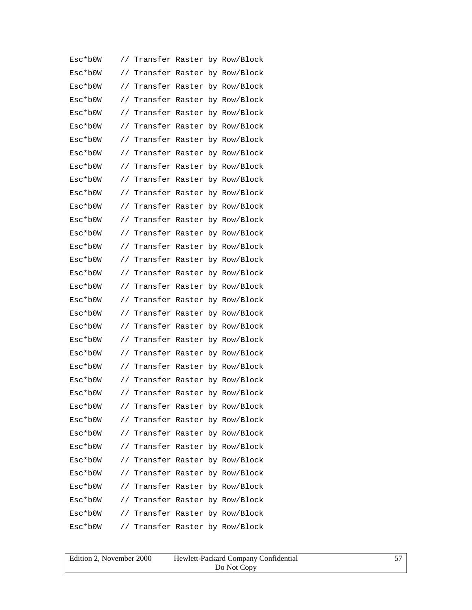| Esc*b0W       | $\frac{1}{2}$ |                 |  | Transfer Raster by Row/Block    |
|---------------|---------------|-----------------|--|---------------------------------|
| Esc*b0W       | $\frac{1}{2}$ |                 |  | Transfer Raster by Row/Block    |
| Esc*b0W       | $\frac{1}{2}$ |                 |  | Transfer Raster by Row/Block    |
| Esc*b0W       | $\frac{1}{2}$ |                 |  | Transfer Raster by Row/Block    |
| Esc*b0W       | $\frac{1}{2}$ |                 |  | Transfer Raster by Row/Block    |
| $Esc*$ b $0W$ | $\frac{1}{2}$ |                 |  | Transfer Raster by Row/Block    |
| Esc*b0W       | $\frac{1}{2}$ |                 |  | Transfer Raster by Row/Block    |
| Esc*b0W       | $\frac{1}{2}$ |                 |  | Transfer Raster by Row/Block    |
| Esc*b0W       | $\frac{1}{2}$ | Transfer Raster |  | by Row/Block                    |
| Esc*b0W       | $\frac{1}{2}$ |                 |  | Transfer Raster by Row/Block    |
| Esc*b0W       | $\frac{1}{2}$ |                 |  | Transfer Raster by Row/Block    |
| Esc*b0W       | $\frac{1}{2}$ |                 |  | Transfer Raster by Row/Block    |
| Esc*b0W       | $\frac{1}{2}$ |                 |  | Transfer Raster by Row/Block    |
| $Esc*$ b $0W$ | $\frac{1}{2}$ |                 |  | Transfer Raster by Row/Block    |
| $Esc*$ b $0W$ | $\frac{1}{2}$ |                 |  | Transfer Raster by Row/Block    |
| Esc*b0W       | $\frac{1}{2}$ |                 |  | Transfer Raster by Row/Block    |
| Esc*b0W       | $\frac{1}{2}$ |                 |  | Transfer Raster by Row/Block    |
| Esc*b0W       | $\frac{1}{2}$ | Transfer Raster |  | by Row/Block                    |
| Esc*b0W       | $\frac{1}{2}$ |                 |  | Transfer Raster by Row/Block    |
| Esc*b0W       | $\frac{1}{2}$ |                 |  | Transfer Raster by Row/Block    |
| Esc*b0W       | $\frac{1}{2}$ |                 |  | Transfer Raster by Row/Block    |
| Esc*b0W       | $\frac{1}{2}$ |                 |  | Transfer Raster by Row/Block    |
| $Esc*$ b $0W$ | $\frac{1}{2}$ |                 |  | Transfer Raster by Row/Block    |
| $Esc*$ b $0W$ |               |                 |  | // Transfer Raster by Row/Block |
| Esc*b0W       |               |                 |  | // Transfer Raster by Row/Block |
| Esc*b0W       |               |                 |  | // Transfer Raster by Row/Block |
| Esc*b0W       | $\frac{1}{2}$ |                 |  | Transfer Raster by Row/Block    |
| Esc*b0W       |               |                 |  | // Transfer Raster by Row/Block |
| Esc*b0W       |               |                 |  | // Transfer Raster by Row/Block |
| Esc*b0W       | $\frac{1}{2}$ |                 |  | Transfer Raster by Row/Block    |
| Esc*b0W       |               |                 |  | // Transfer Raster by Row/Block |
| Esc*b0W       |               |                 |  | // Transfer Raster by Row/Block |
| Esc*b0W       |               |                 |  | // Transfer Raster by Row/Block |
| Esc*b0W       |               |                 |  | // Transfer Raster by Row/Block |
| Esc*b0W       |               |                 |  | // Transfer Raster by Row/Block |
| Esc*b0W       |               |                 |  | // Transfer Raster by Row/Block |

| Edition 2, November 2000 | Hewlett-Packard Company Confidential | 57 |
|--------------------------|--------------------------------------|----|
|                          | Do Not Copy                          |    |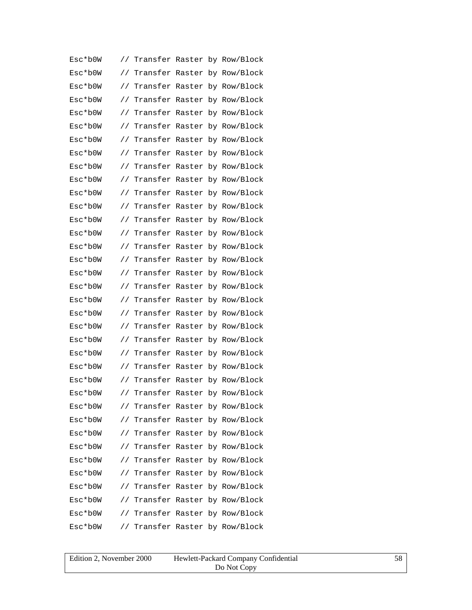| Esc*b0W       | $\frac{1}{2}$ |  | Transfer Raster by Row/Block    |
|---------------|---------------|--|---------------------------------|
| Esc*b0W       | $\frac{1}{2}$ |  | Transfer Raster by Row/Block    |
| $Esc*$ b $0W$ | $\frac{1}{2}$ |  | Transfer Raster by Row/Block    |
| Esc*b0W       | $\frac{1}{2}$ |  | Transfer Raster by Row/Block    |
| Esc*b0W       | $\frac{1}{2}$ |  | Transfer Raster by Row/Block    |
| $Esc*$ b $0W$ | $\frac{1}{2}$ |  | Transfer Raster by Row/Block    |
| Esc*b0W       | $\frac{1}{2}$ |  | Transfer Raster by Row/Block    |
| Esc*b0W       | $\frac{1}{2}$ |  | Transfer Raster by Row/Block    |
| Esc*b0W       | $\frac{1}{2}$ |  | Transfer Raster by Row/Block    |
| Esc*b0W       | $\frac{1}{2}$ |  | Transfer Raster by Row/Block    |
| Esc*b0W       | $\frac{1}{2}$ |  | Transfer Raster by Row/Block    |
| Esc*b0W       | $\frac{1}{2}$ |  | Transfer Raster by Row/Block    |
| Esc*b0W       | $\frac{1}{2}$ |  | Transfer Raster by Row/Block    |
| Esc*b0W       | $\frac{1}{2}$ |  | Transfer Raster by Row/Block    |
| $Esc*$ b0W    | $\frac{1}{2}$ |  | Transfer Raster by Row/Block    |
| Esc*b0W       | $\frac{1}{2}$ |  | Transfer Raster by Row/Block    |
| Esc*b0W       | $\frac{1}{2}$ |  | Transfer Raster by Row/Block    |
| Esc*b0W       | $\frac{1}{2}$ |  | Transfer Raster by Row/Block    |
| Esc*b0W       | $\frac{1}{2}$ |  | Transfer Raster by Row/Block    |
| Esc*b0W       | $\frac{1}{2}$ |  | Transfer Raster by Row/Block    |
| Esc*b0W       | $\frac{1}{2}$ |  | Transfer Raster by Row/Block    |
| Esc*b0W       | $\frac{1}{2}$ |  | Transfer Raster by Row/Block    |
| $Esc*$ b $0W$ | $\frac{1}{2}$ |  | Transfer Raster by Row/Block    |
| $Esc*$ b0W    |               |  | // Transfer Raster by Row/Block |
| Esc*b0W       |               |  | // Transfer Raster by Row/Block |
| $Esc*$ b $0W$ |               |  | // Transfer Raster by Row/Block |
| Esc*b0W       | $\frac{1}{2}$ |  | Transfer Raster by Row/Block    |
| Esc*b0W       |               |  | // Transfer Raster by Row/Block |
| Esc*b0W       |               |  | // Transfer Raster by Row/Block |
| Esc*b0W       | $\frac{1}{2}$ |  | Transfer Raster by Row/Block    |
| Esc*b0W       | $\frac{1}{2}$ |  | Transfer Raster by Row/Block    |
| Esc*b0W       |               |  | // Transfer Raster by Row/Block |
| Esc*b0W       |               |  | // Transfer Raster by Row/Block |
| Esc*b0W       |               |  | // Transfer Raster by Row/Block |
| Esc*b0W       |               |  | // Transfer Raster by Row/Block |
| Esc*b0W       |               |  | // Transfer Raster by Row/Block |

| Edition 2, November 2000 | Hewlett-Packard Company Confidential |  |
|--------------------------|--------------------------------------|--|
|                          | Do Not Copy                          |  |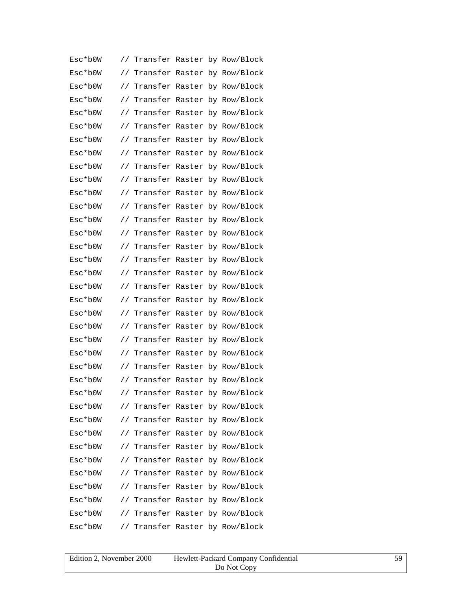| Esc*b0W       | $\frac{1}{2}$ |  | Transfer Raster by Row/Block    |
|---------------|---------------|--|---------------------------------|
| Esc*b0W       | $\frac{1}{2}$ |  | Transfer Raster by Row/Block    |
| Esc*b0W       | $\frac{1}{2}$ |  | Transfer Raster by Row/Block    |
| Esc*b0W       | $\frac{1}{2}$ |  | Transfer Raster by Row/Block    |
| Esc*b0W       | $\frac{1}{2}$ |  | Transfer Raster by Row/Block    |
| $Esc*$ b $0W$ | $\frac{1}{2}$ |  | Transfer Raster by Row/Block    |
| Esc*b0W       | $\frac{1}{2}$ |  | Transfer Raster by Row/Block    |
| Esc*b0W       | $\frac{1}{2}$ |  | Transfer Raster by Row/Block    |
| Esc*b0W       | $\frac{1}{2}$ |  | Transfer Raster by Row/Block    |
| Esc*b0W       | $\frac{1}{2}$ |  | Transfer Raster by Row/Block    |
| Esc*b0W       | $\frac{1}{2}$ |  | Transfer Raster by Row/Block    |
| Esc*b0W       | $\frac{1}{2}$ |  | Transfer Raster by Row/Block    |
| Esc*b0W       | $\frac{1}{2}$ |  | Transfer Raster by Row/Block    |
| Esc*b0W       | $\frac{1}{2}$ |  | Transfer Raster by Row/Block    |
| $Esc*$ b0W    | $\frac{1}{2}$ |  | Transfer Raster by Row/Block    |
| Esc*b0W       | $\frac{1}{2}$ |  | Transfer Raster by Row/Block    |
| Esc*b0W       | $\frac{1}{2}$ |  | Transfer Raster by Row/Block    |
| Esc*b0W       | $\frac{1}{2}$ |  | Transfer Raster by Row/Block    |
| Esc*b0W       | $\frac{1}{2}$ |  | Transfer Raster by Row/Block    |
| Esc*b0W       | $\frac{1}{2}$ |  | Transfer Raster by Row/Block    |
| Esc*b0W       | $\frac{1}{2}$ |  | Transfer Raster by Row/Block    |
| Esc*b0W       | $\frac{1}{2}$ |  | Transfer Raster by Row/Block    |
| Esc*b0W       | $\frac{1}{2}$ |  | Transfer Raster by Row/Block    |
| $Esc*$ b0W    |               |  | // Transfer Raster by Row/Block |
| Esc*b0W       |               |  | // Transfer Raster by Row/Block |
| $Esc*$ b $0W$ |               |  | // Transfer Raster by Row/Block |
| Esc*b0W       | $\frac{1}{2}$ |  | Transfer Raster by Row/Block    |
| Esc*b0W       |               |  | // Transfer Raster by Row/Block |
| Esc*b0W       |               |  | // Transfer Raster by Row/Block |
| Esc*b0W       | $\frac{1}{2}$ |  | Transfer Raster by Row/Block    |
| Esc*b0W       | $\frac{1}{2}$ |  | Transfer Raster by Row/Block    |
| Esc*b0W       |               |  | // Transfer Raster by Row/Block |
| Esc*b0W       |               |  | // Transfer Raster by Row/Block |
| Esc*b0W       |               |  | // Transfer Raster by Row/Block |
| Esc*b0W       |               |  | // Transfer Raster by Row/Block |
| Esc*b0W       |               |  | // Transfer Raster by Row/Block |

| Edition 2, November 2000 | Hewlett-Packard Company Confidential | 59 |
|--------------------------|--------------------------------------|----|
|                          | Do Not Copy                          |    |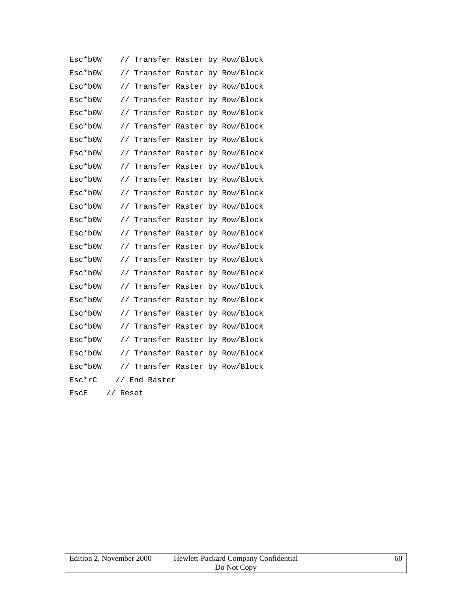| Esc*b0W | $\frac{1}{2}$ |               |  | Transfer Raster by Row/Block |
|---------|---------------|---------------|--|------------------------------|
| Esc*b0W | $\frac{1}{2}$ |               |  | Transfer Raster by Row/Block |
| Esc*b0W | $\frac{1}{2}$ |               |  | Transfer Raster by Row/Block |
| Esc*b0W | $\frac{1}{2}$ |               |  | Transfer Raster by Row/Block |
| Esc*b0W | $\frac{1}{2}$ |               |  | Transfer Raster by Row/Block |
| Esc*b0W | $\frac{1}{2}$ |               |  | Transfer Raster by Row/Block |
| Esc*b0W | $\frac{1}{2}$ |               |  | Transfer Raster by Row/Block |
| Esc*b0W | $\frac{1}{2}$ |               |  | Transfer Raster by Row/Block |
| Esc*b0W | $\frac{1}{2}$ |               |  | Transfer Raster by Row/Block |
| Esc*b0W | $\frac{1}{2}$ |               |  | Transfer Raster by Row/Block |
| Esc*b0W | $\frac{1}{2}$ |               |  | Transfer Raster by Row/Block |
| Esc*b0W | $\frac{1}{2}$ |               |  | Transfer Raster by Row/Block |
| Esc*b0W | $\frac{1}{2}$ |               |  | Transfer Raster by Row/Block |
| Esc*b0W | $\frac{1}{2}$ |               |  | Transfer Raster by Row/Block |
| Esc*b0W | $\frac{1}{2}$ |               |  | Transfer Raster by Row/Block |
| Esc*b0W | $\frac{1}{2}$ |               |  | Transfer Raster by Row/Block |
| Esc*b0W | //            |               |  | Transfer Raster by Row/Block |
| Esc*b0W | $\frac{1}{2}$ |               |  | Transfer Raster by Row/Block |
| Esc*b0W | $\frac{1}{2}$ |               |  | Transfer Raster by Row/Block |
| Esc*b0W | $\frac{1}{2}$ |               |  | Transfer Raster by Row/Block |
| Esc*b0W | $\frac{1}{2}$ |               |  | Transfer Raster by Row/Block |
| Esc*b0W | $\frac{1}{2}$ |               |  | Transfer Raster by Row/Block |
| Esc*b0W | $\frac{1}{2}$ | Transfer      |  | Raster by Row/Block          |
| Esc*b0W | $\frac{1}{2}$ |               |  | Transfer Raster by Row/Block |
| Esc*rC  |               | // End Raster |  |                              |
| EscE    | // Reset      |               |  |                              |

| Edition 2. November 2000 | Hewlett-Packard Company Confidential | 60 |
|--------------------------|--------------------------------------|----|
|                          | Do Not Copy                          |    |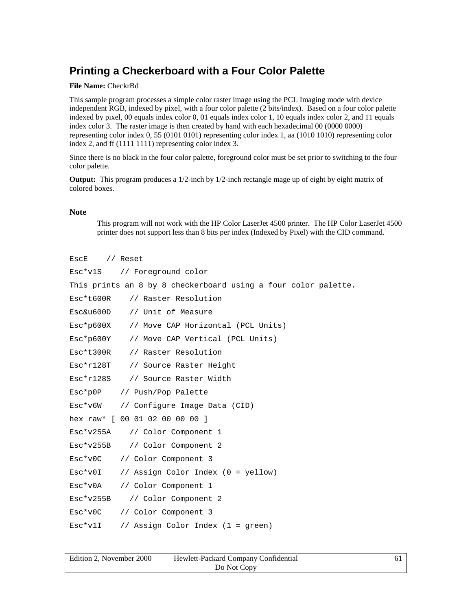### **Printing a Checkerboard with a Four Color Palette**

#### **File Name:** CheckrBd

This sample program processes a simple color raster image using the PCL Imaging mode with device independent RGB, indexed by pixel, with a four color palette (2 bits/index). Based on a four color palette indexed by pixel, 00 equals index color 0, 01 equals index color 1, 10 equals index color 2, and 11 equals index color 3. The raster image is then created by hand with each hexadecimal 00 (0000 0000) representing color index 0, 55 (0101 0101) representing color index 1, aa (1010 1010) representing color index 2, and ff (1111 1111) representing color index 3.

Since there is no black in the four color palette, foreground color must be set prior to switching to the four color palette.

**Output:** This program produces a 1/2-inch by 1/2-inch rectangle mage up of eight by eight matrix of colored boxes.

#### **Note**

This program will not work with the HP Color LaserJet 4500 printer. The HP Color LaserJet 4500 printer does not support less than 8 bits per index (Indexed by Pixel) with the CID command.

```
EscE // Reset
```

|             | Esc*v1S // Foreground color                                    |
|-------------|----------------------------------------------------------------|
|             | This prints an 8 by 8 checkerboard using a four color palette. |
| Esc*t600R   | // Raster Resolution                                           |
| Esc&u600D   | // Unit of Measure                                             |
|             | Esc*p600X // Move CAP Horizontal (PCL Units)                   |
|             | Esc*p600Y // Move CAP Vertical (PCL Units)                     |
| Esc*t300R   | // Raster Resolution                                           |
| $Esc*r128T$ | // Source Raster Height                                        |
|             | Esc*r128S // Source Raster Width                               |
|             | Esc*p0P // Push/Pop Palette                                    |
|             | Esc*v6W // Configure Image Data (CID)                          |
|             | hex_raw* [ 00 01 02 00 00 00 ]                                 |
|             | Esc*v255A // Color Component 1                                 |
|             | Esc*v255B // Color Component 2                                 |
| $Esc*v0C$   | // Color Component 3                                           |
| $Esc*v0I$   | // Assign Color Index (0 = yellow)                             |
| $Esc*v0A$   | // Color Component 1                                           |
|             | Esc*v255B // Color Component 2                                 |
| $Esc*v0C$   | // Color Component 3                                           |
| $Esc*vlI$   | // Assign Color Index $(1 =$ green)                            |

| Edition 2, November 2000 | Hewlett-Packard Company Confidential |  |
|--------------------------|--------------------------------------|--|
|                          | Do Not Copy                          |  |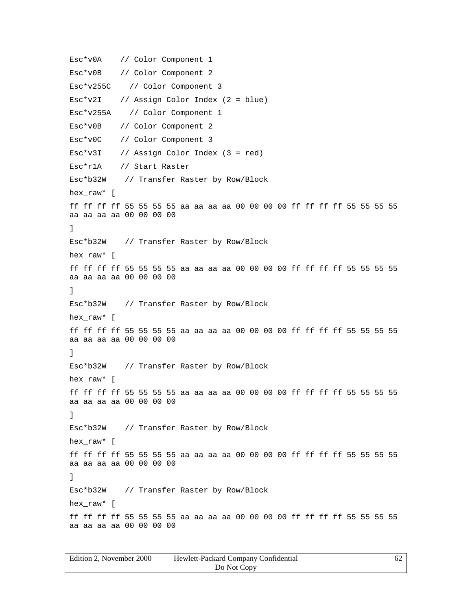Esc\*v0A // Color Component 1 Esc\*v0B // Color Component 2 Esc\*v255C // Color Component 3 Esc\*v2I // Assign Color Index (2 = blue) Esc\*v255A // Color Component 1 Esc\*v0B // Color Component 2 Esc\*v0C // Color Component 3 Esc\*v3I // Assign Color Index (3 = red) Esc\*r1A // Start Raster Esc\*b32W // Transfer Raster by Row/Block hex raw\* [ ff ff ff ff 55 55 55 55 aa aa aa aa 00 00 00 00 ff ff ff ff 55 55 55 55 aa aa aa aa 00 00 00 00 ] Esc\*b32W // Transfer Raster by Row/Block hex\_raw\* [ ff ff ff ff 55 55 55 55 aa aa aa aa 00 00 00 00 ff ff ff ff 55 55 55 55 aa aa aa aa 00 00 00 00 ] Esc\*b32W // Transfer Raster by Row/Block hex\_raw\* [ ff ff ff ff 55 55 55 55 aa aa aa aa 00 00 00 00 ff ff ff ff 55 55 55 55 aa aa aa aa 00 00 00 00 ] Esc\*b32W // Transfer Raster by Row/Block hex raw\* [ ff ff ff ff 55 55 55 55 aa aa aa aa 00 00 00 00 ff ff ff ff 55 55 55 55 aa aa aa aa 00 00 00 00 ] Esc\*b32W // Transfer Raster by Row/Block hex\_raw\* [ ff ff ff ff 55 55 55 55 aa aa aa aa 00 00 00 00 ff ff ff ff 55 55 55 55 aa aa aa aa 00 00 00 00 ] Esc\*b32W // Transfer Raster by Row/Block hex raw\* [ ff ff ff ff 55 55 55 55 aa aa aa aa 00 00 00 00 ff ff ff ff 55 55 55 55 aa aa aa aa 00 00 00 00

| Edition 2. November 2000 | Hewlett-Packard Company Confidential |  |
|--------------------------|--------------------------------------|--|
|                          | Do Not Copy                          |  |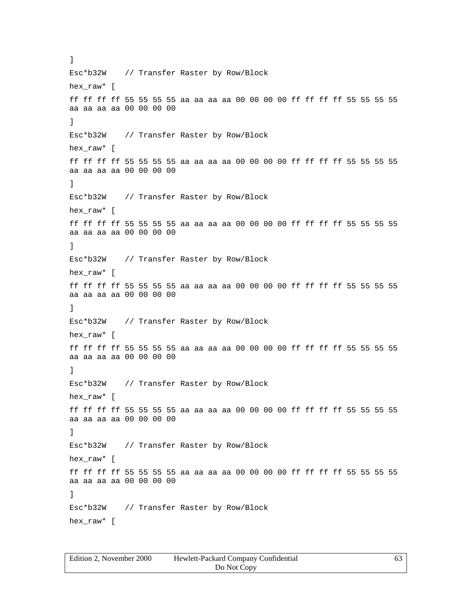Esc\*b32W // Transfer Raster by Row/Block hex\_raw\* [ ff ff ff ff 55 55 55 55 aa aa aa aa 00 00 00 00 ff ff ff ff 55 55 55 55 aa aa aa aa 00 00 00 00 ] Esc\*b32W // Transfer Raster by Row/Block hex raw\* [ ff ff ff ff 55 55 55 55 aa aa aa aa 00 00 00 00 ff ff ff ff 55 55 55 55 aa aa aa aa 00 00 00 00 ] Esc\*b32W // Transfer Raster by Row/Block hex\_raw\* [ ff ff ff ff 55 55 55 55 aa aa aa aa 00 00 00 00 ff ff ff ff 55 55 55 55 aa aa aa aa 00 00 00 00 ] Esc\*b32W // Transfer Raster by Row/Block hex\_raw\* [ ff ff ff ff 55 55 55 55 aa aa aa aa 00 00 00 00 ff ff ff ff 55 55 55 55 aa aa aa aa 00 00 00 00 ] Esc\*b32W // Transfer Raster by Row/Block hex\_raw\* [ ff ff ff ff 55 55 55 55 aa aa aa aa 00 00 00 00 ff ff ff ff 55 55 55 55 aa aa aa aa 00 00 00 00 ] Esc\*b32W // Transfer Raster by Row/Block hex raw\* [ ff ff ff ff 55 55 55 55 aa aa aa aa 00 00 00 00 ff ff ff ff 55 55 55 55 aa aa aa aa 00 00 00 00 ] Esc\*b32W // Transfer Raster by Row/Block hex\_raw\* [ ff ff ff ff 55 55 55 55 aa aa aa aa 00 00 00 00 ff ff ff ff 55 55 55 55 aa aa aa aa 00 00 00 00 ] Esc\*b32W // Transfer Raster by Row/Block hex\_raw\* [

]

| Edition 2. November 2000 | Hewlett-Packard Company Confidential |  |
|--------------------------|--------------------------------------|--|
|                          | Do Not Copy                          |  |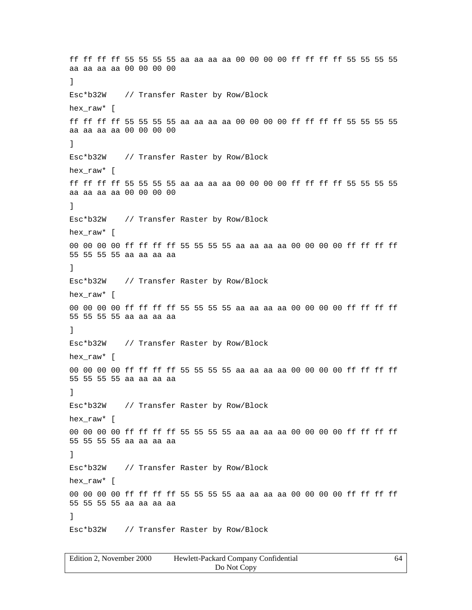ff ff ff ff 55 55 55 55 aa aa aa aa 00 00 00 00 ff ff ff ff 55 55 55 55 aa aa aa aa 00 00 00 00 ] Esc\*b32W // Transfer Raster by Row/Block hex\_raw\* [ ff ff ff ff 55 55 55 55 aa aa aa aa 00 00 00 00 ff ff ff ff 55 55 55 55 aa aa aa aa 00 00 00 00 ] Esc\*b32W // Transfer Raster by Row/Block hex raw\* [ ff ff ff ff 55 55 55 55 aa aa aa aa 00 00 00 00 ff ff ff ff 55 55 55 55 aa aa aa aa 00 00 00 00 ] Esc\*b32W // Transfer Raster by Row/Block hex raw\* [ 00 00 00 00 ff ff ff ff 55 55 55 55 aa aa aa aa 00 00 00 00 ff ff ff ff 55 55 55 55 aa aa aa aa ] Esc\*b32W // Transfer Raster by Row/Block hex raw\* [ 00 00 00 00 ff ff ff ff 55 55 55 55 aa aa aa aa 00 00 00 00 ff ff ff ff 55 55 55 55 aa aa aa aa ] Esc\*b32W // Transfer Raster by Row/Block hex raw\* [ 00 00 00 00 ff ff ff ff 55 55 55 55 aa aa aa aa 00 00 00 00 ff ff ff ff 55 55 55 55 aa aa aa aa ] Esc\*b32W // Transfer Raster by Row/Block hex\_raw\* [ 00 00 00 00 ff ff ff ff 55 55 55 55 aa aa aa aa 00 00 00 00 ff ff ff ff 55 55 55 55 aa aa aa aa ] Esc\*b32W // Transfer Raster by Row/Block hex\_raw\* [ 00 00 00 00 ff ff ff ff 55 55 55 55 aa aa aa aa 00 00 00 00 ff ff ff ff 55 55 55 55 aa aa aa aa ] Esc\*b32W // Transfer Raster by Row/Block

| Edition 2, November 2000 | Hewlett-Packard Company Confidential | 64 |
|--------------------------|--------------------------------------|----|
|                          | Do Not Copy                          |    |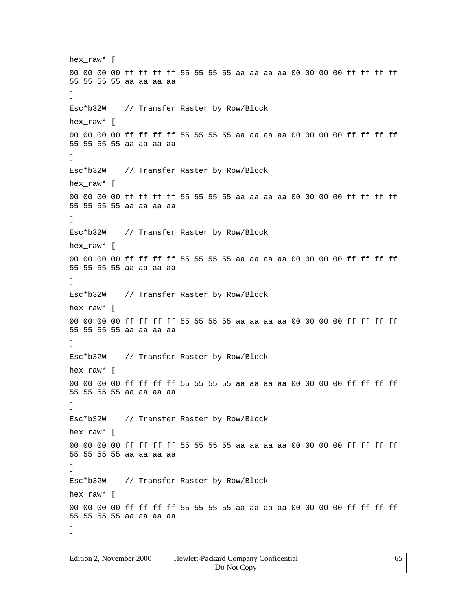hex\_raw\* [ 00 00 00 00 ff ff ff ff 55 55 55 55 aa aa aa aa 00 00 00 00 ff ff ff ff 55 55 55 55 aa aa aa aa ] Esc\*b32W // Transfer Raster by Row/Block hex raw\* [ 00 00 00 00 ff ff ff ff 55 55 55 55 aa aa aa aa 00 00 00 00 ff ff ff ff 55 55 55 55 aa aa aa aa ] Esc\*b32W // Transfer Raster by Row/Block hex\_raw\* [ 00 00 00 00 ff ff ff ff 55 55 55 55 aa aa aa aa 00 00 00 00 ff ff ff ff 55 55 55 55 aa aa aa aa ] Esc\*b32W // Transfer Raster by Row/Block hex raw\* [ 00 00 00 00 ff ff ff ff 55 55 55 55 aa aa aa aa 00 00 00 00 ff ff ff ff 55 55 55 55 aa aa aa aa ] Esc\*b32W // Transfer Raster by Row/Block hex\_raw\* [ 00 00 00 00 ff ff ff ff 55 55 55 55 aa aa aa aa 00 00 00 00 ff ff ff ff 55 55 55 55 aa aa aa aa ] Esc\*b32W // Transfer Raster by Row/Block hex\_raw\* [ 00 00 00 00 ff ff ff ff 55 55 55 55 aa aa aa aa 00 00 00 00 ff ff ff ff 55 55 55 55 aa aa aa aa ] Esc\*b32W // Transfer Raster by Row/Block hex\_raw\* [ 00 00 00 00 ff ff ff ff 55 55 55 55 aa aa aa aa 00 00 00 00 ff ff ff ff 55 55 55 55 aa aa aa aa ] Esc\*b32W // Transfer Raster by Row/Block hex raw\* [ 00 00 00 00 ff ff ff ff 55 55 55 55 aa aa aa aa 00 00 00 00 ff ff ff ff 55 55 55 55 aa aa aa aa ]

| Edition 2. November 2000 | Hewlett-Packard Company Confidential |  |
|--------------------------|--------------------------------------|--|
|                          | Do Not Copy                          |  |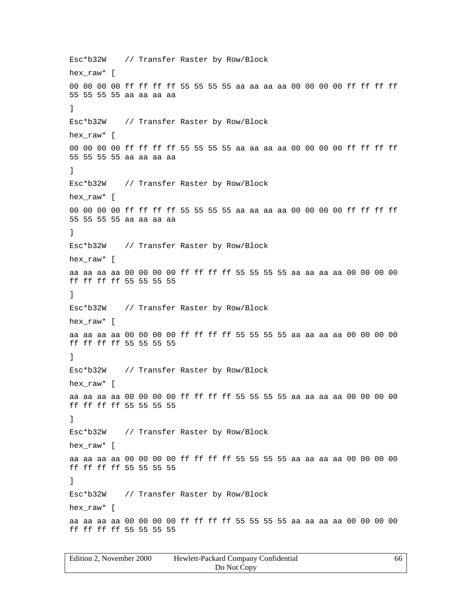Esc\*b32W // Transfer Raster by Row/Block hex raw\* [ 00 00 00 00 ff ff ff ff 55 55 55 55 aa aa aa aa 00 00 00 00 ff ff ff ff 55 55 55 55 aa aa aa aa ] Esc\*b32W // Transfer Raster by Row/Block hex raw\* [ 00 00 00 00 ff ff ff ff 55 55 55 55 aa aa aa aa 00 00 00 00 ff ff ff ff 55 55 55 55 aa aa aa aa ] Esc\*b32W // Transfer Raster by Row/Block hex\_raw\* [ 00 00 00 00 ff ff ff ff 55 55 55 55 aa aa aa aa 00 00 00 00 ff ff ff ff 55 55 55 55 aa aa aa aa ] Esc\*b32W // Transfer Raster by Row/Block hex raw\* [ aa aa aa aa 00 00 00 00 ff ff ff ff 55 55 55 55 aa aa aa aa 00 00 00 00 ff ff ff ff 55 55 55 55 ] Esc\*b32W // Transfer Raster by Row/Block hex\_raw\* [ aa aa aa aa 00 00 00 00 ff ff ff ff 55 55 55 55 aa aa aa aa 00 00 00 00 ff ff ff ff 55 55 55 55 ] Esc\*b32W // Transfer Raster by Row/Block hex\_raw\* [ aa aa aa aa 00 00 00 00 ff ff ff ff 55 55 55 55 aa aa aa aa 00 00 00 00 ff ff ff ff 55 55 55 55 ] Esc\*b32W // Transfer Raster by Row/Block hex\_raw\* [ aa aa aa aa 00 00 00 00 ff ff ff ff 55 55 55 55 aa aa aa aa 00 00 00 00 ff ff ff ff 55 55 55 55 ] Esc\*b32W // Transfer Raster by Row/Block hex raw\* [ aa aa aa aa 00 00 00 00 ff ff ff ff 55 55 55 55 aa aa aa aa 00 00 00 00 ff ff ff ff 55 55 55 55

| Edition 2, November 2000 | Hewlett-Packard Company Confidential | 66 |
|--------------------------|--------------------------------------|----|
|                          | Do Not Copy                          |    |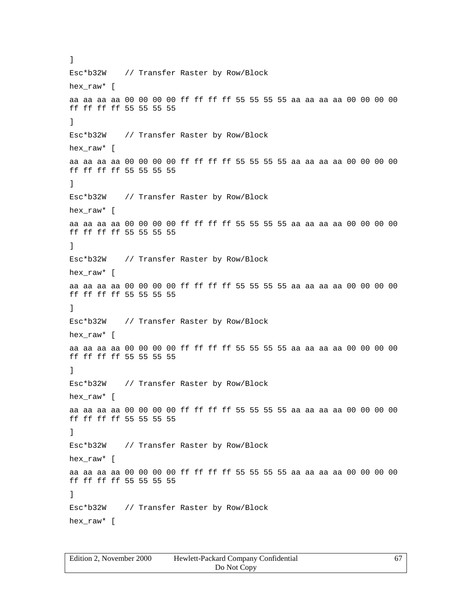Esc\*b32W // Transfer Raster by Row/Block hex\_raw\* [ aa aa aa aa 00 00 00 00 ff ff ff ff 55 55 55 55 aa aa aa aa 00 00 00 00 ff ff ff ff 55 55 55 55 ] Esc\*b32W // Transfer Raster by Row/Block hex raw\* [ aa aa aa aa 00 00 00 00 ff ff ff ff 55 55 55 55 aa aa aa aa 00 00 00 00 ff ff ff ff 55 55 55 55 ] Esc\*b32W // Transfer Raster by Row/Block hex\_raw\* [ aa aa aa aa 00 00 00 00 ff ff ff ff 55 55 55 55 aa aa aa aa 00 00 00 00 ff ff ff ff 55 55 55 55 ] Esc\*b32W // Transfer Raster by Row/Block hex\_raw\* [ aa aa aa aa 00 00 00 00 ff ff ff ff 55 55 55 55 aa aa aa aa 00 00 00 00 ff ff ff ff 55 55 55 55 ] Esc\*b32W // Transfer Raster by Row/Block hex\_raw\* [ aa aa aa aa 00 00 00 00 ff ff ff ff 55 55 55 55 aa aa aa aa 00 00 00 00 ff ff ff ff 55 55 55 55 ] Esc\*b32W // Transfer Raster by Row/Block hex raw\* [ aa aa aa aa 00 00 00 00 ff ff ff ff 55 55 55 55 aa aa aa aa 00 00 00 00 ff ff ff ff 55 55 55 55 ] Esc\*b32W // Transfer Raster by Row/Block hex\_raw\* [ aa aa aa aa 00 00 00 00 ff ff ff ff 55 55 55 55 aa aa aa aa 00 00 00 00 ff ff ff ff 55 55 55 55 ] Esc\*b32W // Transfer Raster by Row/Block hex\_raw\* [

]

| Edition 2. November 2000 | Hewlett-Packard Company Confidential |  |
|--------------------------|--------------------------------------|--|
|                          | Do Not Copy                          |  |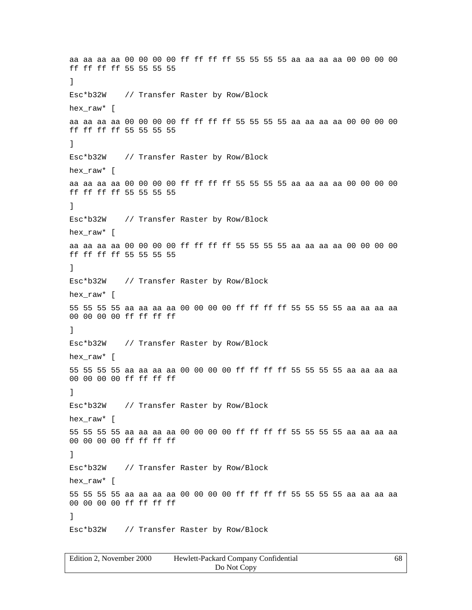aa aa aa aa 00 00 00 00 ff ff ff ff 55 55 55 55 aa aa aa aa 00 00 00 00 ff ff ff ff 55 55 55 55 ] Esc\*b32W // Transfer Raster by Row/Block hex\_raw\* [ aa aa aa aa 00 00 00 00 ff ff ff ff 55 55 55 55 aa aa aa aa 00 00 00 00 ff ff ff ff 55 55 55 55 ] Esc\*b32W // Transfer Raster by Row/Block hex raw\* [ aa aa aa aa 00 00 00 00 ff ff ff ff 55 55 55 55 aa aa aa aa 00 00 00 00 ff ff ff ff 55 55 55 55 ] Esc\*b32W // Transfer Raster by Row/Block hex raw\* [ aa aa aa aa 00 00 00 00 ff ff ff ff 55 55 55 55 aa aa aa aa 00 00 00 00 ff ff ff ff 55 55 55 55 ] Esc\*b32W // Transfer Raster by Row/Block hex raw\* [ 55 55 55 55 aa aa aa aa 00 00 00 00 ff ff ff ff 55 55 55 55 aa aa aa aa 00 00 00 00 ff ff ff ff ] Esc\*b32W // Transfer Raster by Row/Block hex raw\* [ 55 55 55 55 aa aa aa aa 00 00 00 00 ff ff ff ff 55 55 55 55 aa aa aa aa 00 00 00 00 ff ff ff ff ] Esc\*b32W // Transfer Raster by Row/Block hex\_raw\* [ 55 55 55 55 aa aa aa aa 00 00 00 00 ff ff ff ff 55 55 55 55 aa aa aa aa 00 00 00 00 ff ff ff ff ] Esc\*b32W // Transfer Raster by Row/Block hex\_raw\* [ 55 55 55 55 aa aa aa aa 00 00 00 00 ff ff ff ff 55 55 55 55 aa aa aa aa 00 00 00 00 ff ff ff ff ] Esc\*b32W // Transfer Raster by Row/Block

| Edition 2, November 2000 | Hewlett-Packard Company Confidential | 68 |
|--------------------------|--------------------------------------|----|
|                          | Do Not Copy                          |    |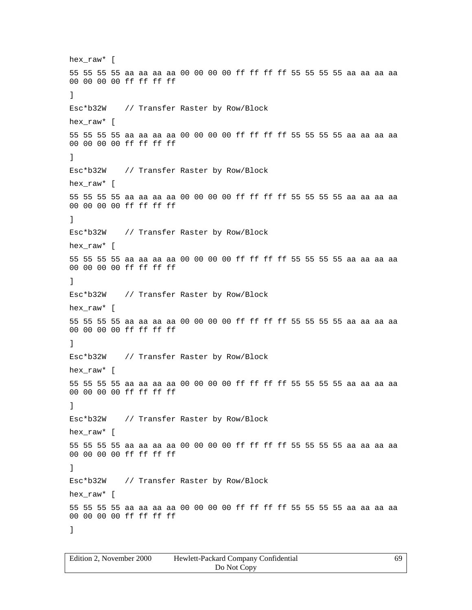hex\_raw\* [ 55 55 55 55 aa aa aa aa 00 00 00 00 ff ff ff ff 55 55 55 55 aa aa aa aa 00 00 00 00 ff ff ff ff ] Esc\*b32W // Transfer Raster by Row/Block hex raw\* [ 55 55 55 55 aa aa aa aa 00 00 00 00 ff ff ff ff 55 55 55 55 aa aa aa aa 00 00 00 00 ff ff ff ff ] Esc\*b32W // Transfer Raster by Row/Block hex raw\* [ 55 55 55 55 aa aa aa aa 00 00 00 00 ff ff ff ff 55 55 55 55 aa aa aa aa 00 00 00 00 ff ff ff ff ] Esc\*b32W // Transfer Raster by Row/Block hex raw\* [ 55 55 55 55 aa aa aa aa 00 00 00 00 ff ff ff ff 55 55 55 55 aa aa aa aa 00 00 00 00 ff ff ff ff ] Esc\*b32W // Transfer Raster by Row/Block hex\_raw\* [ 55 55 55 55 aa aa aa aa 00 00 00 00 ff ff ff ff 55 55 55 55 aa aa aa aa 00 00 00 00 ff ff ff ff ] Esc\*b32W // Transfer Raster by Row/Block hex\_raw\* [ 55 55 55 55 aa aa aa aa 00 00 00 00 ff ff ff ff 55 55 55 55 aa aa aa aa 00 00 00 00 ff ff ff ff ] Esc\*b32W // Transfer Raster by Row/Block hex\_raw\* [ 55 55 55 55 aa aa aa aa 00 00 00 00 ff ff ff ff 55 55 55 55 aa aa aa aa 00 00 00 00 ff ff ff ff ] Esc\*b32W // Transfer Raster by Row/Block hex raw\* [ 55 55 55 55 aa aa aa aa 00 00 00 00 ff ff ff ff 55 55 55 55 aa aa aa aa 00 00 00 00 ff ff ff ff ]

| Edition 2. November 2000 | Hewlett-Packard Company Confidential | 69 |
|--------------------------|--------------------------------------|----|
|                          | Do Not Copy                          |    |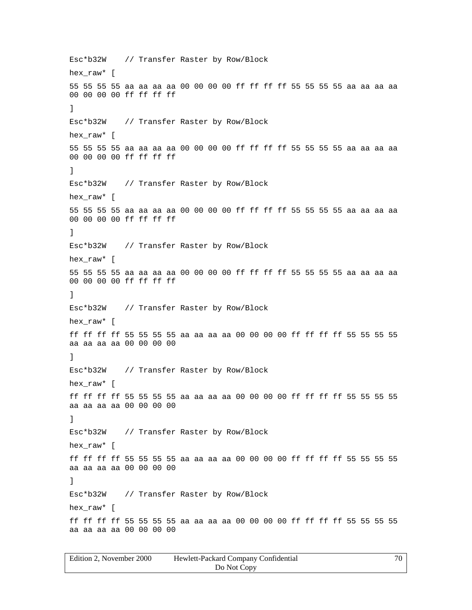Esc\*b32W // Transfer Raster by Row/Block hex\_raw\* [ 55 55 55 55 aa aa aa aa 00 00 00 00 ff ff ff ff 55 55 55 55 aa aa aa aa 00 00 00 00 ff ff ff ff ] Esc\*b32W // Transfer Raster by Row/Block hex raw\* [ 55 55 55 55 aa aa aa aa 00 00 00 00 ff ff ff ff 55 55 55 55 aa aa aa aa 00 00 00 00 ff ff ff ff ] Esc\*b32W // Transfer Raster by Row/Block hex\_raw\* [ 55 55 55 55 aa aa aa aa 00 00 00 00 ff ff ff ff 55 55 55 55 aa aa aa aa 00 00 00 00 ff ff ff ff ] Esc\*b32W // Transfer Raster by Row/Block hex raw\* [ 55 55 55 55 aa aa aa aa 00 00 00 00 ff ff ff ff 55 55 55 55 aa aa aa aa 00 00 00 00 ff ff ff ff ] Esc\*b32W // Transfer Raster by Row/Block hex\_raw\* [ ff ff ff ff 55 55 55 55 aa aa aa aa 00 00 00 00 ff ff ff ff 55 55 55 55 aa aa aa aa 00 00 00 00 ] Esc\*b32W // Transfer Raster by Row/Block hex\_raw\* [ ff ff ff ff 55 55 55 55 aa aa aa aa 00 00 00 00 ff ff ff ff 55 55 55 55 aa aa aa aa 00 00 00 00 ] Esc\*b32W // Transfer Raster by Row/Block hex\_raw\* [ ff ff ff ff 55 55 55 55 aa aa aa aa 00 00 00 00 ff ff ff ff 55 55 55 55 aa aa aa aa 00 00 00 00 ] Esc\*b32W // Transfer Raster by Row/Block hex raw\* [ ff ff ff ff 55 55 55 55 aa aa aa aa 00 00 00 00 ff ff ff ff 55 55 55 55 aa aa aa aa 00 00 00 00

| Edition 2, November 2000 | Hewlett-Packard Company Confidential | 70 |
|--------------------------|--------------------------------------|----|
|                          | Do Not Copy                          |    |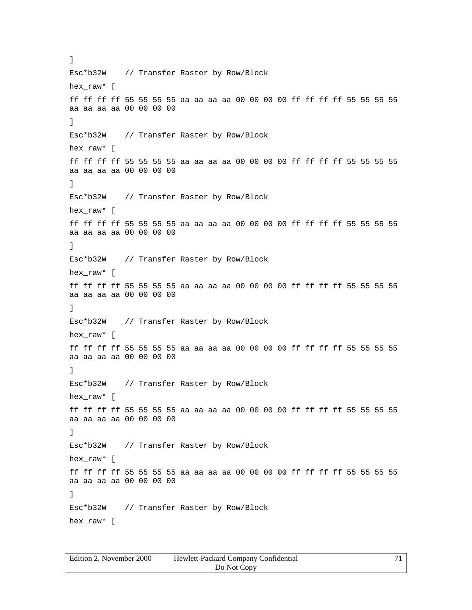Esc\*b32W // Transfer Raster by Row/Block hex\_raw\* [ ff ff ff ff 55 55 55 55 aa aa aa aa 00 00 00 00 ff ff ff ff 55 55 55 55 aa aa aa aa 00 00 00 00 ] Esc\*b32W // Transfer Raster by Row/Block hex raw\* [ ff ff ff ff 55 55 55 55 aa aa aa aa 00 00 00 00 ff ff ff ff 55 55 55 55 aa aa aa aa 00 00 00 00 ] Esc\*b32W // Transfer Raster by Row/Block hex\_raw\* [ ff ff ff ff 55 55 55 55 aa aa aa aa 00 00 00 00 ff ff ff ff 55 55 55 55 aa aa aa aa 00 00 00 00 ] Esc\*b32W // Transfer Raster by Row/Block hex\_raw\* [ ff ff ff ff 55 55 55 55 aa aa aa aa 00 00 00 00 ff ff ff ff 55 55 55 55 aa aa aa aa 00 00 00 00 ] Esc\*b32W // Transfer Raster by Row/Block hex\_raw\* [ ff ff ff ff 55 55 55 55 aa aa aa aa 00 00 00 00 ff ff ff ff 55 55 55 55 aa aa aa aa 00 00 00 00 ] Esc\*b32W // Transfer Raster by Row/Block hex raw\* [ ff ff ff ff 55 55 55 55 aa aa aa aa 00 00 00 00 ff ff ff ff 55 55 55 55 aa aa aa aa 00 00 00 00 ] Esc\*b32W // Transfer Raster by Row/Block hex\_raw\* [ ff ff ff ff 55 55 55 55 aa aa aa aa 00 00 00 00 ff ff ff ff 55 55 55 55 aa aa aa aa 00 00 00 00 ] Esc\*b32W // Transfer Raster by Row/Block hex\_raw\* [

]

| Edition 2, November 2000 | Hewlett-Packard Company Confidential | 71 |
|--------------------------|--------------------------------------|----|
|                          | Do Not Copy                          |    |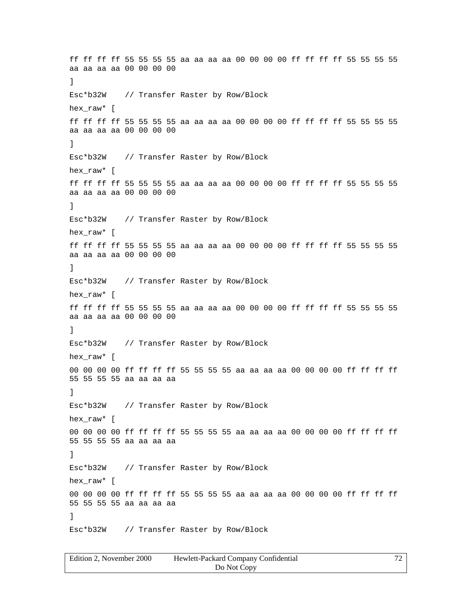ff ff ff ff 55 55 55 55 aa aa aa aa 00 00 00 00 ff ff ff ff 55 55 55 55 aa aa aa aa 00 00 00 00 ] Esc\*b32W // Transfer Raster by Row/Block hex\_raw\* [ ff ff ff ff 55 55 55 55 aa aa aa aa 00 00 00 00 ff ff ff ff 55 55 55 55 aa aa aa aa 00 00 00 00 ] Esc\*b32W // Transfer Raster by Row/Block hex raw\* [ ff ff ff ff 55 55 55 55 aa aa aa aa 00 00 00 00 ff ff ff ff 55 55 55 55 aa aa aa aa 00 00 00 00 ] Esc\*b32W // Transfer Raster by Row/Block hex\_raw\* [ ff ff ff ff 55 55 55 55 aa aa aa aa 00 00 00 00 ff ff ff ff 55 55 55 55 aa aa aa aa 00 00 00 00 ] Esc\*b32W // Transfer Raster by Row/Block hex raw\* [ ff ff ff ff 55 55 55 55 aa aa aa aa 00 00 00 00 ff ff ff ff 55 55 55 55 aa aa aa aa 00 00 00 00 ] Esc\*b32W // Transfer Raster by Row/Block hex raw\* [ 00 00 00 00 ff ff ff ff 55 55 55 55 aa aa aa aa 00 00 00 00 ff ff ff ff 55 55 55 55 aa aa aa aa ] Esc\*b32W // Transfer Raster by Row/Block hex\_raw\* [ 00 00 00 00 ff ff ff ff 55 55 55 55 aa aa aa aa 00 00 00 00 ff ff ff ff 55 55 55 55 aa aa aa aa ] Esc\*b32W // Transfer Raster by Row/Block hex\_raw\* [ 00 00 00 00 ff ff ff ff 55 55 55 55 aa aa aa aa 00 00 00 00 ff ff ff ff 55 55 55 55 aa aa aa aa ] Esc\*b32W // Transfer Raster by Row/Block

| Edition 2. November 2000 | Hewlett-Packard Company Confidential | 72 |
|--------------------------|--------------------------------------|----|
|                          | Do Not Copy                          |    |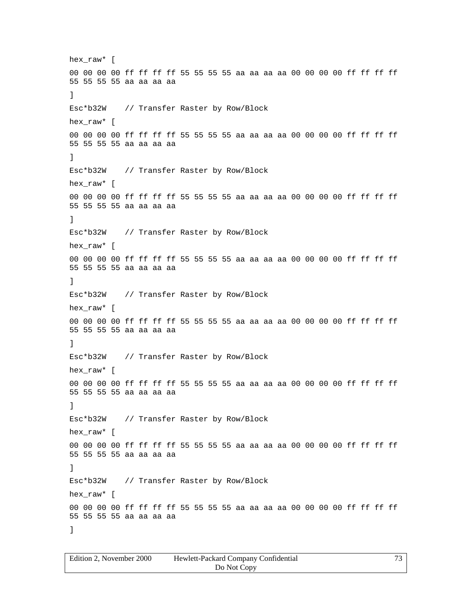hex\_raw\* [ 00 00 00 00 ff ff ff ff 55 55 55 55 aa aa aa aa 00 00 00 00 ff ff ff ff 55 55 55 55 aa aa aa aa ] Esc\*b32W // Transfer Raster by Row/Block hex raw\* [ 00 00 00 00 ff ff ff ff 55 55 55 55 aa aa aa aa 00 00 00 00 ff ff ff ff 55 55 55 55 aa aa aa aa ] Esc\*b32W // Transfer Raster by Row/Block hex\_raw\* [ 00 00 00 00 ff ff ff ff 55 55 55 55 aa aa aa aa 00 00 00 00 ff ff ff ff 55 55 55 55 aa aa aa aa ] Esc\*b32W // Transfer Raster by Row/Block hex raw\* [ 00 00 00 00 ff ff ff ff 55 55 55 55 aa aa aa aa 00 00 00 00 ff ff ff ff 55 55 55 55 aa aa aa aa ] Esc\*b32W // Transfer Raster by Row/Block hex\_raw\* [ 00 00 00 00 ff ff ff ff 55 55 55 55 aa aa aa aa 00 00 00 00 ff ff ff ff 55 55 55 55 aa aa aa aa ] Esc\*b32W // Transfer Raster by Row/Block hex\_raw\* [ 00 00 00 00 ff ff ff ff 55 55 55 55 aa aa aa aa 00 00 00 00 ff ff ff ff 55 55 55 55 aa aa aa aa ] Esc\*b32W // Transfer Raster by Row/Block hex\_raw\* [ 00 00 00 00 ff ff ff ff 55 55 55 55 aa aa aa aa 00 00 00 00 ff ff ff ff 55 55 55 55 aa aa aa aa ] Esc\*b32W // Transfer Raster by Row/Block hex raw\* [ 00 00 00 00 ff ff ff ff 55 55 55 55 aa aa aa aa 00 00 00 00 ff ff ff ff 55 55 55 55 aa aa aa aa ]

| Edition 2. November 2000 | Hewlett-Packard Company Confidential | 73. |
|--------------------------|--------------------------------------|-----|
|                          | Do Not Copy                          |     |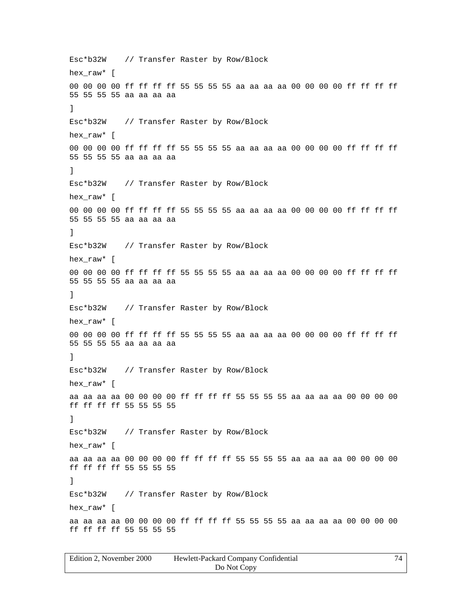Esc\*b32W // Transfer Raster by Row/Block hex\_raw\* [ 00 00 00 00 ff ff ff ff 55 55 55 55 aa aa aa aa 00 00 00 00 ff ff ff ff 55 55 55 55 aa aa aa aa ] Esc\*b32W // Transfer Raster by Row/Block hex raw\* [ 00 00 00 00 ff ff ff ff 55 55 55 55 aa aa aa aa 00 00 00 00 ff ff ff ff 55 55 55 55 aa aa aa aa ] Esc\*b32W // Transfer Raster by Row/Block hex\_raw\* [ 00 00 00 00 ff ff ff ff 55 55 55 55 aa aa aa aa 00 00 00 00 ff ff ff ff 55 55 55 55 aa aa aa aa ] Esc\*b32W // Transfer Raster by Row/Block hex raw\* [ 00 00 00 00 ff ff ff ff 55 55 55 55 aa aa aa aa 00 00 00 00 ff ff ff ff 55 55 55 55 aa aa aa aa ] Esc\*b32W // Transfer Raster by Row/Block hex\_raw\* [ 00 00 00 00 ff ff ff ff 55 55 55 55 aa aa aa aa 00 00 00 00 ff ff ff ff 55 55 55 55 aa aa aa aa ] Esc\*b32W // Transfer Raster by Row/Block hex\_raw\* [ aa aa aa aa 00 00 00 00 ff ff ff ff 55 55 55 55 aa aa aa aa 00 00 00 00 ff ff ff ff 55 55 55 55 ] Esc\*b32W // Transfer Raster by Row/Block hex\_raw\* [ aa aa aa aa 00 00 00 00 ff ff ff ff 55 55 55 55 aa aa aa aa 00 00 00 00 ff ff ff ff 55 55 55 55 ] Esc\*b32W // Transfer Raster by Row/Block hex raw\* [ aa aa aa aa 00 00 00 00 ff ff ff ff 55 55 55 55 aa aa aa aa 00 00 00 00 ff ff ff ff 55 55 55 55

| Edition 2, November 2000 | Hewlett-Packard Company Confidential |  |
|--------------------------|--------------------------------------|--|
|                          | Do Not Copy                          |  |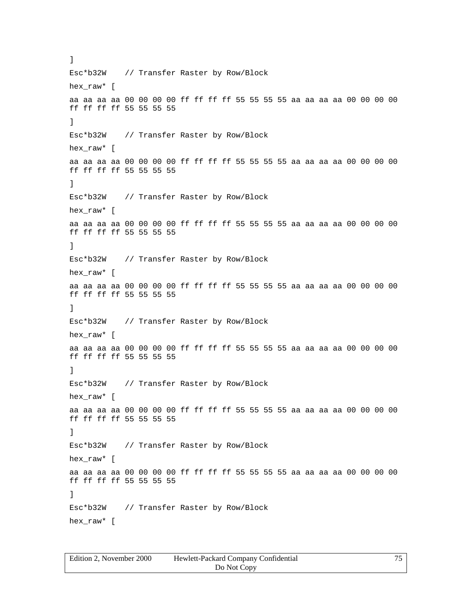Esc\*b32W // Transfer Raster by Row/Block hex\_raw\* [ aa aa aa aa 00 00 00 00 ff ff ff ff 55 55 55 55 aa aa aa aa 00 00 00 00 ff ff ff ff 55 55 55 55 ] Esc\*b32W // Transfer Raster by Row/Block hex raw\* [ aa aa aa aa 00 00 00 00 ff ff ff ff 55 55 55 55 aa aa aa aa 00 00 00 00 ff ff ff ff 55 55 55 55 ] Esc\*b32W // Transfer Raster by Row/Block hex\_raw\* [ aa aa aa aa 00 00 00 00 ff ff ff ff 55 55 55 55 aa aa aa aa 00 00 00 00 ff ff ff ff 55 55 55 55 ] Esc\*b32W // Transfer Raster by Row/Block hex\_raw\* [ aa aa aa aa 00 00 00 00 ff ff ff ff 55 55 55 55 aa aa aa aa 00 00 00 00 ff ff ff ff 55 55 55 55 ] Esc\*b32W // Transfer Raster by Row/Block hex\_raw\* [ aa aa aa aa 00 00 00 00 ff ff ff ff 55 55 55 55 aa aa aa aa 00 00 00 00 ff ff ff ff 55 55 55 55 ] Esc\*b32W // Transfer Raster by Row/Block hex raw\* [ aa aa aa aa 00 00 00 00 ff ff ff ff 55 55 55 55 aa aa aa aa 00 00 00 00 ff ff ff ff 55 55 55 55 ] Esc\*b32W // Transfer Raster by Row/Block hex\_raw\* [ aa aa aa aa 00 00 00 00 ff ff ff ff 55 55 55 55 aa aa aa aa 00 00 00 00 ff ff ff ff 55 55 55 55 ] Esc\*b32W // Transfer Raster by Row/Block hex\_raw\* [

]

| Edition 2. November 2000 | Hewlett-Packard Company Confidential | 75 |
|--------------------------|--------------------------------------|----|
|                          | Do Not Copy                          |    |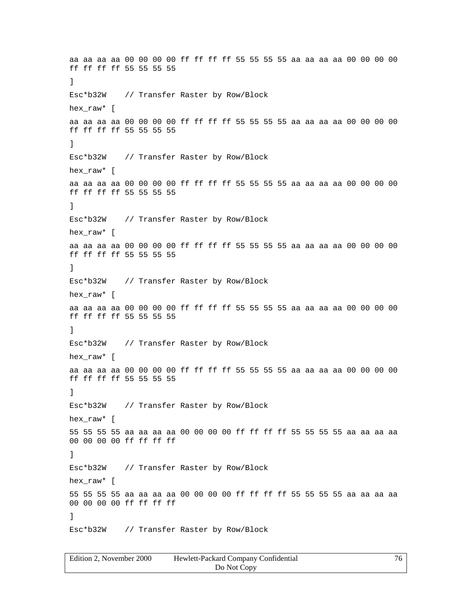aa aa aa aa 00 00 00 00 ff ff ff ff 55 55 55 55 aa aa aa aa 00 00 00 00 ff ff ff ff 55 55 55 55 ] Esc\*b32W // Transfer Raster by Row/Block hex\_raw\* [ aa aa aa aa 00 00 00 00 ff ff ff ff 55 55 55 55 aa aa aa aa 00 00 00 00 ff ff ff ff 55 55 55 55 ] Esc\*b32W // Transfer Raster by Row/Block hex raw\* [ aa aa aa aa 00 00 00 00 ff ff ff ff 55 55 55 55 aa aa aa aa 00 00 00 00 ff ff ff ff 55 55 55 55 ] Esc\*b32W // Transfer Raster by Row/Block hex raw\* [ aa aa aa aa 00 00 00 00 ff ff ff ff 55 55 55 55 aa aa aa aa 00 00 00 00 ff ff ff ff 55 55 55 55 ] Esc\*b32W // Transfer Raster by Row/Block hex raw\* [ aa aa aa aa 00 00 00 00 ff ff ff ff 55 55 55 55 aa aa aa aa 00 00 00 00 ff ff ff ff 55 55 55 55 ] Esc\*b32W // Transfer Raster by Row/Block hex raw\* [ aa aa aa aa 00 00 00 00 ff ff ff ff 55 55 55 55 aa aa aa aa 00 00 00 00 ff ff ff ff 55 55 55 55 ] Esc\*b32W // Transfer Raster by Row/Block hex\_raw\* [ 55 55 55 55 aa aa aa aa 00 00 00 00 ff ff ff ff 55 55 55 55 aa aa aa aa 00 00 00 00 ff ff ff ff ] Esc\*b32W // Transfer Raster by Row/Block hex\_raw\* [ 55 55 55 55 aa aa aa aa 00 00 00 00 ff ff ff ff 55 55 55 55 aa aa aa aa 00 00 00 00 ff ff ff ff ] Esc\*b32W // Transfer Raster by Row/Block

| Edition 2, November 2000 | Hewlett-Packard Company Confidential |  |
|--------------------------|--------------------------------------|--|
|                          | Do Not Copy                          |  |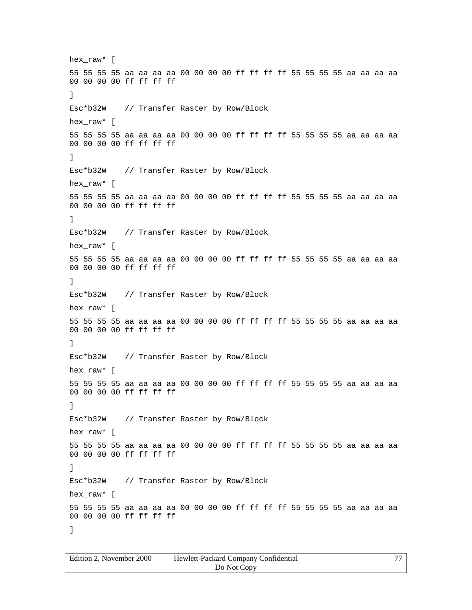hex\_raw\* [ 55 55 55 55 aa aa aa aa 00 00 00 00 ff ff ff ff 55 55 55 55 aa aa aa aa 00 00 00 00 ff ff ff ff ] Esc\*b32W // Transfer Raster by Row/Block hex raw\* [ 55 55 55 55 aa aa aa aa 00 00 00 00 ff ff ff ff 55 55 55 55 aa aa aa aa 00 00 00 00 ff ff ff ff ] Esc\*b32W // Transfer Raster by Row/Block hex raw\* [ 55 55 55 55 aa aa aa aa 00 00 00 00 ff ff ff ff 55 55 55 55 aa aa aa aa 00 00 00 00 ff ff ff ff ] Esc\*b32W // Transfer Raster by Row/Block hex raw\* [ 55 55 55 55 aa aa aa aa 00 00 00 00 ff ff ff ff 55 55 55 55 aa aa aa aa 00 00 00 00 ff ff ff ff ] Esc\*b32W // Transfer Raster by Row/Block hex\_raw\* [ 55 55 55 55 aa aa aa aa 00 00 00 00 ff ff ff ff 55 55 55 55 aa aa aa aa 00 00 00 00 ff ff ff ff ] Esc\*b32W // Transfer Raster by Row/Block hex\_raw\* [ 55 55 55 55 aa aa aa aa 00 00 00 00 ff ff ff ff 55 55 55 55 aa aa aa aa 00 00 00 00 ff ff ff ff ] Esc\*b32W // Transfer Raster by Row/Block hex\_raw\* [ 55 55 55 55 aa aa aa aa 00 00 00 00 ff ff ff ff 55 55 55 55 aa aa aa aa 00 00 00 00 ff ff ff ff ] Esc\*b32W // Transfer Raster by Row/Block hex raw\* [ 55 55 55 55 aa aa aa aa 00 00 00 00 ff ff ff ff 55 55 55 55 aa aa aa aa 00 00 00 00 ff ff ff ff ]

| Edition 2, November 2000 | Hewlett-Packard Company Confidential | 77 |
|--------------------------|--------------------------------------|----|
|                          | Do Not Copy                          |    |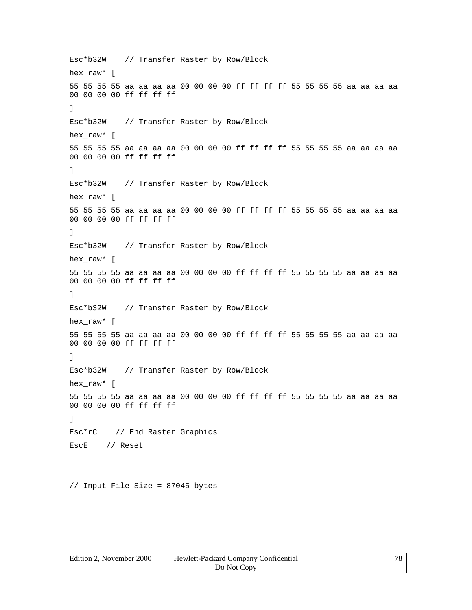Esc\*b32W // Transfer Raster by Row/Block hex raw\* [ 55 55 55 55 aa aa aa aa 00 00 00 00 ff ff ff ff 55 55 55 55 aa aa aa aa 00 00 00 00 ff ff ff ff ] Esc\*b32W // Transfer Raster by Row/Block hex\_raw\* [ 55 55 55 55 aa aa aa aa 00 00 00 00 ff ff ff ff 55 55 55 55 aa aa aa aa 00 00 00 00 ff ff ff ff ] Esc\*b32W // Transfer Raster by Row/Block hex\_raw\* [ 55 55 55 55 aa aa aa aa 00 00 00 00 ff ff ff ff 55 55 55 55 aa aa aa aa 00 00 00 00 ff ff ff ff ] Esc\*b32W // Transfer Raster by Row/Block hex\_raw\* [ 55 55 55 55 aa aa aa aa 00 00 00 00 ff ff ff ff 55 55 55 55 aa aa aa aa 00 00 00 00 ff ff ff ff ] Esc\*b32W // Transfer Raster by Row/Block hex\_raw\* [ 55 55 55 55 aa aa aa aa 00 00 00 00 ff ff ff ff 55 55 55 55 aa aa aa aa 00 00 00 00 ff ff ff ff ] Esc\*b32W // Transfer Raster by Row/Block hex\_raw\* [ 55 55 55 55 aa aa aa aa 00 00 00 00 ff ff ff ff 55 55 55 55 aa aa aa aa 00 00 00 00 ff ff ff ff ] Esc\*rC // End Raster Graphics EscE // Reset

// Input File Size = 87045 bytes

| Edition 2, November 2000 | Hewlett-Packard Company Confidential | 78 |
|--------------------------|--------------------------------------|----|
|                          | Do Not Copy                          |    |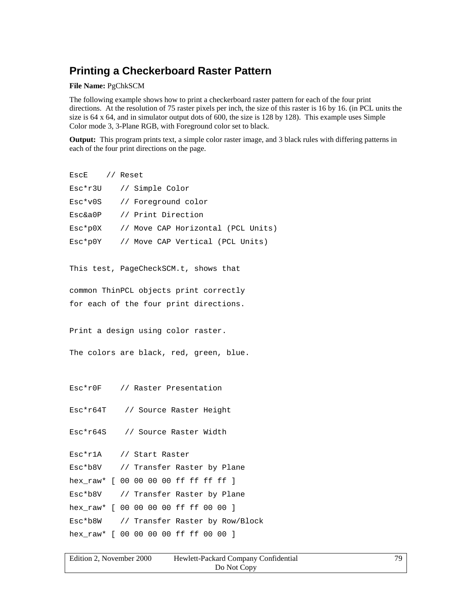## **Printing a Checkerboard Raster Pattern**

**File Name:** PgChkSCM

The following example shows how to print a checkerboard raster pattern for each of the four print directions. At the resolution of 75 raster pixels per inch, the size of this raster is 16 by 16. (in PCL units the size is 64 x 64, and in simulator output dots of 600, the size is 128 by 128). This example uses Simple Color mode 3, 3-Plane RGB, with Foreground color set to black.

**Output:** This program prints text, a simple color raster image, and 3 black rules with differing patterns in each of the four print directions on the page.

```
EscE // Reset
Esc*r3U // Simple Color
Esc*v0S // Foreground color
Esc&a0P // Print Direction
Esc*p0X // Move CAP Horizontal (PCL Units)
Esc*p0Y // Move CAP Vertical (PCL Units)
This test, PageCheckSCM.t, shows that
common ThinPCL objects print correctly
for each of the four print directions.
Print a design using color raster.
The colors are black, red, green, blue.
Esc*r0F // Raster Presentation
Esc*r64T // Source Raster Height
Esc*r64S // Source Raster Width
Esc*r1A // Start Raster
Esc*b8V // Transfer Raster by Plane
hex raw* [ 00 00 00 00 ff ff ff ff ]
Esc*b8V // Transfer Raster by Plane
hex_raw* [ 00 00 00 00 ff ff 00 00 ]
Esc*b8W // Transfer Raster by Row/Block
hex_raw* [ 00 00 00 00 ff ff 00 00 ]
```

| Edition 2. November 2000 | Hewlett-Packard Company Confidential | 79 |
|--------------------------|--------------------------------------|----|
|                          | Do Not Copy                          |    |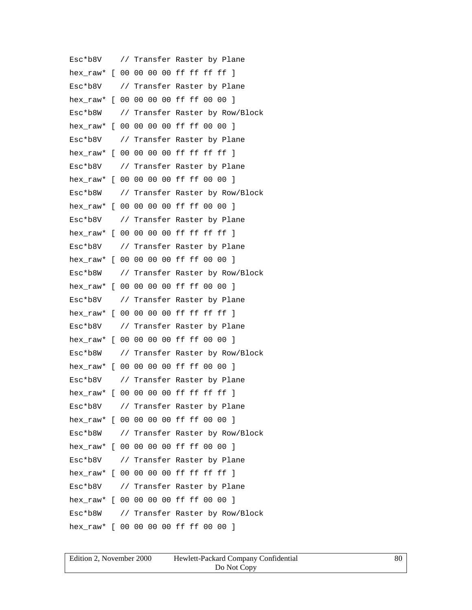Esc\*b8V // Transfer Raster by Plane hex\_raw\* [ 00 00 00 00 ff ff ff ff ] Esc\*b8V // Transfer Raster by Plane hex\_raw\* [ 00 00 00 00 ff ff 00 00 ] Esc\*b8W // Transfer Raster by Row/Block hex\_raw\* [ 00 00 00 00 ff ff 00 00 ] Esc\*b8V // Transfer Raster by Plane hex raw\* [ 00 00 00 00 ff ff ff ff ] Esc\*b8V // Transfer Raster by Plane hex\_raw\* [ 00 00 00 00 ff ff 00 00 ] Esc\*b8W // Transfer Raster by Row/Block hex\_raw\* [ 00 00 00 00 ff ff 00 00 ] Esc\*b8V // Transfer Raster by Plane hex raw\* [ 00 00 00 00 ff ff ff ff ] Esc\*b8V // Transfer Raster by Plane hex\_raw\* [ 00 00 00 00 ff ff 00 00 ] Esc\*b8W // Transfer Raster by Row/Block hex\_raw\* [ 00 00 00 00 ff ff 00 00 ] Esc\*b8V // Transfer Raster by Plane hex raw\* [ 00 00 00 00 ff ff ff ff ] Esc\*b8V // Transfer Raster by Plane hex\_raw\* [ 00 00 00 00 ff ff 00 00 ] Esc\*b8W // Transfer Raster by Row/Block hex\_raw\* [ 00 00 00 00 ff ff 00 00 ] Esc\*b8V // Transfer Raster by Plane hex raw\* [ 00 00 00 00 ff ff ff ff ] Esc\*b8V // Transfer Raster by Plane hex\_raw\* [ 00 00 00 00 ff ff 00 00 ] Esc\*b8W // Transfer Raster by Row/Block hex raw\* [ 00 00 00 00 ff ff 00 00 ] Esc\*b8V // Transfer Raster by Plane hex\_raw\* [ 00 00 00 00 ff ff ff ff ] Esc\*b8V // Transfer Raster by Plane hex\_raw\* [ 00 00 00 00 ff ff 00 00 ] Esc\*b8W // Transfer Raster by Row/Block hex\_raw\* [ 00 00 00 00 ff ff 00 00 ]

| Edition 2. November 2000 | Hewlett-Packard Company Confidential | 80 |
|--------------------------|--------------------------------------|----|
|                          | Do Not Copy                          |    |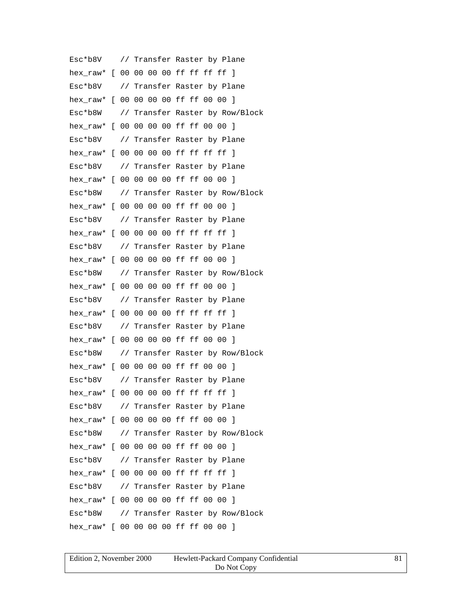Esc\*b8V // Transfer Raster by Plane hex\_raw\* [ 00 00 00 00 ff ff ff ff ] Esc\*b8V // Transfer Raster by Plane hex\_raw\* [ 00 00 00 00 ff ff 00 00 ] Esc\*b8W // Transfer Raster by Row/Block hex\_raw\* [ 00 00 00 00 ff ff 00 00 ] Esc\*b8V // Transfer Raster by Plane hex raw\* [ 00 00 00 00 ff ff ff ff ] Esc\*b8V // Transfer Raster by Plane hex\_raw\* [ 00 00 00 00 ff ff 00 00 ] Esc\*b8W // Transfer Raster by Row/Block hex\_raw\* [ 00 00 00 00 ff ff 00 00 ] Esc\*b8V // Transfer Raster by Plane hex raw\* [ 00 00 00 00 ff ff ff ff ] Esc\*b8V // Transfer Raster by Plane hex\_raw\* [ 00 00 00 00 ff ff 00 00 ] Esc\*b8W // Transfer Raster by Row/Block hex\_raw\* [ 00 00 00 00 ff ff 00 00 ] Esc\*b8V // Transfer Raster by Plane hex raw\* [ 00 00 00 00 ff ff ff ff ] Esc\*b8V // Transfer Raster by Plane hex\_raw\* [ 00 00 00 00 ff ff 00 00 ] Esc\*b8W // Transfer Raster by Row/Block hex\_raw\* [ 00 00 00 00 ff ff 00 00 ] Esc\*b8V // Transfer Raster by Plane hex raw\* [ 00 00 00 00 ff ff ff ff ] Esc\*b8V // Transfer Raster by Plane hex\_raw\* [ 00 00 00 00 ff ff 00 00 ] Esc\*b8W // Transfer Raster by Row/Block hex raw\* [ 00 00 00 00 ff ff 00 00 ] Esc\*b8V // Transfer Raster by Plane hex\_raw\* [ 00 00 00 00 ff ff ff ff ] Esc\*b8V // Transfer Raster by Plane hex\_raw\* [ 00 00 00 00 ff ff 00 00 ] Esc\*b8W // Transfer Raster by Row/Block hex\_raw\* [ 00 00 00 00 ff ff 00 00 ]

| Edition 2, November 2000 | Hewlett-Packard Company Confidential |  |
|--------------------------|--------------------------------------|--|
|                          | Do Not Copy                          |  |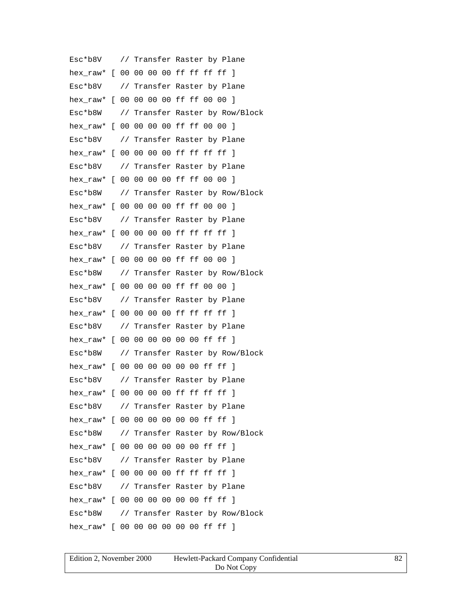Esc\*b8V // Transfer Raster by Plane hex\_raw\* [ 00 00 00 00 ff ff ff ff ] Esc\*b8V // Transfer Raster by Plane hex\_raw\* [ 00 00 00 00 ff ff 00 00 ] Esc\*b8W // Transfer Raster by Row/Block hex\_raw\* [ 00 00 00 00 ff ff 00 00 ] Esc\*b8V // Transfer Raster by Plane hex raw\* [ 00 00 00 00 ff ff ff ff ] Esc\*b8V // Transfer Raster by Plane hex\_raw\* [ 00 00 00 00 ff ff 00 00 ] Esc\*b8W // Transfer Raster by Row/Block hex\_raw\* [ 00 00 00 00 ff ff 00 00 ] Esc\*b8V // Transfer Raster by Plane hex raw\* [ 00 00 00 00 ff ff ff ff ] Esc\*b8V // Transfer Raster by Plane hex\_raw\* [ 00 00 00 00 ff ff 00 00 ] Esc\*b8W // Transfer Raster by Row/Block hex raw\* [ 00 00 00 00 ff ff 00 00 ] Esc\*b8V // Transfer Raster by Plane hex raw\* [ 00 00 00 00 ff ff ff ff ] Esc\*b8V // Transfer Raster by Plane hex\_raw\* [ 00 00 00 00 00 00 ff ff ] Esc\*b8W // Transfer Raster by Row/Block hex raw\* [ 00 00 00 00 00 00 ff ff ] Esc\*b8V // Transfer Raster by Plane hex raw\* [ 00 00 00 00 ff ff ff ff ] Esc\*b8V // Transfer Raster by Plane hex\_raw\* [ 00 00 00 00 00 00 ff ff ] Esc\*b8W // Transfer Raster by Row/Block hex raw\* [ 00 00 00 00 00 00 ff ff ] Esc\*b8V // Transfer Raster by Plane hex\_raw\* [ 00 00 00 00 ff ff ff ff ] Esc\*b8V // Transfer Raster by Plane hex raw\* [ 00 00 00 00 00 00 ff ff ] Esc\*b8W // Transfer Raster by Row/Block hex raw\* [ 00 00 00 00 00 00 ff ff ]

| Edition 2. November 2000 | Hewlett-Packard Company Confidential | 82 |
|--------------------------|--------------------------------------|----|
|                          | Do Not Copy                          |    |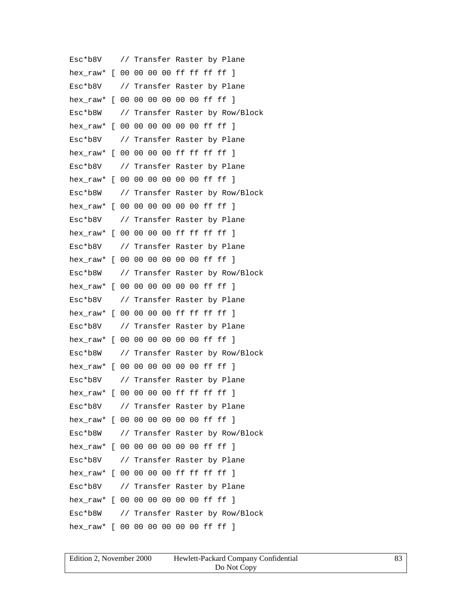Esc\*b8V // Transfer Raster by Plane hex\_raw\* [ 00 00 00 00 ff ff ff ff ] Esc\*b8V // Transfer Raster by Plane hex raw\* [ 00 00 00 00 00 00 ff ff ] Esc\*b8W // Transfer Raster by Row/Block hex raw\* [ 00 00 00 00 00 00 ff ff ] Esc\*b8V // Transfer Raster by Plane hex raw\* [ 00 00 00 00 ff ff ff ff ] Esc\*b8V // Transfer Raster by Plane hex raw\* [ 00 00 00 00 00 00 ff ff ] Esc\*b8W // Transfer Raster by Row/Block hex\_raw\* [ 00 00 00 00 00 00 ff ff ] Esc\*b8V // Transfer Raster by Plane hex raw\* [ 00 00 00 00 ff ff ff ff ] Esc\*b8V // Transfer Raster by Plane hex raw\* [ 00 00 00 00 00 00 ff ff ] Esc\*b8W // Transfer Raster by Row/Block hex raw\* [ 00 00 00 00 00 00 ff ff ] Esc\*b8V // Transfer Raster by Plane hex raw\* [ 00 00 00 00 ff ff ff ff ] Esc\*b8V // Transfer Raster by Plane hex\_raw\* [ 00 00 00 00 00 00 ff ff ] Esc\*b8W // Transfer Raster by Row/Block hex raw\* [ 00 00 00 00 00 00 ff ff ] Esc\*b8V // Transfer Raster by Plane hex raw\* [ 00 00 00 00 ff ff ff ff ] Esc\*b8V // Transfer Raster by Plane hex\_raw\* [ 00 00 00 00 00 00 ff ff ] Esc\*b8W // Transfer Raster by Row/Block hex raw\* [ 00 00 00 00 00 00 ff ff ] Esc\*b8V // Transfer Raster by Plane hex\_raw\* [ 00 00 00 00 ff ff ff ff ] Esc\*b8V // Transfer Raster by Plane hex raw\* [ 00 00 00 00 00 00 ff ff ] Esc\*b8W // Transfer Raster by Row/Block hex raw\* [ 00 00 00 00 00 00 ff ff ]

| Edition 2, November 2000 | Hewlett-Packard Company Confidential |  |
|--------------------------|--------------------------------------|--|
|                          | Do Not Copy                          |  |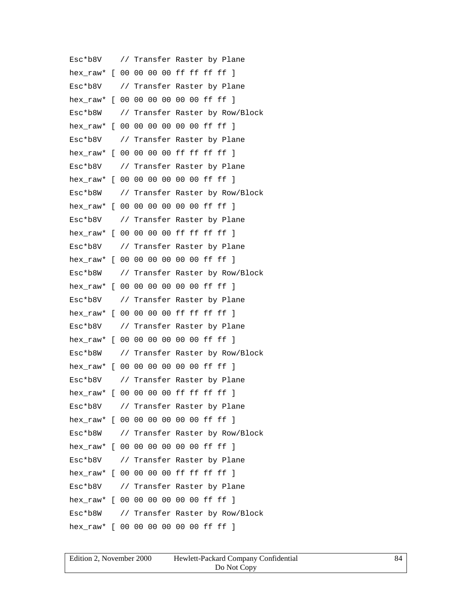Esc\*b8V // Transfer Raster by Plane hex\_raw\* [ 00 00 00 00 ff ff ff ff ] Esc\*b8V // Transfer Raster by Plane hex raw\* [ 00 00 00 00 00 00 ff ff ] Esc\*b8W // Transfer Raster by Row/Block hex raw\* [ 00 00 00 00 00 00 ff ff ] Esc\*b8V // Transfer Raster by Plane hex raw\* [ 00 00 00 00 ff ff ff ff ] Esc\*b8V // Transfer Raster by Plane hex raw\* [ 00 00 00 00 00 00 ff ff ] Esc\*b8W // Transfer Raster by Row/Block hex\_raw\* [ 00 00 00 00 00 00 ff ff ] Esc\*b8V // Transfer Raster by Plane hex raw\* [ 00 00 00 00 ff ff ff ff ] Esc\*b8V // Transfer Raster by Plane hex raw\* [ 00 00 00 00 00 00 ff ff ] Esc\*b8W // Transfer Raster by Row/Block hex raw\* [ 00 00 00 00 00 00 ff ff ] Esc\*b8V // Transfer Raster by Plane hex raw\* [ 00 00 00 00 ff ff ff ff ] Esc\*b8V // Transfer Raster by Plane hex\_raw\* [ 00 00 00 00 00 00 ff ff ] Esc\*b8W // Transfer Raster by Row/Block hex raw\* [ 00 00 00 00 00 00 ff ff ] Esc\*b8V // Transfer Raster by Plane hex raw\* [ 00 00 00 00 ff ff ff ff ] Esc\*b8V // Transfer Raster by Plane hex\_raw\* [ 00 00 00 00 00 00 ff ff ] Esc\*b8W // Transfer Raster by Row/Block hex raw\* [ 00 00 00 00 00 00 ff ff ] Esc\*b8V // Transfer Raster by Plane hex\_raw\* [ 00 00 00 00 ff ff ff ff ] Esc\*b8V // Transfer Raster by Plane hex raw\* [ 00 00 00 00 00 00 ff ff ] Esc\*b8W // Transfer Raster by Row/Block hex raw\* [ 00 00 00 00 00 00 ff ff ]

| Edition 2, November 2000 | Hewlett-Packard Company Confidential | 84 |
|--------------------------|--------------------------------------|----|
|                          | Do Not Copy                          |    |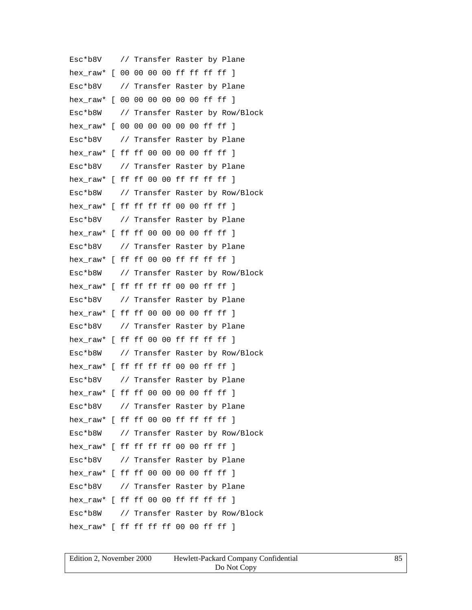Esc\*b8V // Transfer Raster by Plane hex\_raw\* [ 00 00 00 00 ff ff ff ff ] Esc\*b8V // Transfer Raster by Plane hex raw\* [ 00 00 00 00 00 00 ff ff ] Esc\*b8W // Transfer Raster by Row/Block hex raw\* [ 00 00 00 00 00 00 ff ff ] Esc\*b8V // Transfer Raster by Plane hex raw\* [ ff ff 00 00 00 00 ff ff ] Esc\*b8V // Transfer Raster by Plane hex raw\* [ ff ff 00 00 ff ff ff ff ] Esc\*b8W // Transfer Raster by Row/Block hex\_raw\* [ ff ff ff ff 00 00 ff ff ] Esc\*b8V // Transfer Raster by Plane hex\_raw\* [ ff ff 00 00 00 00 ff ff ] Esc\*b8V // Transfer Raster by Plane hex raw\* [ ff ff 00 00 ff ff ff ff ] Esc\*b8W // Transfer Raster by Row/Block hex raw\* [ ff ff ff ff 00 00 ff ff ] Esc\*b8V // Transfer Raster by Plane hex raw\* [ ff ff 00 00 00 00 ff ff ] Esc\*b8V // Transfer Raster by Plane hex\_raw\* [ ff ff 00 00 ff ff ff ff ] Esc\*b8W // Transfer Raster by Row/Block hex raw\* [ ff ff ff ff 00 00 ff ff ] Esc\*b8V // Transfer Raster by Plane hex\_raw\* [ ff ff 00 00 00 00 ff ff ] Esc\*b8V // Transfer Raster by Plane hex\_raw\* [ ff ff 00 00 ff ff ff ff ] Esc\*b8W // Transfer Raster by Row/Block hex raw\* [ ff ff ff ff 00 00 ff ff ] Esc\*b8V // Transfer Raster by Plane hex\_raw\* [ ff ff 00 00 00 00 ff ff ] Esc\*b8V // Transfer Raster by Plane hex raw\* [ ff ff 00 00 ff ff ff ff ] Esc\*b8W // Transfer Raster by Row/Block hex raw\* [ ff ff ff ff 00 00 ff ff ]

| Edition 2, November 2000 | Hewlett-Packard Company Confidential |  |
|--------------------------|--------------------------------------|--|
|                          | Do Not Copy                          |  |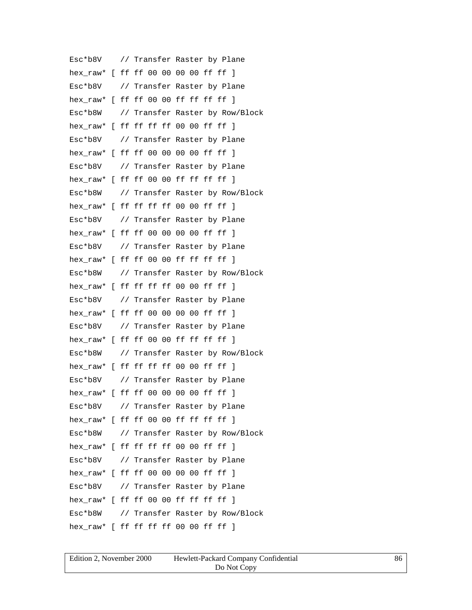Esc\*b8V // Transfer Raster by Plane hex\_raw\* [ ff ff 00 00 00 00 ff ff ] Esc\*b8V // Transfer Raster by Plane hex raw\* [ ff ff 00 00 ff ff ff ff ] Esc\*b8W // Transfer Raster by Row/Block hex\_raw\* [ ff ff ff ff 00 00 ff ff ] Esc\*b8V // Transfer Raster by Plane hex\_raw\* [ ff ff 00 00 00 00 ff ff ] Esc\*b8V // Transfer Raster by Plane hex raw\*  $[$  ff ff 00 00 ff ff ff ff  $]$ Esc\*b8W // Transfer Raster by Row/Block hex\_raw\* [ ff ff ff ff 00 00 ff ff ] Esc\*b8V // Transfer Raster by Plane hex\_raw\* [ ff ff 00 00 00 00 ff ff ] Esc\*b8V // Transfer Raster by Plane hex raw\* [ ff ff 00 00 ff ff ff ff ] Esc\*b8W // Transfer Raster by Row/Block hex raw\* [ ff ff ff ff 00 00 ff ff ] Esc\*b8V // Transfer Raster by Plane hex raw\* [ ff ff 00 00 00 00 ff ff ] Esc\*b8V // Transfer Raster by Plane hex\_raw\* [ ff ff 00 00 ff ff ff ff ] Esc\*b8W // Transfer Raster by Row/Block hex raw\* [ ff ff ff ff 00 00 ff ff ] Esc\*b8V // Transfer Raster by Plane hex\_raw\* [ ff ff 00 00 00 00 ff ff ] Esc\*b8V // Transfer Raster by Plane hex\_raw\* [ ff ff 00 00 ff ff ff ff ] Esc\*b8W // Transfer Raster by Row/Block hex raw\* [ ff ff ff ff 00 00 ff ff ] Esc\*b8V // Transfer Raster by Plane hex\_raw\* [ ff ff 00 00 00 00 ff ff ] Esc\*b8V // Transfer Raster by Plane hex raw\* [ ff ff 00 00 ff ff ff ff ] Esc\*b8W // Transfer Raster by Row/Block hex raw\* [ ff ff ff ff 00 00 ff ff ]

| Edition 2. November 2000 | Hewlett-Packard Company Confidential | 86 |
|--------------------------|--------------------------------------|----|
|                          | Do Not Copy                          |    |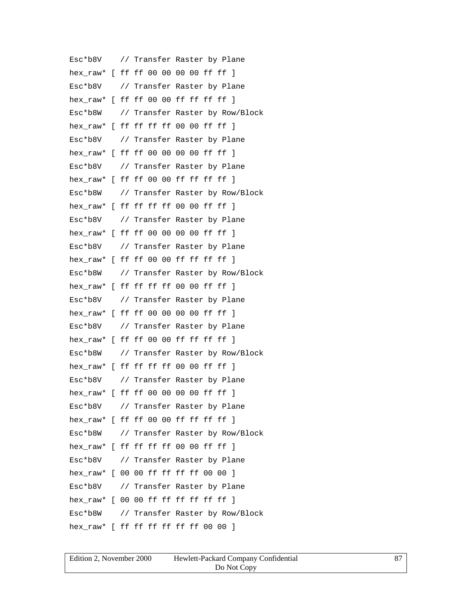Esc\*b8V // Transfer Raster by Plane hex\_raw\* [ ff ff 00 00 00 00 ff ff ] Esc\*b8V // Transfer Raster by Plane hex raw\* [ ff ff 00 00 ff ff ff ff ] Esc\*b8W // Transfer Raster by Row/Block hex\_raw\* [ ff ff ff ff 00 00 ff ff ] Esc\*b8V // Transfer Raster by Plane hex raw\* [ ff ff 00 00 00 00 ff ff ] Esc\*b8V // Transfer Raster by Plane hex raw\* [ ff ff 00 00 ff ff ff ff ] Esc\*b8W // Transfer Raster by Row/Block hex\_raw\* [ ff ff ff ff 00 00 ff ff ] Esc\*b8V // Transfer Raster by Plane hex\_raw\* [ ff ff 00 00 00 00 ff ff ] Esc\*b8V // Transfer Raster by Plane hex raw\* [ ff ff 00 00 ff ff ff ff ] Esc\*b8W // Transfer Raster by Row/Block hex raw\* [ ff ff ff ff 00 00 ff ff ] Esc\*b8V // Transfer Raster by Plane hex raw\* [ ff ff 00 00 00 00 ff ff ] Esc\*b8V // Transfer Raster by Plane hex\_raw\* [ ff ff 00 00 ff ff ff ff ] Esc\*b8W // Transfer Raster by Row/Block hex raw\* [ ff ff ff ff 00 00 ff ff ] Esc\*b8V // Transfer Raster by Plane hex\_raw\* [ ff ff 00 00 00 00 ff ff ] Esc\*b8V // Transfer Raster by Plane hex\_raw\* [ ff ff 00 00 ff ff ff ff ] Esc\*b8W // Transfer Raster by Row/Block hex raw\* [ ff ff ff ff 00 00 ff ff ] Esc\*b8V // Transfer Raster by Plane hex\_raw\* [ 00 00 ff ff ff ff 00 00 ] Esc\*b8V // Transfer Raster by Plane hex raw\* [ 00 00 ff ff ff ff ff ff ] Esc\*b8W // Transfer Raster by Row/Block hex raw\* [ ff ff ff ff ff ff 00 00 ]

| Edition 2, November 2000 | Hewlett-Packard Company Confidential |  |
|--------------------------|--------------------------------------|--|
|                          | Do Not Copy                          |  |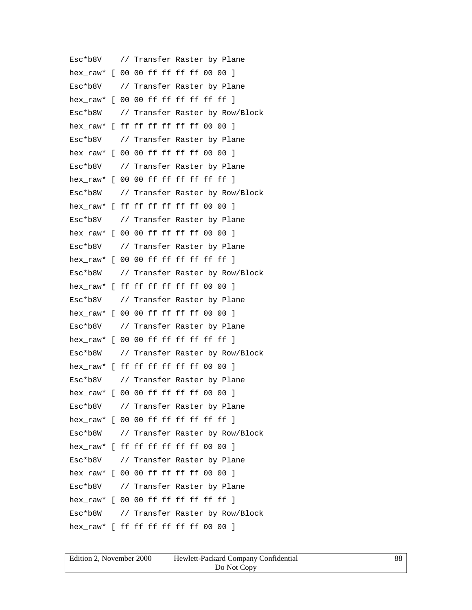Esc\*b8V // Transfer Raster by Plane hex\_raw\* [ 00 00 ff ff ff ff 00 00 ] Esc\*b8V // Transfer Raster by Plane hex raw\*  $[00 00$  ff ff ff ff ff ff  $]$ Esc\*b8W // Transfer Raster by Row/Block hex\_raw\* [ ff ff ff ff ff ff 00 00 ] Esc\*b8V // Transfer Raster by Plane hex raw\* [ 00 00 ff ff ff ff 00 00 ] Esc\*b8V // Transfer Raster by Plane hex raw\*  $[ 00 00$  ff ff ff ff ff ff  $]$ Esc\*b8W // Transfer Raster by Row/Block hex\_raw\* [ ff ff ff ff ff ff 00 00 ] Esc\*b8V // Transfer Raster by Plane hex\_raw\* [ 00 00 ff ff ff ff 00 00 ] Esc\*b8V // Transfer Raster by Plane hex raw\* [ 00 00 ff ff ff ff ff ff ] Esc\*b8W // Transfer Raster by Row/Block hex raw\* [ ff ff ff ff ff ff 00 00 ] Esc\*b8V // Transfer Raster by Plane hex raw\* [ 00 00 ff ff ff ff 00 00 ] Esc\*b8V // Transfer Raster by Plane hex\_raw\* [ 00 00 ff ff ff ff ff ff ] Esc\*b8W // Transfer Raster by Row/Block hex raw\* [ ff ff ff ff ff ff 00 00 ] Esc\*b8V // Transfer Raster by Plane hex\_raw\* [ 00 00 ff ff ff ff 00 00 ] Esc\*b8V // Transfer Raster by Plane hex\_raw\* [ 00 00 ff ff ff ff ff ff ] Esc\*b8W // Transfer Raster by Row/Block hex raw\* [ ff ff ff ff ff ff 00 00 ] Esc\*b8V // Transfer Raster by Plane hex\_raw\* [ 00 00 ff ff ff ff 00 00 ] Esc\*b8V // Transfer Raster by Plane hex raw\* [ 00 00 ff ff ff ff ff ff ] Esc\*b8W // Transfer Raster by Row/Block hex raw\* [ ff ff ff ff ff ff 00 00 ]

| Edition 2, November 2000 | Hewlett-Packard Company Confidential | 88 |
|--------------------------|--------------------------------------|----|
|                          | Do Not Copy                          |    |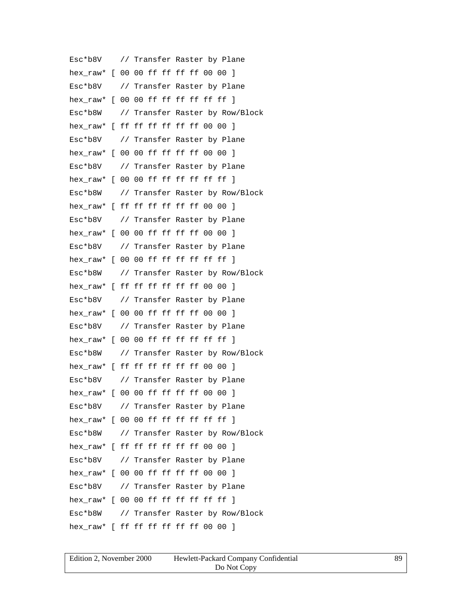Esc\*b8V // Transfer Raster by Plane hex\_raw\* [ 00 00 ff ff ff ff 00 00 ] Esc\*b8V // Transfer Raster by Plane hex raw\*  $[00 00$  ff ff ff ff ff ff  $]$ Esc\*b8W // Transfer Raster by Row/Block hex\_raw\* [ ff ff ff ff ff ff 00 00 ] Esc\*b8V // Transfer Raster by Plane hex raw\* [ 00 00 ff ff ff ff 00 00 ] Esc\*b8V // Transfer Raster by Plane hex raw\*  $[ 00 00$  ff ff ff ff ff ff  $]$ Esc\*b8W // Transfer Raster by Row/Block hex\_raw\* [ ff ff ff ff ff ff 00 00 ] Esc\*b8V // Transfer Raster by Plane hex\_raw\* [ 00 00 ff ff ff ff 00 00 ] Esc\*b8V // Transfer Raster by Plane hex raw\* [ 00 00 ff ff ff ff ff ff ] Esc\*b8W // Transfer Raster by Row/Block hex raw\* [ ff ff ff ff ff ff 00 00 ] Esc\*b8V // Transfer Raster by Plane hex raw\* [ 00 00 ff ff ff ff 00 00 ] Esc\*b8V // Transfer Raster by Plane hex\_raw\* [ 00 00 ff ff ff ff ff ff ] Esc\*b8W // Transfer Raster by Row/Block hex raw\* [ ff ff ff ff ff ff 00 00 ] Esc\*b8V // Transfer Raster by Plane hex\_raw\* [ 00 00 ff ff ff ff 00 00 ] Esc\*b8V // Transfer Raster by Plane hex\_raw\*  $[0000$  ff ff ff ff ff ff ] Esc\*b8W // Transfer Raster by Row/Block hex raw\* [ ff ff ff ff ff ff 00 00 ] Esc\*b8V // Transfer Raster by Plane hex\_raw\* [ 00 00 ff ff ff ff 00 00 ] Esc\*b8V // Transfer Raster by Plane hex raw\* [ 00 00 ff ff ff ff ff ff ] Esc\*b8W // Transfer Raster by Row/Block hex raw\* [ ff ff ff ff ff ff 00 00 ]

| Edition 2, November 2000 | Hewlett-Packard Company Confidential | 89 |
|--------------------------|--------------------------------------|----|
|                          | Do Not Copy                          |    |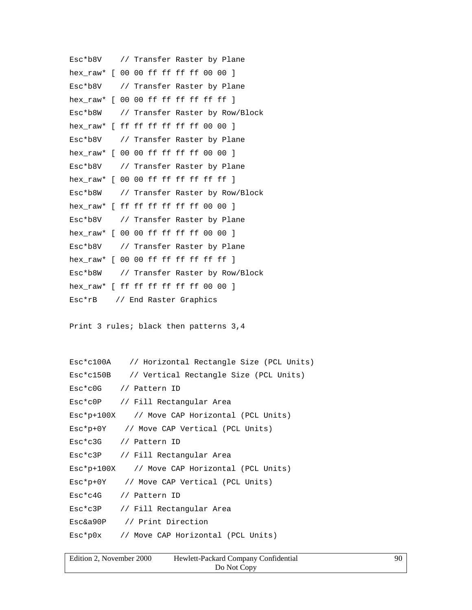```
Esc*b8V // Transfer Raster by Plane
hex_raw* [ 00 00 ff ff ff ff 00 00 ]
Esc*b8V // Transfer Raster by Plane
hex raw* [ 00 00 ff ff ff ff ff ff ]
Esc*b8W // Transfer Raster by Row/Block
hex_raw* [ ff ff ff ff ff ff 00 00 ]
Esc*b8V // Transfer Raster by Plane
hex_raw* [ 00 00 ff ff ff ff 00 00 ]
Esc*b8V // Transfer Raster by Plane
hex_raw* [0000 ff ff ff ff ff ff ]
Esc*b8W // Transfer Raster by Row/Block
hex_raw* [ ff ff ff ff ff ff 00 00 ]
Esc*b8V // Transfer Raster by Plane
hex_raw* [ 00 00 ff ff ff ff 00 00 ]
Esc*b8V // Transfer Raster by Plane
hex raw* [ 00 00 ff ff ff ff ff ff ]
Esc*b8W // Transfer Raster by Row/Block
hex_raw* [ ff ff ff ff ff ff 00 00 ]
Esc*rB // End Raster Graphics
```

```
Print 3 rules; black then patterns 3,4
```

| Esc*c100A // Horizontal Rectangle Size (PCL Units)  |
|-----------------------------------------------------|
| Esc*c150B // Vertical Rectangle Size (PCL Units)    |
| Esc*c0G // Pattern ID                               |
| Esc*c0P // Fill Rectangular Area                    |
| $Esc * p + 100X$ // Move CAP Horizontal (PCL Units) |
| Esc*p+0Y // Move CAP Vertical (PCL Units)           |
| Esc*c3G // Pattern ID                               |
| Esc*c3P // Fill Rectangular Area                    |
| $Esc*p+100X$ // Move CAP Horizontal (PCL Units)     |
| Esc*p+0Y // Move CAP Vertical (PCL Units)           |
| Esc*c4G // Pattern ID                               |
| Esc*c3P // Fill Rectangular Area                    |
| Esc&a90P // Print Direction                         |
| Esc*p0x // Move CAP Horizontal (PCL Units)          |

| Edition 2, November 2000 | Hewlett-Packard Company Confidential | 90 |
|--------------------------|--------------------------------------|----|
|                          | Do Not Copy                          |    |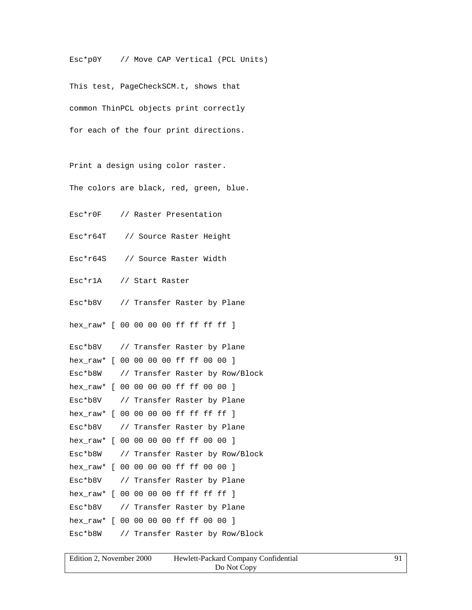Esc\*p0Y // Move CAP Vertical (PCL Units)

This test, PageCheckSCM.t, shows that common ThinPCL objects print correctly for each of the four print directions.

Print a design using color raster. The colors are black, red, green, blue.

Esc\*r0F // Raster Presentation

Esc\*r64T // Source Raster Height

Esc\*r64S // Source Raster Width

Esc\*r1A // Start Raster

Esc\*b8V // Transfer Raster by Plane

hex raw\* [ 00 00 00 00 ff ff ff ff ]

Esc\*b8V // Transfer Raster by Plane hex\_raw\* [ 00 00 00 00 ff ff 00 00 ] Esc\*b8W // Transfer Raster by Row/Block hex\_raw\* [ 00 00 00 00 ff ff 00 00 ] Esc\*b8V // Transfer Raster by Plane hex\_raw\* [ 00 00 00 00 ff ff ff ff ] Esc\*b8V // Transfer Raster by Plane hex\_raw\* [ 00 00 00 00 ff ff 00 00 ] Esc\*b8W // Transfer Raster by Row/Block hex\_raw\* [ 00 00 00 00 ff ff 00 00 ] Esc\*b8V // Transfer Raster by Plane hex raw\* [ 00 00 00 00 ff ff ff ff ] Esc\*b8V // Transfer Raster by Plane hex\_raw\* [ 00 00 00 00 ff ff 00 00 ] Esc\*b8W // Transfer Raster by Row/Block

| Edition 2, November 2000 | Hewlett-Packard Company Confidential |  |
|--------------------------|--------------------------------------|--|
|                          | Do Not Copy                          |  |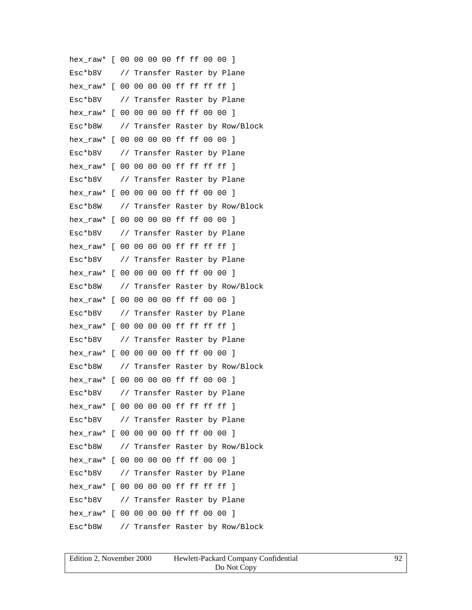hex\_raw\* [ 00 00 00 00 ff ff 00 00 ] Esc\*b8V // Transfer Raster by Plane hex\_raw\* [ 00 00 00 00 ff ff ff ff ] Esc\*b8V // Transfer Raster by Plane hex\_raw\* [ 00 00 00 00 ff ff 00 00 ] Esc\*b8W // Transfer Raster by Row/Block hex\_raw\* [ 00 00 00 00 ff ff 00 00 ] Esc\*b8V // Transfer Raster by Plane hex raw\* [ 00 00 00 00 ff ff ff ff ] Esc\*b8V // Transfer Raster by Plane hex raw\* [ 00 00 00 00 ff ff 00 00 ] Esc\*b8W // Transfer Raster by Row/Block hex\_raw\* [ 00 00 00 00 ff ff 00 00 ] Esc\*b8V // Transfer Raster by Plane hex raw\* [ 00 00 00 00 ff ff ff ff ] Esc\*b8V // Transfer Raster by Plane hex\_raw\* [ 00 00 00 00 ff ff 00 00 ] Esc\*b8W // Transfer Raster by Row/Block hex raw\* [ 00 00 00 00 ff ff 00 00 ] Esc\*b8V // Transfer Raster by Plane hex\_raw\* [ 00 00 00 00 ff ff ff ff ] Esc\*b8V // Transfer Raster by Plane hex\_raw\* [ 00 00 00 00 ff ff 00 00 ] Esc\*b8W // Transfer Raster by Row/Block hex raw\* [ 00 00 00 00 ff ff 00 00 ] Esc\*b8V // Transfer Raster by Plane hex raw\* [ 00 00 00 00 ff ff ff ff ] Esc\*b8V // Transfer Raster by Plane hex\_raw\* [ 00 00 00 00 ff ff 00 00 ] Esc\*b8W // Transfer Raster by Row/Block hex raw\* [ 00 00 00 00 ff ff 00 00 ] Esc\*b8V // Transfer Raster by Plane hex\_raw\* [ 00 00 00 00 ff ff ff ff ] Esc\*b8V // Transfer Raster by Plane hex\_raw\* [ 00 00 00 00 ff ff 00 00 ] Esc\*b8W // Transfer Raster by Row/Block

| Edition 2, November 2000 | Hewlett-Packard Company Confidential |  |
|--------------------------|--------------------------------------|--|
|                          | Do Not Copy                          |  |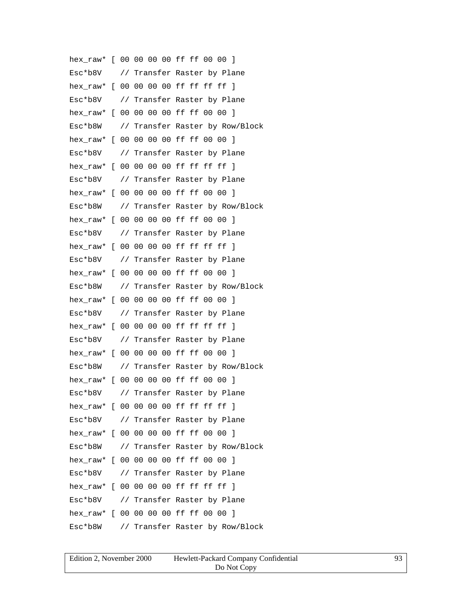hex\_raw\* [ 00 00 00 00 ff ff 00 00 ] Esc\*b8V // Transfer Raster by Plane hex\_raw\* [ 00 00 00 00 ff ff ff ff ] Esc\*b8V // Transfer Raster by Plane hex\_raw\* [ 00 00 00 00 ff ff 00 00 ] Esc\*b8W // Transfer Raster by Row/Block hex\_raw\* [ 00 00 00 00 ff ff 00 00 ] Esc\*b8V // Transfer Raster by Plane hex raw\* [ 00 00 00 00 ff ff ff ff ] Esc\*b8V // Transfer Raster by Plane hex raw\* [ 00 00 00 00 ff ff 00 00 ] Esc\*b8W // Transfer Raster by Row/Block hex\_raw\* [ 00 00 00 00 ff ff 00 00 ] Esc\*b8V // Transfer Raster by Plane hex raw\* [ 00 00 00 00 ff ff ff ff ] Esc\*b8V // Transfer Raster by Plane hex\_raw\* [ 00 00 00 00 ff ff 00 00 ] Esc\*b8W // Transfer Raster by Row/Block hex raw\* [ 00 00 00 00 ff ff 00 00 ] Esc\*b8V // Transfer Raster by Plane hex\_raw\* [ 00 00 00 00 ff ff ff ff ] Esc\*b8V // Transfer Raster by Plane hex\_raw\* [ 00 00 00 00 ff ff 00 00 ] Esc\*b8W // Transfer Raster by Row/Block hex raw\* [ 00 00 00 00 ff ff 00 00 ] Esc\*b8V // Transfer Raster by Plane hex raw\* [ 00 00 00 00 ff ff ff ff ] Esc\*b8V // Transfer Raster by Plane hex\_raw\* [ 00 00 00 00 ff ff 00 00 ] Esc\*b8W // Transfer Raster by Row/Block hex raw\* [ 00 00 00 00 ff ff 00 00 ] Esc\*b8V // Transfer Raster by Plane hex\_raw\* [ 00 00 00 00 ff ff ff ff ] Esc\*b8V // Transfer Raster by Plane hex\_raw\* [ 00 00 00 00 ff ff 00 00 ] Esc\*b8W // Transfer Raster by Row/Block

| Edition 2, November 2000 | Hewlett-Packard Company Confidential |  |
|--------------------------|--------------------------------------|--|
|                          | Do Not Copy                          |  |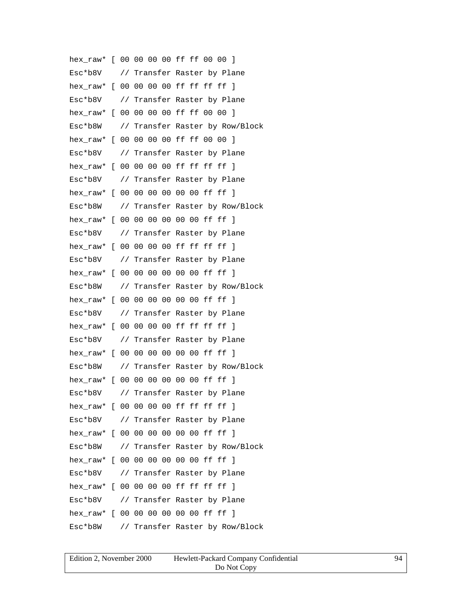hex\_raw\* [ 00 00 00 00 ff ff 00 00 ] Esc\*b8V // Transfer Raster by Plane hex\_raw\* [ 00 00 00 00 ff ff ff ff ] Esc\*b8V // Transfer Raster by Plane hex\_raw\* [ 00 00 00 00 ff ff 00 00 ] Esc\*b8W // Transfer Raster by Row/Block hex\_raw\* [ 00 00 00 00 ff ff 00 00 ] Esc\*b8V // Transfer Raster by Plane hex raw\* [ 00 00 00 00 ff ff ff ff ] Esc\*b8V // Transfer Raster by Plane hex raw\* [ 00 00 00 00 00 00 ff ff ] Esc\*b8W // Transfer Raster by Row/Block hex\_raw\* [ 00 00 00 00 00 00 ff ff ] Esc\*b8V // Transfer Raster by Plane hex raw\* [ 00 00 00 00 ff ff ff ff ] Esc\*b8V // Transfer Raster by Plane hex raw\* [ 00 00 00 00 00 00 ff ff ] Esc\*b8W // Transfer Raster by Row/Block hex raw\* [ 00 00 00 00 00 00 ff ff ] Esc\*b8V // Transfer Raster by Plane hex\_raw\* [ 00 00 00 00 ff ff ff ff ] Esc\*b8V // Transfer Raster by Plane hex\_raw\* [ 00 00 00 00 00 00 ff ff ] Esc\*b8W // Transfer Raster by Row/Block hex raw\* [ 00 00 00 00 00 00 ff ff ] Esc\*b8V // Transfer Raster by Plane hex raw\* [ 00 00 00 00 ff ff ff ff ] Esc\*b8V // Transfer Raster by Plane hex\_raw\* [ 00 00 00 00 00 00 ff ff ] Esc\*b8W // Transfer Raster by Row/Block hex raw\* [ 00 00 00 00 00 00 ff ff ] Esc\*b8V // Transfer Raster by Plane hex\_raw\* [ 00 00 00 00 ff ff ff ff ] Esc\*b8V // Transfer Raster by Plane hex raw\* [ 00 00 00 00 00 00 ff ff ] Esc\*b8W // Transfer Raster by Row/Block

| Edition 2, November 2000 | Hewlett-Packard Company Confidential | 94 |
|--------------------------|--------------------------------------|----|
|                          | Do Not Copy                          |    |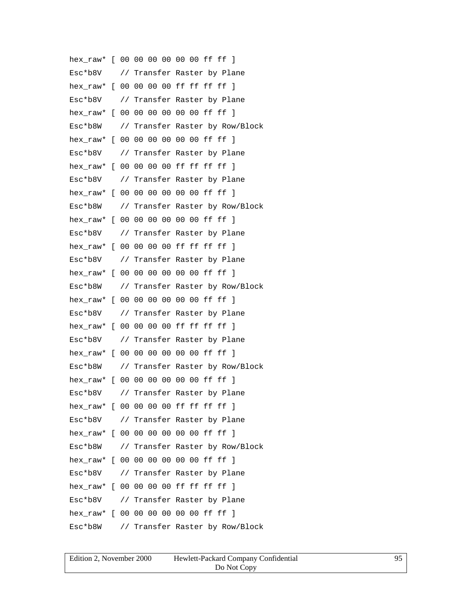hex\_raw\* [ 00 00 00 00 00 00 ff ff ] Esc\*b8V // Transfer Raster by Plane hex\_raw\* [ 00 00 00 00 ff ff ff ff ] Esc\*b8V // Transfer Raster by Plane hex raw\* [ 00 00 00 00 00 00 ff ff ] Esc\*b8W // Transfer Raster by Row/Block hex raw\* [ 00 00 00 00 00 00 ff ff ] Esc\*b8V // Transfer Raster by Plane hex raw\* [ 00 00 00 00 ff ff ff ff ] Esc\*b8V // Transfer Raster by Plane hex raw\* [ 00 00 00 00 00 00 ff ff ] Esc\*b8W // Transfer Raster by Row/Block hex\_raw\* [ 00 00 00 00 00 00 ff ff ] Esc\*b8V // Transfer Raster by Plane hex raw\* [ 00 00 00 00 ff ff ff ff ] Esc\*b8V // Transfer Raster by Plane hex raw\* [ 00 00 00 00 00 00 ff ff ] Esc\*b8W // Transfer Raster by Row/Block hex raw\* [ 00 00 00 00 00 00 ff ff ] Esc\*b8V // Transfer Raster by Plane hex\_raw\* [ 00 00 00 00 ff ff ff ff ] Esc\*b8V // Transfer Raster by Plane hex\_raw\* [ 00 00 00 00 00 00 ff ff ] Esc\*b8W // Transfer Raster by Row/Block hex raw\* [ 00 00 00 00 00 00 ff ff ] Esc\*b8V // Transfer Raster by Plane hex raw\* [ 00 00 00 00 ff ff ff ff ] Esc\*b8V // Transfer Raster by Plane hex\_raw\* [ 00 00 00 00 00 00 ff ff ] Esc\*b8W // Transfer Raster by Row/Block hex raw\* [ 00 00 00 00 00 00 ff ff ] Esc\*b8V // Transfer Raster by Plane hex\_raw\* [ 00 00 00 00 ff ff ff ff ] Esc\*b8V // Transfer Raster by Plane hex raw\* [ 00 00 00 00 00 00 ff ff ] Esc\*b8W // Transfer Raster by Row/Block

| Edition 2. November 2000 | Hewlett-Packard Company Confidential |  |
|--------------------------|--------------------------------------|--|
|                          | Do Not Copy                          |  |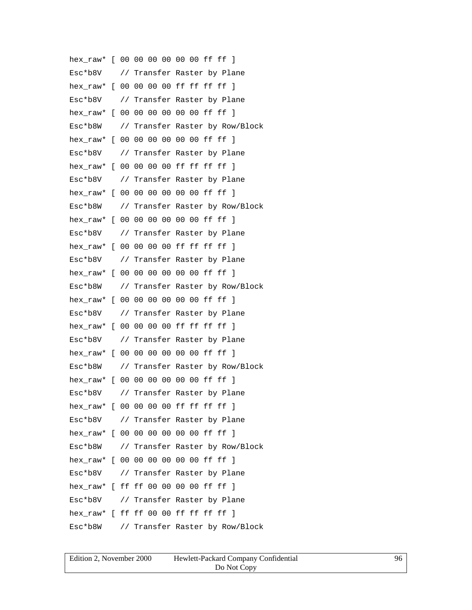hex\_raw\* [ 00 00 00 00 00 00 ff ff ] Esc\*b8V // Transfer Raster by Plane hex\_raw\* [ 00 00 00 00 ff ff ff ff ] Esc\*b8V // Transfer Raster by Plane hex raw\* [ 00 00 00 00 00 00 ff ff ] Esc\*b8W // Transfer Raster by Row/Block hex raw\* [ 00 00 00 00 00 00 ff ff ] Esc\*b8V // Transfer Raster by Plane hex raw\* [ 00 00 00 00 ff ff ff ff ] Esc\*b8V // Transfer Raster by Plane hex raw\* [ 00 00 00 00 00 00 ff ff ] Esc\*b8W // Transfer Raster by Row/Block hex\_raw\* [ 00 00 00 00 00 00 ff ff ] Esc\*b8V // Transfer Raster by Plane hex raw\* [ 00 00 00 00 ff ff ff ff ] Esc\*b8V // Transfer Raster by Plane hex raw\* [ 00 00 00 00 00 00 ff ff ] Esc\*b8W // Transfer Raster by Row/Block hex raw\* [ 00 00 00 00 00 00 ff ff ] Esc\*b8V // Transfer Raster by Plane hex\_raw\* [ 00 00 00 00 ff ff ff ff ] Esc\*b8V // Transfer Raster by Plane hex\_raw\* [ 00 00 00 00 00 00 ff ff ] Esc\*b8W // Transfer Raster by Row/Block hex raw\* [ 00 00 00 00 00 00 ff ff ] Esc\*b8V // Transfer Raster by Plane hex raw\* [ 00 00 00 00 ff ff ff ff ] Esc\*b8V // Transfer Raster by Plane hex\_raw\* [ 00 00 00 00 00 00 ff ff ] Esc\*b8W // Transfer Raster by Row/Block hex raw\* [ 00 00 00 00 00 00 ff ff ] Esc\*b8V // Transfer Raster by Plane hex\_raw\* [ ff ff 00 00 00 00 ff ff ] Esc\*b8V // Transfer Raster by Plane hex raw\* [ ff ff 00 00 ff ff ff ff ] Esc\*b8W // Transfer Raster by Row/Block

| Edition 2. November 2000 | Hewlett-Packard Company Confidential | 96 |
|--------------------------|--------------------------------------|----|
|                          | Do Not Copy                          |    |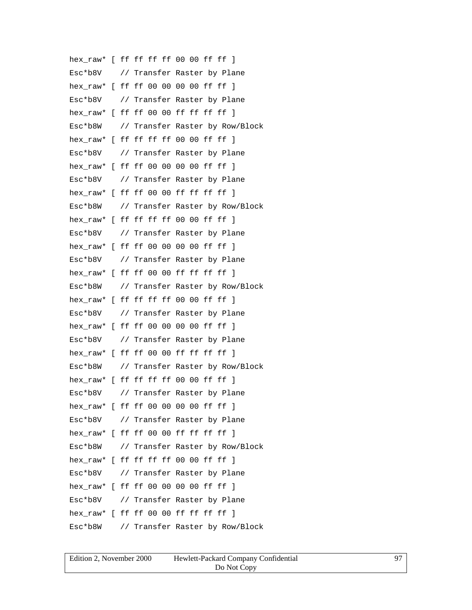hex\_raw\* [ ff ff ff ff 00 00 ff ff ] Esc\*b8V // Transfer Raster by Plane hex\_raw\* [ ff ff 00 00 00 00 ff ff ] Esc\*b8V // Transfer Raster by Plane hex\_raw\* [ ff ff 00 00 ff ff ff ff ] Esc\*b8W // Transfer Raster by Row/Block hex\_raw\* [ ff ff ff ff 00 00 ff ff ] Esc\*b8V // Transfer Raster by Plane hex raw\* [ ff ff 00 00 00 00 ff ff ] Esc\*b8V // Transfer Raster by Plane hex raw\* [ ff ff 00 00 ff ff ff ff ] Esc\*b8W // Transfer Raster by Row/Block hex\_raw\* [ ff ff ff ff 00 00 ff ff ] Esc\*b8V // Transfer Raster by Plane hex raw\* [ ff ff 00 00 00 00 ff ff ] Esc\*b8V // Transfer Raster by Plane hex\_raw\* [ ff ff 00 00 ff ff ff ff ] Esc\*b8W // Transfer Raster by Row/Block hex\_raw\* [ ff ff ff ff 00 00 ff ff ] Esc\*b8V // Transfer Raster by Plane hex\_raw\* [ ff ff 00 00 00 00 ff ff ] Esc\*b8V // Transfer Raster by Plane hex\_raw\* [ ff ff 00 00 ff ff ff ff ] Esc\*b8W // Transfer Raster by Row/Block hex raw\* [ ff ff ff ff 00 00 ff ff ] Esc\*b8V // Transfer Raster by Plane hex raw\* [ ff ff 00 00 00 00 ff ff ] Esc\*b8V // Transfer Raster by Plane hex\_raw\* [ ff ff 00 00 ff ff ff ff 1 Esc\*b8W // Transfer Raster by Row/Block hex raw\* [ ff ff ff ff 00 00 ff ff ] Esc\*b8V // Transfer Raster by Plane hex\_raw\* [ ff ff 00 00 00 00 ff ff ] Esc\*b8V // Transfer Raster by Plane hex raw\* [ ff ff 00 00 ff ff ff ff ] Esc\*b8W // Transfer Raster by Row/Block

| Edition 2, November 2000 | Hewlett-Packard Company Confidential |  |
|--------------------------|--------------------------------------|--|
|                          | Do Not Copy                          |  |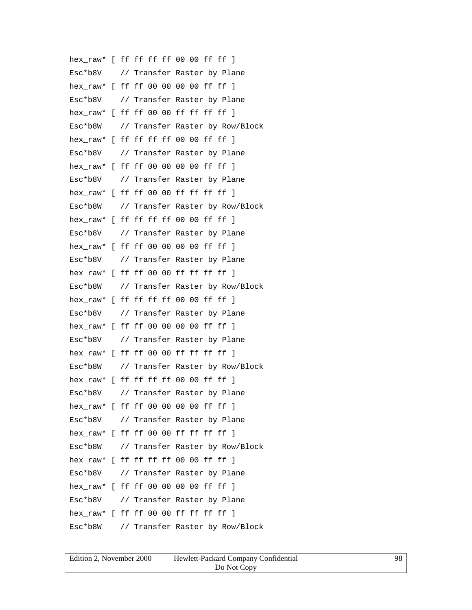hex\_raw\* [ ff ff ff ff 00 00 ff ff ] Esc\*b8V // Transfer Raster by Plane hex\_raw\* [ ff ff 00 00 00 00 ff ff ] Esc\*b8V // Transfer Raster by Plane hex\_raw\* [ ff ff 00 00 ff ff ff ff ] Esc\*b8W // Transfer Raster by Row/Block hex raw\* [ ff ff ff ff 00 00 ff ff ] Esc\*b8V // Transfer Raster by Plane hex raw\* [ ff ff 00 00 00 00 ff ff ] Esc\*b8V // Transfer Raster by Plane hex raw\* [ ff ff 00 00 ff ff ff ff ] Esc\*b8W // Transfer Raster by Row/Block hex\_raw\* [ ff ff ff ff 00 00 ff ff ] Esc\*b8V // Transfer Raster by Plane hex raw\* [ ff ff 00 00 00 00 ff ff ] Esc\*b8V // Transfer Raster by Plane hex\_raw\* [ ff ff 00 00 ff ff ff ff ] Esc\*b8W // Transfer Raster by Row/Block hex\_raw\* [ ff ff ff ff 00 00 ff ff ] Esc\*b8V // Transfer Raster by Plane hex\_raw\* [ ff ff 00 00 00 00 ff ff ] Esc\*b8V // Transfer Raster by Plane hex\_raw\* [ ff ff 00 00 ff ff ff ff ] Esc\*b8W // Transfer Raster by Row/Block hex raw\* [ ff ff ff ff 00 00 ff ff ] Esc\*b8V // Transfer Raster by Plane hex raw\* [ ff ff 00 00 00 00 ff ff ] Esc\*b8V // Transfer Raster by Plane hex\_raw\* [ ff ff 00 00 ff ff ff ff 1 Esc\*b8W // Transfer Raster by Row/Block hex raw\* [ ff ff ff ff 00 00 ff ff ] Esc\*b8V // Transfer Raster by Plane hex\_raw\* [ ff ff 00 00 00 00 ff ff ] Esc\*b8V // Transfer Raster by Plane hex raw\* [ ff ff 00 00 ff ff ff ff ] Esc\*b8W // Transfer Raster by Row/Block

| Edition 2, November 2000 | Hewlett-Packard Company Confidential |  |
|--------------------------|--------------------------------------|--|
|                          | Do Not Copy                          |  |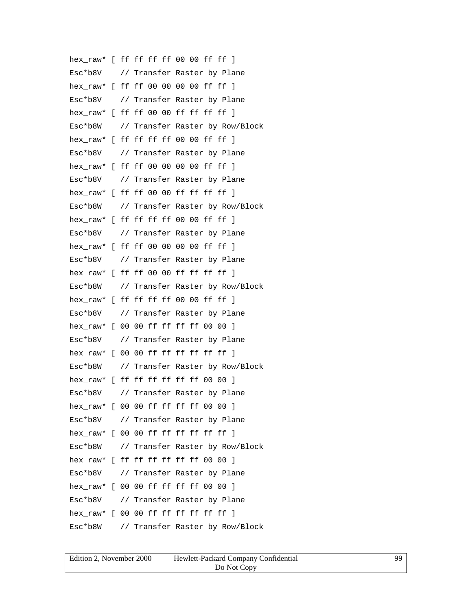hex\_raw\* [ ff ff ff ff 00 00 ff ff ] Esc\*b8V // Transfer Raster by Plane hex\_raw\* [ ff ff 00 00 00 00 ff ff ] Esc\*b8V // Transfer Raster by Plane hex raw\* [ ff ff 00 00 ff ff ff ff ] Esc\*b8W // Transfer Raster by Row/Block hex raw\* [ ff ff ff ff 00 00 ff ff ] Esc\*b8V // Transfer Raster by Plane hex raw\* [ ff ff 00 00 00 00 ff ff ] Esc\*b8V // Transfer Raster by Plane hex raw\* [ ff ff 00 00 ff ff ff ff ] Esc\*b8W // Transfer Raster by Row/Block hex\_raw\* [ ff ff ff ff 00 00 ff ff ] Esc\*b8V // Transfer Raster by Plane hex raw\* [ ff ff 00 00 00 00 ff ff ] Esc\*b8V // Transfer Raster by Plane hex raw\* [ ff ff 00 00 ff ff ff ff ] Esc\*b8W // Transfer Raster by Row/Block hex raw\* [ ff ff ff ff 00 00 ff ff ] Esc\*b8V // Transfer Raster by Plane hex\_raw\* [ 00 00 ff ff ff ff 00 00 ] Esc\*b8V // Transfer Raster by Plane hex\_raw\* [ 00 00 ff ff ff ff ff ff ] Esc\*b8W // Transfer Raster by Row/Block hex raw\* [ ff ff ff ff ff ff 00 00 ] Esc\*b8V // Transfer Raster by Plane hex raw\* [ 00 00 ff ff ff ff 00 00 ] Esc\*b8V // Transfer Raster by Plane hex\_raw\*  $[0000$  ff ff ff ff ff ff 1 Esc\*b8W // Transfer Raster by Row/Block hex raw\* [ ff ff ff ff ff ff 00 00 ] Esc\*b8V // Transfer Raster by Plane hex\_raw\* [ 00 00 ff ff ff ff 00 00 ] Esc\*b8V // Transfer Raster by Plane hex  $raw*$  [ 00 00 ff ff ff ff ff ff ] Esc\*b8W // Transfer Raster by Row/Block

| Edition 2, November 2000 | Hewlett-Packard Company Confidential | 99 |
|--------------------------|--------------------------------------|----|
|                          | Do Not Copy                          |    |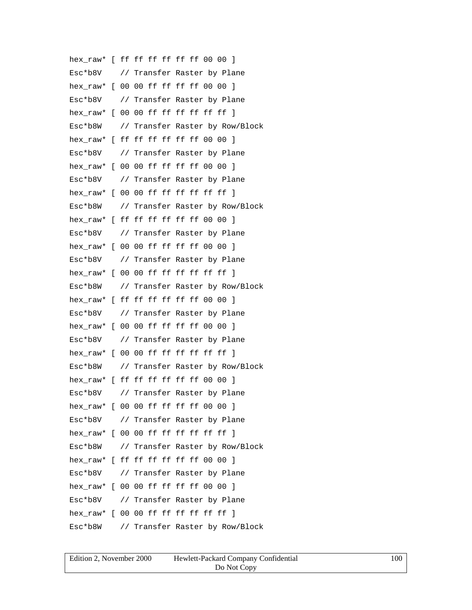hex\_raw\* [ ff ff ff ff ff ff 00 00 ] Esc\*b8V // Transfer Raster by Plane hex\_raw\* [ 00 00 ff ff ff ff 00 00 ] Esc\*b8V // Transfer Raster by Plane hex raw\* [ 00 00 ff ff ff ff ff ff ] Esc\*b8W // Transfer Raster by Row/Block hex raw\* [ ff ff ff ff ff ff 00 00 ] Esc\*b8V // Transfer Raster by Plane hex raw\* [ 00 00 ff ff ff ff 00 00 ] Esc\*b8V // Transfer Raster by Plane hex raw\*  $[00 00$  ff ff ff ff ff ff  $]$ Esc\*b8W // Transfer Raster by Row/Block hex\_raw\* [ ff ff ff ff ff ff 00 00 ] Esc\*b8V // Transfer Raster by Plane hex raw\* [ 00 00 ff ff ff ff 00 00 ] Esc\*b8V // Transfer Raster by Plane hex  $raw*$  [ 00 00 ff ff ff ff ff ff ] Esc\*b8W // Transfer Raster by Row/Block hex raw\* [ ff ff ff ff ff ff 00 00 ] Esc\*b8V // Transfer Raster by Plane hex\_raw\* [ 00 00 ff ff ff ff 00 00 ] Esc\*b8V // Transfer Raster by Plane hex\_raw\* [ 00 00 ff ff ff ff ff ff ] Esc\*b8W // Transfer Raster by Row/Block hex raw\* [ ff ff ff ff ff ff 00 00 ] Esc\*b8V // Transfer Raster by Plane hex raw\* [ 00 00 ff ff ff ff 00 00 ] Esc\*b8V // Transfer Raster by Plane hex\_raw\*  $[0000$  ff ff ff ff ff ff 1 Esc\*b8W // Transfer Raster by Row/Block hex raw\* [ ff ff ff ff ff ff 00 00 ] Esc\*b8V // Transfer Raster by Plane hex\_raw\* [ 00 00 ff ff ff ff 00 00 ] Esc\*b8V // Transfer Raster by Plane hex  $raw*$  [ 00 00 ff ff ff ff ff ff ] Esc\*b8W // Transfer Raster by Row/Block

| Edition 2. November 2000 | Hewlett-Packard Company Confidential | 100 |
|--------------------------|--------------------------------------|-----|
|                          | Do Not Copy                          |     |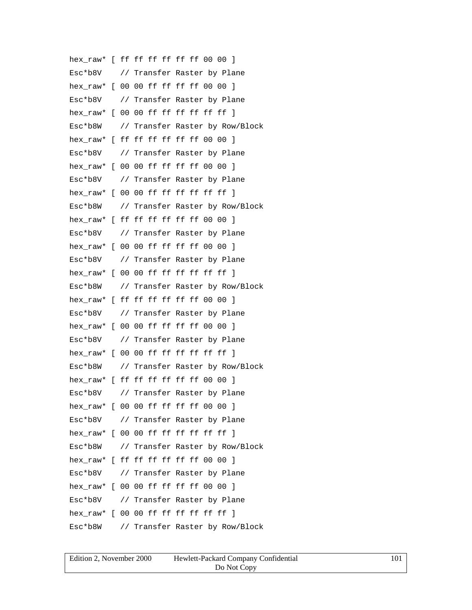hex\_raw\* [ ff ff ff ff ff ff 00 00 ] Esc\*b8V // Transfer Raster by Plane hex\_raw\* [ 00 00 ff ff ff ff 00 00 ] Esc\*b8V // Transfer Raster by Plane hex raw\* [ 00 00 ff ff ff ff ff ff ] Esc\*b8W // Transfer Raster by Row/Block hex raw\* [ ff ff ff ff ff ff 00 00 ] Esc\*b8V // Transfer Raster by Plane hex raw\* [ 00 00 ff ff ff ff 00 00 ] Esc\*b8V // Transfer Raster by Plane hex raw\*  $[00 00$  ff ff ff ff ff ff  $]$ Esc\*b8W // Transfer Raster by Row/Block hex\_raw\* [ ff ff ff ff ff ff 00 00 ] Esc\*b8V // Transfer Raster by Plane hex raw\* [ 00 00 ff ff ff ff 00 00 ] Esc\*b8V // Transfer Raster by Plane hex  $raw*$  [ 00 00 ff ff ff ff ff ff ] Esc\*b8W // Transfer Raster by Row/Block hex raw\* [ ff ff ff ff ff ff 00 00 ] Esc\*b8V // Transfer Raster by Plane hex\_raw\* [ 00 00 ff ff ff ff 00 00 ] Esc\*b8V // Transfer Raster by Plane hex\_raw\* [ 00 00 ff ff ff ff ff ff ] Esc\*b8W // Transfer Raster by Row/Block hex raw\* [ ff ff ff ff ff ff 00 00 ] Esc\*b8V // Transfer Raster by Plane hex raw\* [ 00 00 ff ff ff ff 00 00 ] Esc\*b8V // Transfer Raster by Plane hex\_raw\*  $[0000$  ff ff ff ff ff ff 1 Esc\*b8W // Transfer Raster by Row/Block hex raw\* [ ff ff ff ff ff ff 00 00 ] Esc\*b8V // Transfer Raster by Plane hex\_raw\* [ 00 00 ff ff ff ff 00 00 ] Esc\*b8V // Transfer Raster by Plane hex  $raw*$  [ 00 00 ff ff ff ff ff ff ] Esc\*b8W // Transfer Raster by Row/Block

| Edition 2. November 2000 | Hewlett-Packard Company Confidential |  |
|--------------------------|--------------------------------------|--|
|                          | Do Not Copy                          |  |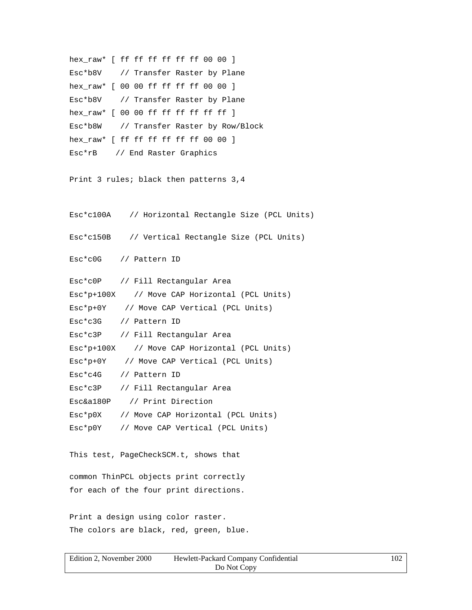```
hex_raw* [ ff ff ff ff ff ff 00 00 ]
Esc*b8V // Transfer Raster by Plane
hex_raw* [ 00 00 ff ff ff ff 00 00 ]
Esc*b8V // Transfer Raster by Plane
hex_raw* [ 00 00 ff ff ff ff ff ff ]
Esc*b8W // Transfer Raster by Row/Block
hex_raw* [ ff ff ff ff ff ff 00 00 ]
Esc*rB // End Raster Graphics
Print 3 rules; black then patterns 3,4
Esc*c100A // Horizontal Rectangle Size (PCL Units)
Esc*c150B // Vertical Rectangle Size (PCL Units)
Esc*c0G // Pattern ID
Esc*c0P // Fill Rectangular Area
Esc*p+100X // Move CAP Horizontal (PCL Units)
Esc*p+0Y // Move CAP Vertical (PCL Units)
Esc*c3G // Pattern ID
Esc*c3P // Fill Rectangular Area
Esc*p+100X // Move CAP Horizontal (PCL Units)
Esc*p+0Y // Move CAP Vertical (PCL Units)
Esc*c4G // Pattern ID
Esc*c3P // Fill Rectangular Area
Esc&a180P // Print Direction
Esc*p0X // Move CAP Horizontal (PCL Units)
Esc*p0Y // Move CAP Vertical (PCL Units)
This test, PageCheckSCM.t, shows that
common ThinPCL objects print correctly
for each of the four print directions.
Print a design using color raster.
```
The colors are black, red, green, blue.

| Edition 2. November 2000 | Hewlett-Packard Company Confidential | 102 |
|--------------------------|--------------------------------------|-----|
|                          | Do Not Copy                          |     |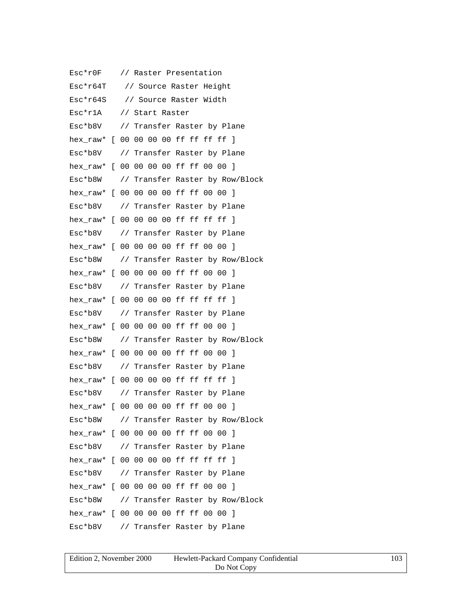Esc\*r0F // Raster Presentation Esc\*r64T // Source Raster Height Esc\*r64S // Source Raster Width Esc\*r1A // Start Raster Esc\*b8V // Transfer Raster by Plane hex raw\* [ 00 00 00 00 ff ff ff ff ] Esc\*b8V // Transfer Raster by Plane hex\_raw\* [ 00 00 00 00 ff ff 00 00 ] Esc\*b8W // Transfer Raster by Row/Block hex raw\* [ 00 00 00 00 ff ff 00 00 ] Esc\*b8V // Transfer Raster by Plane hex\_raw\* [ 00 00 00 00 ff ff ff ff ] Esc\*b8V // Transfer Raster by Plane hex\_raw\* [ 00 00 00 00 ff ff 00 00 ] Esc\*b8W // Transfer Raster by Row/Block hex\_raw\* [ 00 00 00 00 ff ff 00 00 ] Esc\*b8V // Transfer Raster by Plane hex raw\* [ 00 00 00 00 ff ff ff ff ] Esc\*b8V // Transfer Raster by Plane hex\_raw\* [ 00 00 00 00 ff ff 00 00 ] Esc\*b8W // Transfer Raster by Row/Block hex\_raw\* [ 00 00 00 00 ff ff 00 00 ] Esc\*b8V // Transfer Raster by Plane hex raw\* [ 00 00 00 00 ff ff ff ff ] Esc\*b8V // Transfer Raster by Plane hex\_raw\* [ 00 00 00 00 ff ff 00 00 ] Esc\*b8W // Transfer Raster by Row/Block hex\_raw\* [ 00 00 00 00 ff ff 00 00 ] Esc\*b8V // Transfer Raster by Plane hex\_raw\* [ 00 00 00 00 ff ff ff ff ] Esc\*b8V // Transfer Raster by Plane hex\_raw\* [ 00 00 00 00 ff ff 00 00 ] Esc\*b8W // Transfer Raster by Row/Block hex\_raw\* [ 00 00 00 00 ff ff 00 00 ] Esc\*b8V // Transfer Raster by Plane

| Edition 2, November 2000 | Hewlett-Packard Company Confidential | 103 |
|--------------------------|--------------------------------------|-----|
|                          | Do Not Copy                          |     |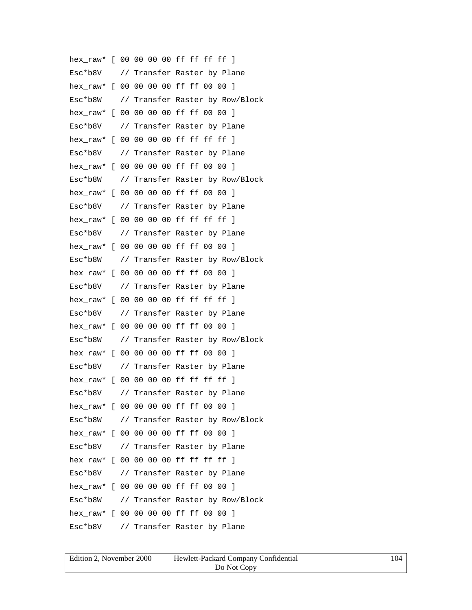hex raw\* [ 00 00 00 00 ff ff ff ff ] Esc\*b8V // Transfer Raster by Plane hex\_raw\* [ 00 00 00 00 ff ff 00 00 ] Esc\*b8W // Transfer Raster by Row/Block hex\_raw\* [ 00 00 00 00 ff ff 00 00 ] Esc\*b8V // Transfer Raster by Plane hex raw\* [ 00 00 00 00 ff ff ff ff ] Esc\*b8V // Transfer Raster by Plane hex\_raw\* [ 00 00 00 00 ff ff 00 00 ] Esc\*b8W // Transfer Raster by Row/Block hex raw\* [ 00 00 00 00 ff ff 00 00 ] Esc\*b8V // Transfer Raster by Plane hex\_raw\* [ 00 00 00 00 ff ff ff ff ] Esc\*b8V // Transfer Raster by Plane hex\_raw\* [ 00 00 00 00 ff ff 00 00 ] Esc\*b8W // Transfer Raster by Row/Block hex\_raw\* [ 00 00 00 00 ff ff 00 00 ] Esc\*b8V // Transfer Raster by Plane hex raw\* [ 00 00 00 00 ff ff ff ff ] Esc\*b8V // Transfer Raster by Plane hex\_raw\* [ 00 00 00 00 ff ff 00 00 ] Esc\*b8W // Transfer Raster by Row/Block hex\_raw\* [ 00 00 00 00 ff ff 00 00 ] Esc\*b8V // Transfer Raster by Plane hex raw\* [ 00 00 00 00 ff ff ff ff ] Esc\*b8V // Transfer Raster by Plane hex\_raw\* [ 00 00 00 00 ff ff 00 00 ] Esc\*b8W // Transfer Raster by Row/Block hex\_raw\* [ 00 00 00 00 ff ff 00 00 ] Esc\*b8V // Transfer Raster by Plane hex raw\* [ 00 00 00 00 ff ff ff ff ] Esc\*b8V // Transfer Raster by Plane hex\_raw\* [ 00 00 00 00 ff ff 00 00 ] Esc\*b8W // Transfer Raster by Row/Block hex\_raw\* [ 00 00 00 00 ff ff 00 00 ] Esc\*b8V // Transfer Raster by Plane

| Edition 2, November 2000 | Hewlett-Packard Company Confidential | 104 |
|--------------------------|--------------------------------------|-----|
|                          | Do Not Copy                          |     |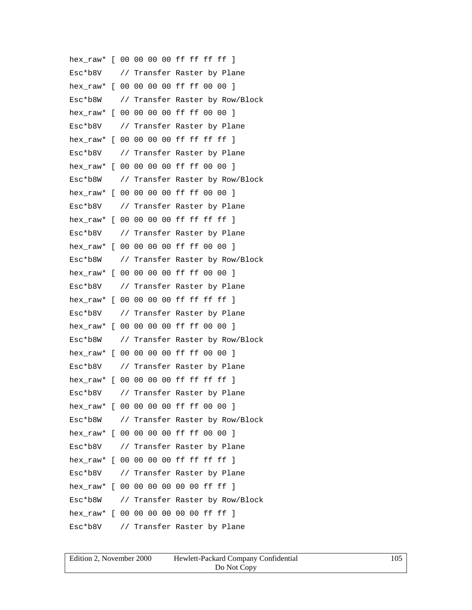hex raw\* [ 00 00 00 00 ff ff ff ff ] Esc\*b8V // Transfer Raster by Plane hex\_raw\* [ 00 00 00 00 ff ff 00 00 ] Esc\*b8W // Transfer Raster by Row/Block hex\_raw\* [ 00 00 00 00 ff ff 00 00 ] Esc\*b8V // Transfer Raster by Plane hex raw\* [ 00 00 00 00 ff ff ff ff ] Esc\*b8V // Transfer Raster by Plane hex\_raw\* [ 00 00 00 00 ff ff 00 00 ] Esc\*b8W // Transfer Raster by Row/Block hex\_raw\* [ 00 00 00 00 ff ff 00 00 ] Esc\*b8V // Transfer Raster by Plane hex\_raw\* [ 00 00 00 00 ff ff ff ff ] Esc\*b8V // Transfer Raster by Plane hex\_raw\* [ 00 00 00 00 ff ff 00 00 ] Esc\*b8W // Transfer Raster by Row/Block hex\_raw\* [ 00 00 00 00 ff ff 00 00 ] Esc\*b8V // Transfer Raster by Plane hex raw\* [ 00 00 00 00 ff ff ff ff ] Esc\*b8V // Transfer Raster by Plane hex\_raw\* [ 00 00 00 00 ff ff 00 00 ] Esc\*b8W // Transfer Raster by Row/Block hex\_raw\* [ 00 00 00 00 ff ff 00 00 ] Esc\*b8V // Transfer Raster by Plane hex raw\* [ 00 00 00 00 ff ff ff ff ] Esc\*b8V // Transfer Raster by Plane hex\_raw\* [ 00 00 00 00 ff ff 00 00 ] Esc\*b8W // Transfer Raster by Row/Block hex\_raw\* [ 00 00 00 00 ff ff 00 00 ] Esc\*b8V // Transfer Raster by Plane hex raw\* [ 00 00 00 00 ff ff ff ff ] Esc\*b8V // Transfer Raster by Plane hex\_raw\* [ 00 00 00 00 00 00 ff ff ] Esc\*b8W // Transfer Raster by Row/Block hex\_raw\* [ 00 00 00 00 00 00 ff ff ] Esc\*b8V // Transfer Raster by Plane

| Edition 2, November 2000 | Hewlett-Packard Company Confidential | 105 |
|--------------------------|--------------------------------------|-----|
|                          | Do Not Copy                          |     |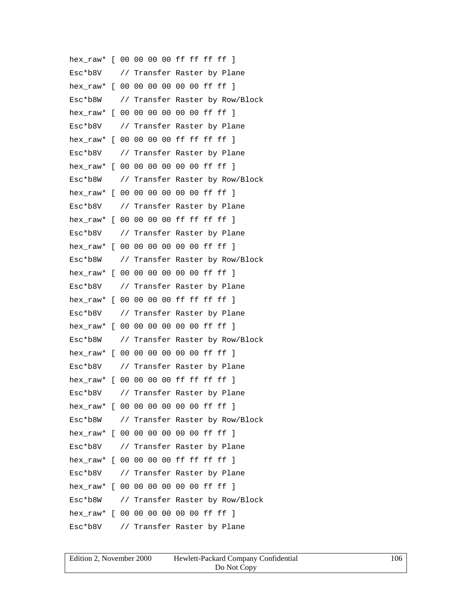hex\_raw\* [ 00 00 00 00 ff ff ff ff ] Esc\*b8V // Transfer Raster by Plane hex\_raw\* [ 00 00 00 00 00 00 ff ff ] Esc\*b8W // Transfer Raster by Row/Block hex raw\* [ 00 00 00 00 00 00 ff ff ] Esc\*b8V // Transfer Raster by Plane hex raw\* [ 00 00 00 00 ff ff ff ff ] Esc\*b8V // Transfer Raster by Plane hex raw\* [ 00 00 00 00 00 00 ff ff ] Esc\*b8W // Transfer Raster by Row/Block hex raw\* [ 00 00 00 00 00 00 ff ff ] Esc\*b8V // Transfer Raster by Plane hex\_raw\* [ 00 00 00 00 ff ff ff ff ] Esc\*b8V // Transfer Raster by Plane hex raw\* [ 00 00 00 00 00 00 ff ff ] Esc\*b8W // Transfer Raster by Row/Block hex raw\* [ 00 00 00 00 00 00 ff ff ] Esc\*b8V // Transfer Raster by Plane hex raw\* [ 00 00 00 00 ff ff ff ff ] Esc\*b8V // Transfer Raster by Plane hex\_raw\* [ 00 00 00 00 00 00 ff ff ] Esc\*b8W // Transfer Raster by Row/Block hex\_raw\* [ 00 00 00 00 00 00 ff ff ] Esc\*b8V // Transfer Raster by Plane hex raw\* [ 00 00 00 00 ff ff ff ff ] Esc\*b8V // Transfer Raster by Plane hex raw\* [ 00 00 00 00 00 00 ff ff ] Esc\*b8W // Transfer Raster by Row/Block hex\_raw\* [ 00 00 00 00 00 00 ff ff ] Esc\*b8V // Transfer Raster by Plane hex raw\* [ 00 00 00 00 ff ff ff ff ] Esc\*b8V // Transfer Raster by Plane hex\_raw\* [ 00 00 00 00 00 00 ff ff ] Esc\*b8W // Transfer Raster by Row/Block hex\_raw\* [ 00 00 00 00 00 00 ff ff ] Esc\*b8V // Transfer Raster by Plane

| Edition 2, November 2000 | Hewlett-Packard Company Confidential | 106 |
|--------------------------|--------------------------------------|-----|
|                          | Do Not Copy                          |     |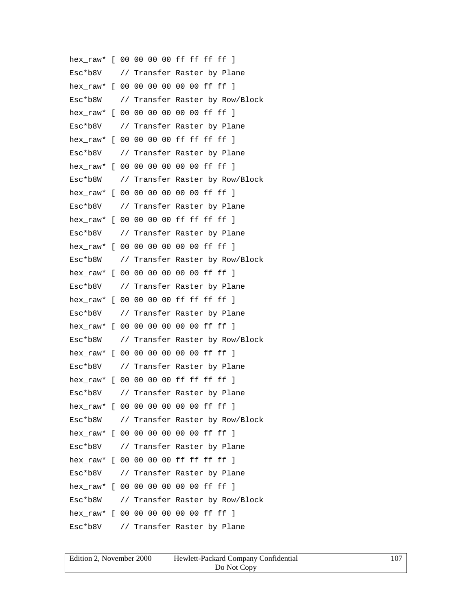hex\_raw\* [ 00 00 00 00 ff ff ff ff ] Esc\*b8V // Transfer Raster by Plane hex\_raw\* [ 00 00 00 00 00 00 ff ff ] Esc\*b8W // Transfer Raster by Row/Block hex raw\* [ 00 00 00 00 00 00 ff ff ] Esc\*b8V // Transfer Raster by Plane hex raw\* [ 00 00 00 00 ff ff ff ff ] Esc\*b8V // Transfer Raster by Plane hex raw\* [ 00 00 00 00 00 00 ff ff ] Esc\*b8W // Transfer Raster by Row/Block hex raw\* [ 00 00 00 00 00 00 ff ff ] Esc\*b8V // Transfer Raster by Plane hex\_raw\* [ 00 00 00 00 ff ff ff ff ] Esc\*b8V // Transfer Raster by Plane hex raw\* [ 00 00 00 00 00 00 ff ff ] Esc\*b8W // Transfer Raster by Row/Block hex raw\* [ 00 00 00 00 00 00 ff ff ] Esc\*b8V // Transfer Raster by Plane hex raw\* [ 00 00 00 00 ff ff ff ff ] Esc\*b8V // Transfer Raster by Plane hex\_raw\* [ 00 00 00 00 00 00 ff ff ] Esc\*b8W // Transfer Raster by Row/Block hex\_raw\* [ 00 00 00 00 00 00 ff ff ] Esc\*b8V // Transfer Raster by Plane hex raw\* [ 00 00 00 00 ff ff ff ff ] Esc\*b8V // Transfer Raster by Plane hex raw\* [ 00 00 00 00 00 00 ff ff ] Esc\*b8W // Transfer Raster by Row/Block hex\_raw\* [ 00 00 00 00 00 00 ff ff ] Esc\*b8V // Transfer Raster by Plane hex raw\* [ 00 00 00 00 ff ff ff ff ] Esc\*b8V // Transfer Raster by Plane hex\_raw\* [ 00 00 00 00 00 00 ff ff ] Esc\*b8W // Transfer Raster by Row/Block hex\_raw\* [ 00 00 00 00 00 00 ff ff ] Esc\*b8V // Transfer Raster by Plane

| Edition 2, November 2000 | Hewlett-Packard Company Confidential | 107 |
|--------------------------|--------------------------------------|-----|
|                          | Do Not Copy                          |     |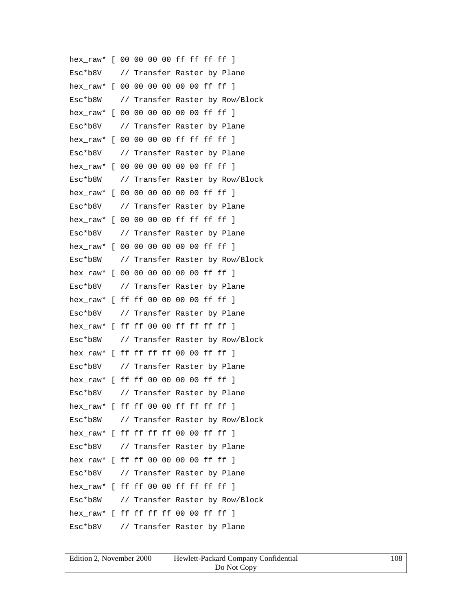hex\_raw\* [ 00 00 00 00 ff ff ff ff ] Esc\*b8V // Transfer Raster by Plane hex\_raw\* [ 00 00 00 00 00 00 ff ff ] Esc\*b8W // Transfer Raster by Row/Block hex\_raw\* [ 00 00 00 00 00 00 ff ff ] Esc\*b8V // Transfer Raster by Plane hex raw\* [ 00 00 00 00 ff ff ff ff ] Esc\*b8V // Transfer Raster by Plane hex raw\* [ 00 00 00 00 00 00 ff ff ] Esc\*b8W // Transfer Raster by Row/Block hex raw\* [ 00 00 00 00 00 00 ff ff ] Esc\*b8V // Transfer Raster by Plane hex\_raw\* [ 00 00 00 00 ff ff ff ff ] Esc\*b8V // Transfer Raster by Plane hex raw\* [ 00 00 00 00 00 00 ff ff ] Esc\*b8W // Transfer Raster by Row/Block hex raw\* [ 00 00 00 00 00 00 ff ff ] Esc\*b8V // Transfer Raster by Plane hex\_raw\* [ ff ff 00 00 00 00 ff ff ] Esc\*b8V // Transfer Raster by Plane hex\_raw\* [ ff ff 00 00 ff ff ff ff ] Esc\*b8W // Transfer Raster by Row/Block hex\_raw\* [ ff ff ff ff 00 00 ff ff ] Esc\*b8V // Transfer Raster by Plane hex raw\* [ ff ff 00 00 00 00 ff ff ] Esc\*b8V // Transfer Raster by Plane hex raw\* [ ff ff 00 00 ff ff ff ff ] Esc\*b8W // Transfer Raster by Row/Block hex raw\* [ ff ff ff ff 00 00 ff ff ] Esc\*b8V // Transfer Raster by Plane hex raw\* [ ff ff 00 00 00 00 ff ff ] Esc\*b8V // Transfer Raster by Plane hex\_raw\* [ ff ff 00 00 ff ff ff ff ] Esc\*b8W // Transfer Raster by Row/Block hex raw\* [ ff ff ff ff 00 00 ff ff ] Esc\*b8V // Transfer Raster by Plane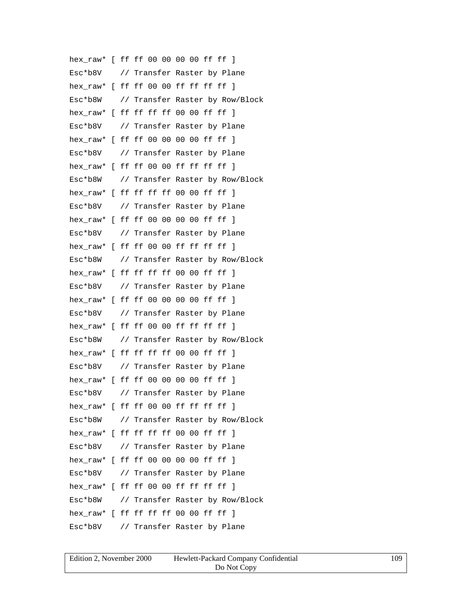hex\_raw\* [ ff ff 00 00 00 00 ff ff ] Esc\*b8V // Transfer Raster by Plane hex\_raw\* [ ff ff 00 00 ff ff ff ff ] Esc\*b8W // Transfer Raster by Row/Block hex raw\* [ ff ff ff ff 00 00 ff ff ] Esc\*b8V // Transfer Raster by Plane hex raw\* [ ff ff 00 00 00 00 ff ff ] Esc\*b8V // Transfer Raster by Plane hex raw\* [ ff ff 00 00 ff ff ff ff ] Esc\*b8W // Transfer Raster by Row/Block hex raw\* [ ff ff ff ff 00 00 ff ff ] Esc\*b8V // Transfer Raster by Plane hex\_raw\* [ ff ff 00 00 00 00 ff ff ] Esc\*b8V // Transfer Raster by Plane hex raw\* [ ff ff 00 00 ff ff ff ff ] Esc\*b8W // Transfer Raster by Row/Block hex raw\* [ ff ff ff ff 00 00 ff ff ] Esc\*b8V // Transfer Raster by Plane hex\_raw\* [ ff ff 00 00 00 00 ff ff ] Esc\*b8V // Transfer Raster by Plane hex\_raw\* [ ff ff 00 00 ff ff ff ff ] Esc\*b8W // Transfer Raster by Row/Block hex\_raw\* [ ff ff ff ff 00 00 ff ff ] Esc\*b8V // Transfer Raster by Plane hex raw\* [ ff ff 00 00 00 00 ff ff ] Esc\*b8V // Transfer Raster by Plane hex raw\* [ ff ff 00 00 ff ff ff ff ] Esc\*b8W // Transfer Raster by Row/Block hex raw\*  $[$  ff ff ff ff 00 00 ff ff  $]$ Esc\*b8V // Transfer Raster by Plane hex raw\* [ ff ff 00 00 00 00 ff ff ] Esc\*b8V // Transfer Raster by Plane hex\_raw\* [ ff ff 00 00 ff ff ff ff ] Esc\*b8W // Transfer Raster by Row/Block hex raw\* [ ff ff ff ff 00 00 ff ff ] Esc\*b8V // Transfer Raster by Plane

| Edition 2. November 2000 | Hewlett-Packard Company Confidential | 109 |
|--------------------------|--------------------------------------|-----|
|                          | Do Not Copy                          |     |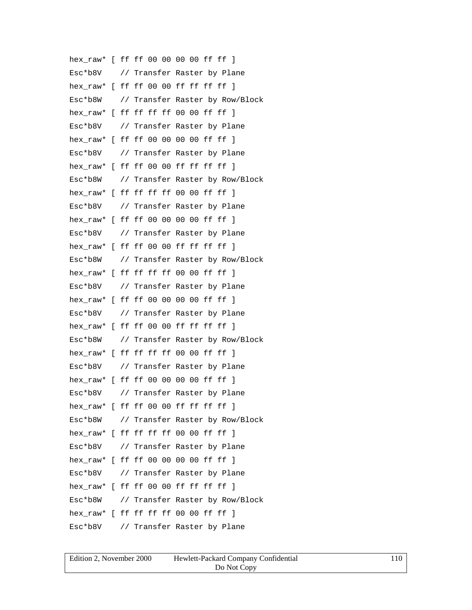hex\_raw\* [ ff ff 00 00 00 00 ff ff ] Esc\*b8V // Transfer Raster by Plane hex\_raw\* [ ff ff 00 00 ff ff ff ff ] Esc\*b8W // Transfer Raster by Row/Block hex raw\* [ ff ff ff ff 00 00 ff ff ] Esc\*b8V // Transfer Raster by Plane hex raw\* [ ff ff 00 00 00 00 ff ff ] Esc\*b8V // Transfer Raster by Plane hex raw\* [ ff ff 00 00 ff ff ff ff ] Esc\*b8W // Transfer Raster by Row/Block hex raw\* [ ff ff ff ff 00 00 ff ff ] Esc\*b8V // Transfer Raster by Plane hex\_raw\* [ ff ff 00 00 00 00 ff ff ] Esc\*b8V // Transfer Raster by Plane hex raw\* [ ff ff 00 00 ff ff ff ff ] Esc\*b8W // Transfer Raster by Row/Block hex raw\* [ ff ff ff ff 00 00 ff ff ] Esc\*b8V // Transfer Raster by Plane hex\_raw\* [ ff ff 00 00 00 00 ff ff ] Esc\*b8V // Transfer Raster by Plane hex\_raw\* [ ff ff 00 00 ff ff ff ff ] Esc\*b8W // Transfer Raster by Row/Block hex\_raw\* [ ff ff ff ff 00 00 ff ff ] Esc\*b8V // Transfer Raster by Plane hex raw\* [ ff ff 00 00 00 00 ff ff ] Esc\*b8V // Transfer Raster by Plane hex raw\* [ ff ff 00 00 ff ff ff ff ] Esc\*b8W // Transfer Raster by Row/Block hex raw\*  $[$  ff ff ff ff 00 00 ff ff  $]$ Esc\*b8V // Transfer Raster by Plane hex raw\* [ ff ff 00 00 00 00 ff ff ] Esc\*b8V // Transfer Raster by Plane hex\_raw\* [ ff ff 00 00 ff ff ff ff ] Esc\*b8W // Transfer Raster by Row/Block hex raw\* [ ff ff ff ff 00 00 ff ff ] Esc\*b8V // Transfer Raster by Plane

| Edition 2, November 2000 | Hewlett-Packard Company Confidential | 10 |
|--------------------------|--------------------------------------|----|
|                          | Do Not Copy                          |    |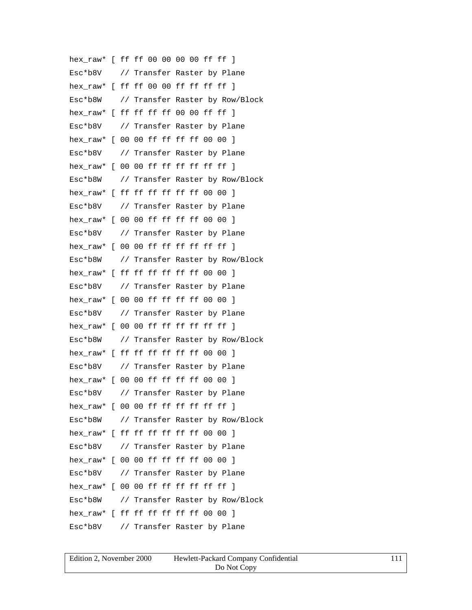hex\_raw\* [ ff ff 00 00 00 00 ff ff ] Esc\*b8V // Transfer Raster by Plane hex\_raw\* [ ff ff 00 00 ff ff ff ff ] Esc\*b8W // Transfer Raster by Row/Block hex raw\* [ ff ff ff ff 00 00 ff ff ] Esc\*b8V // Transfer Raster by Plane hex\_raw\* [ 00 00 ff ff ff ff 00 00 ] Esc\*b8V // Transfer Raster by Plane hex raw\*  $[ 00 00$  ff ff ff ff ff ff  $]$ Esc\*b8W // Transfer Raster by Row/Block hex raw\* [ ff ff ff ff ff ff 00 00 ] Esc\*b8V // Transfer Raster by Plane hex\_raw\* [ 00 00 ff ff ff ff 00 00 ] Esc\*b8V // Transfer Raster by Plane hex raw\* [ 00 00 ff ff ff ff ff ff ] Esc\*b8W // Transfer Raster by Row/Block hex raw\* [ ff ff ff ff ff ff 00 00 ] Esc\*b8V // Transfer Raster by Plane hex raw\* [ 00 00 ff ff ff ff 00 00 ] Esc\*b8V // Transfer Raster by Plane hex\_raw\*  $[0000$  ff ff ff ff ff ff  $]$ Esc\*b8W // Transfer Raster by Row/Block hex\_raw\* [ ff ff ff ff ff ff 00 00 ] Esc\*b8V // Transfer Raster by Plane hex raw\* [ 00 00 ff ff ff ff 00 00 ] Esc\*b8V // Transfer Raster by Plane hex raw\* [ 00 00 ff ff ff ff ff ff ] Esc\*b8W // Transfer Raster by Row/Block hex raw\* [ ff ff ff ff ff ff 00 00 ] Esc\*b8V // Transfer Raster by Plane hex raw\* [ 00 00 ff ff ff ff 00 00 ] Esc\*b8V // Transfer Raster by Plane hex\_raw\* [ 00 00 ff ff ff ff ff ff ] Esc\*b8W // Transfer Raster by Row/Block hex\_raw\* [ ff ff ff ff ff ff 00 00 ] Esc\*b8V // Transfer Raster by Plane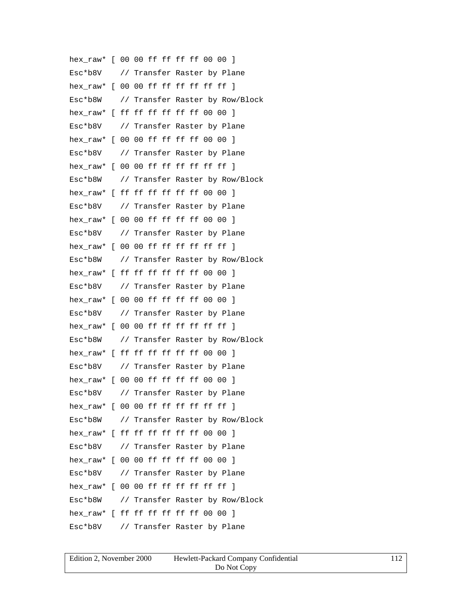hex\_raw\* [ 00 00 ff ff ff ff 00 00 ] Esc\*b8V // Transfer Raster by Plane hex\_raw\* [ 00 00 ff ff ff ff ff ff ] Esc\*b8W // Transfer Raster by Row/Block hex raw\* [ ff ff ff ff ff ff 00 00 ] Esc\*b8V // Transfer Raster by Plane hex raw\* [ 00 00 ff ff ff ff 00 00 ] Esc\*b8V // Transfer Raster by Plane hex raw\*  $[ 00 00$  ff ff ff ff ff ff  $]$ Esc\*b8W // Transfer Raster by Row/Block hex raw\* [ ff ff ff ff ff ff 00 00 ] Esc\*b8V // Transfer Raster by Plane hex\_raw\* [ 00 00 ff ff ff ff 00 00 ] Esc\*b8V // Transfer Raster by Plane hex raw\*  $[00 00$  ff ff ff ff ff ff  $]$ Esc\*b8W // Transfer Raster by Row/Block hex\_raw\* [ ff ff ff ff ff ff 00 00 ] Esc\*b8V // Transfer Raster by Plane hex raw\* [ 00 00 ff ff ff ff 00 00 ] Esc\*b8V // Transfer Raster by Plane hex\_raw\*  $[0000$  ff ff ff ff ff ff ] Esc\*b8W // Transfer Raster by Row/Block hex\_raw\* [ ff ff ff ff ff ff 00 00 ] Esc\*b8V // Transfer Raster by Plane hex raw\* [ 00 00 ff ff ff ff 00 00 ] Esc\*b8V // Transfer Raster by Plane hex raw\* [ 00 00 ff ff ff ff ff ff ] Esc\*b8W // Transfer Raster by Row/Block hex\_raw\* [ ff ff ff ff ff ff 00 00 ] Esc\*b8V // Transfer Raster by Plane hex raw\* [ 00 00 ff ff ff ff 00 00 ] Esc\*b8V // Transfer Raster by Plane hex\_raw\* [ 00 00 ff ff ff ff ff ff ] Esc\*b8W // Transfer Raster by Row/Block hex\_raw\* [ ff ff ff ff ff ff 00 00 ] Esc\*b8V // Transfer Raster by Plane

| Edition 2, November 2000 | Hewlett-Packard Company Confidential |  |
|--------------------------|--------------------------------------|--|
|                          | Do Not Copy                          |  |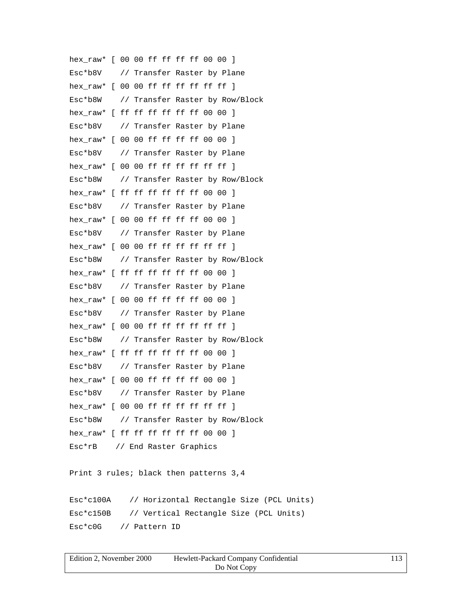hex\_raw\* [ 00 00 ff ff ff ff 00 00 ] Esc\*b8V // Transfer Raster by Plane hex\_raw\* [ 00 00 ff ff ff ff ff ff ] Esc\*b8W // Transfer Raster by Row/Block hex raw\* [ ff ff ff ff ff ff 00 00 ] Esc\*b8V // Transfer Raster by Plane hex\_raw\* [ 00 00 ff ff ff ff 00 00 ] Esc\*b8V // Transfer Raster by Plane hex raw\*  $[ 00 00$  ff ff ff ff ff ff  $]$ Esc\*b8W // Transfer Raster by Row/Block hex raw\* [ ff ff ff ff ff ff 00 00 ] Esc\*b8V // Transfer Raster by Plane hex\_raw\* [ 00 00 ff ff ff ff 00 00 ] Esc\*b8V // Transfer Raster by Plane hex raw\*  $[00 00$  ff ff ff ff ff ff  $]$ Esc\*b8W // Transfer Raster by Row/Block hex\_raw\* [ ff ff ff ff ff ff 00 00 ] Esc\*b8V // Transfer Raster by Plane hex raw\* [ 00 00 ff ff ff ff 00 00 ] Esc\*b8V // Transfer Raster by Plane hex\_raw\*  $[0000$  ff ff ff ff ff ff ] Esc\*b8W // Transfer Raster by Row/Block hex\_raw\* [ ff ff ff ff ff ff 00 00 ] Esc\*b8V // Transfer Raster by Plane hex raw\* [ 00 00 ff ff ff ff 00 00 ] Esc\*b8V // Transfer Raster by Plane hex raw\* [ 00 00 ff ff ff ff ff ff ] Esc\*b8W // Transfer Raster by Row/Block hex raw\*  $[$  ff ff ff ff ff ff 00 00  $]$ Esc\*rB // End Raster Graphics Print 3 rules; black then patterns 3,4 Esc\*c100A // Horizontal Rectangle Size (PCL Units) Esc\*c150B // Vertical Rectangle Size (PCL Units) Esc\*c0G // Pattern ID

| Edition 2, November 2000 | Hewlett-Packard Company Confidential |  |
|--------------------------|--------------------------------------|--|
|                          | Do Not Copy                          |  |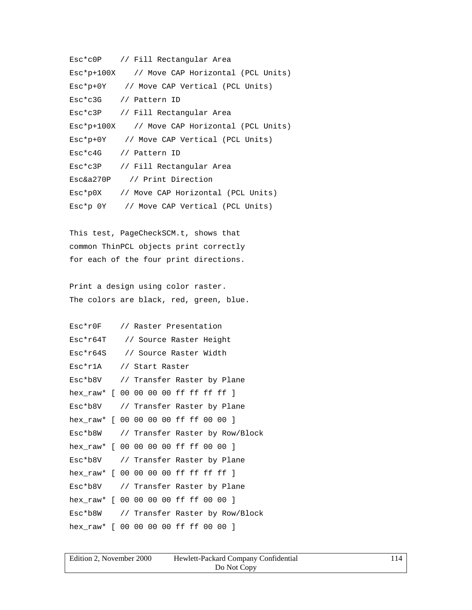```
Esc*c0P // Fill Rectangular Area
Esc*p+100X // Move CAP Horizontal (PCL Units)
Esc*p+0Y // Move CAP Vertical (PCL Units)
Esc*c3G // Pattern ID
Esc*c3P // Fill Rectangular Area
Esc*p+100X // Move CAP Horizontal (PCL Units)
Esc*p+0Y // Move CAP Vertical (PCL Units)
Esc*c4G // Pattern ID
Esc*c3P // Fill Rectangular Area
Esc&a270P // Print Direction
Esc*p0X // Move CAP Horizontal (PCL Units)
Esc*p 0Y // Move CAP Vertical (PCL Units)
```
This test, PageCheckSCM.t, shows that common ThinPCL objects print correctly for each of the four print directions.

Print a design using color raster. The colors are black, red, green, blue.

| $Esc*r0F$                               |  |  | // Raster Presentation |  |                         |                             |  |
|-----------------------------------------|--|--|------------------------|--|-------------------------|-----------------------------|--|
| Esc*r64T                                |  |  |                        |  | // Source Raster Height |                             |  |
| Esc*r64S // Source Raster Width         |  |  |                        |  |                         |                             |  |
| $Esc*r1A$                               |  |  | // Start Raster        |  |                         |                             |  |
| Esc*b8V                                 |  |  |                        |  |                         | // Transfer Raster by Plane |  |
| hex_raw* [ 00 00 00 00 ff ff ff ff ]    |  |  |                        |  |                         |                             |  |
| Esc*b8V // Transfer Raster by Plane     |  |  |                        |  |                         |                             |  |
| hex_raw* [ 00 00 00 00 ff ff 00 00 ]    |  |  |                        |  |                         |                             |  |
| Esc*b8W // Transfer Raster by Row/Block |  |  |                        |  |                         |                             |  |
| hex raw* [ 00 00 00 00 ff ff 00 00 ]    |  |  |                        |  |                         |                             |  |
| Esc*b8V // Transfer Raster by Plane     |  |  |                        |  |                         |                             |  |
| hex_raw* [ 00 00 00 00 ff ff ff ff ]    |  |  |                        |  |                         |                             |  |
| Esc*b8V // Transfer Raster by Plane     |  |  |                        |  |                         |                             |  |
| hex_raw* [ 00 00 00 00 ff ff 00 00 ]    |  |  |                        |  |                         |                             |  |
| Esc*b8W // Transfer Raster by Row/Block |  |  |                        |  |                         |                             |  |
| hex_raw* [ 00 00 00 00 ff ff 00 00 ]    |  |  |                        |  |                         |                             |  |

| Edition 2. November 2000 | Hewlett-Packard Company Confidential |  |
|--------------------------|--------------------------------------|--|
|                          | Do Not Copy                          |  |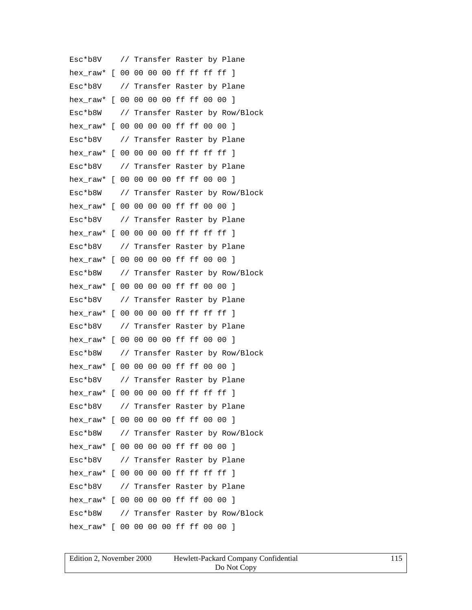Esc\*b8V // Transfer Raster by Plane hex\_raw\* [ 00 00 00 00 ff ff ff ff ] Esc\*b8V // Transfer Raster by Plane hex\_raw\* [ 00 00 00 00 ff ff 00 00 ] Esc\*b8W // Transfer Raster by Row/Block hex\_raw\* [ 00 00 00 00 ff ff 00 00 ] Esc\*b8V // Transfer Raster by Plane hex raw\* [ 00 00 00 00 ff ff ff ff ] Esc\*b8V // Transfer Raster by Plane hex\_raw\* [ 00 00 00 00 ff ff 00 00 ] Esc\*b8W // Transfer Raster by Row/Block hex\_raw\* [ 00 00 00 00 ff ff 00 00 ] Esc\*b8V // Transfer Raster by Plane hex raw\* [ 00 00 00 00 ff ff ff ff ] Esc\*b8V // Transfer Raster by Plane hex\_raw\* [ 00 00 00 00 ff ff 00 00 ] Esc\*b8W // Transfer Raster by Row/Block hex\_raw\* [ 00 00 00 00 ff ff 00 00 ] Esc\*b8V // Transfer Raster by Plane hex raw\* [ 00 00 00 00 ff ff ff ff ] Esc\*b8V // Transfer Raster by Plane hex\_raw\* [ 00 00 00 00 ff ff 00 00 ] Esc\*b8W // Transfer Raster by Row/Block hex\_raw\* [ 00 00 00 00 ff ff 00 00 ] Esc\*b8V // Transfer Raster by Plane hex raw\* [ 00 00 00 00 ff ff ff ff ] Esc\*b8V // Transfer Raster by Plane hex\_raw\* [ 00 00 00 00 ff ff 00 00 ] Esc\*b8W // Transfer Raster by Row/Block hex raw\* [ 00 00 00 00 ff ff 00 00 ] Esc\*b8V // Transfer Raster by Plane hex\_raw\* [ 00 00 00 00 ff ff ff ff ] Esc\*b8V // Transfer Raster by Plane hex\_raw\* [ 00 00 00 00 ff ff 00 00 ] Esc\*b8W // Transfer Raster by Row/Block hex\_raw\* [ 00 00 00 00 ff ff 00 00 ]

| Edition 2, November 2000 | Hewlett-Packard Company Confidential | 115 |
|--------------------------|--------------------------------------|-----|
|                          | Do Not Copy                          |     |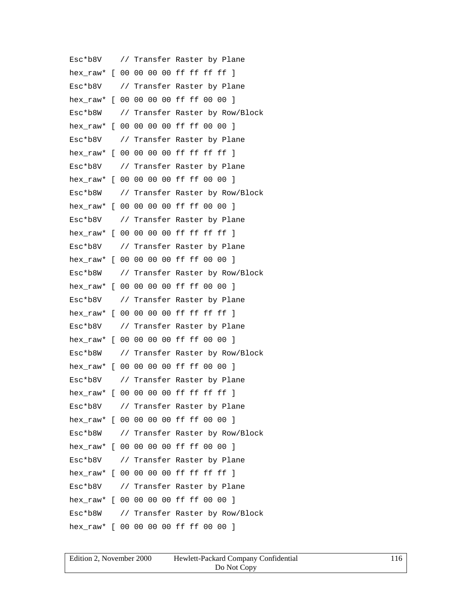Esc\*b8V // Transfer Raster by Plane hex\_raw\* [ 00 00 00 00 ff ff ff ff ] Esc\*b8V // Transfer Raster by Plane hex\_raw\* [ 00 00 00 00 ff ff 00 00 ] Esc\*b8W // Transfer Raster by Row/Block hex\_raw\* [ 00 00 00 00 ff ff 00 00 ] Esc\*b8V // Transfer Raster by Plane hex raw\* [ 00 00 00 00 ff ff ff ff ] Esc\*b8V // Transfer Raster by Plane hex\_raw\* [ 00 00 00 00 ff ff 00 00 ] Esc\*b8W // Transfer Raster by Row/Block hex\_raw\* [ 00 00 00 00 ff ff 00 00 ] Esc\*b8V // Transfer Raster by Plane hex raw\* [ 00 00 00 00 ff ff ff ff ] Esc\*b8V // Transfer Raster by Plane hex\_raw\* [ 00 00 00 00 ff ff 00 00 ] Esc\*b8W // Transfer Raster by Row/Block hex\_raw\* [ 00 00 00 00 ff ff 00 00 ] Esc\*b8V // Transfer Raster by Plane hex raw\* [ 00 00 00 00 ff ff ff ff ] Esc\*b8V // Transfer Raster by Plane hex\_raw\* [ 00 00 00 00 ff ff 00 00 ] Esc\*b8W // Transfer Raster by Row/Block hex\_raw\* [ 00 00 00 00 ff ff 00 00 ] Esc\*b8V // Transfer Raster by Plane hex raw\* [ 00 00 00 00 ff ff ff ff ] Esc\*b8V // Transfer Raster by Plane hex\_raw\* [ 00 00 00 00 ff ff 00 00 ] Esc\*b8W // Transfer Raster by Row/Block hex raw\* [ 00 00 00 00 ff ff 00 00 ] Esc\*b8V // Transfer Raster by Plane hex\_raw\* [ 00 00 00 00 ff ff ff ff ] Esc\*b8V // Transfer Raster by Plane hex\_raw\* [ 00 00 00 00 ff ff 00 00 ] Esc\*b8W // Transfer Raster by Row/Block hex\_raw\* [ 00 00 00 00 ff ff 00 00 ]

| Edition 2, November 2000 | Hewlett-Packard Company Confidential | 116 |
|--------------------------|--------------------------------------|-----|
|                          | Do Not Copy                          |     |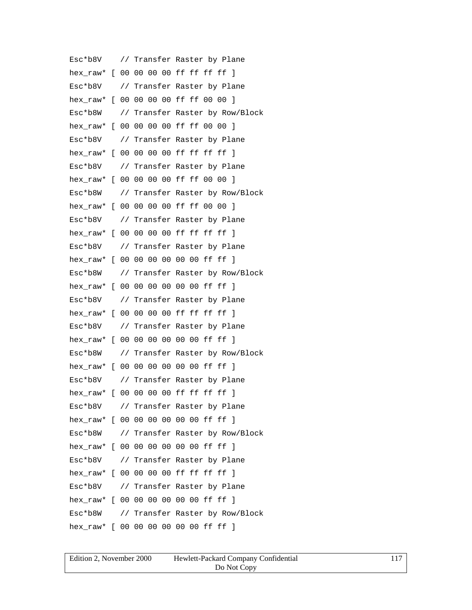Esc\*b8V // Transfer Raster by Plane hex\_raw\* [ 00 00 00 00 ff ff ff ff ] Esc\*b8V // Transfer Raster by Plane hex\_raw\* [ 00 00 00 00 ff ff 00 00 ] Esc\*b8W // Transfer Raster by Row/Block hex\_raw\* [ 00 00 00 00 ff ff 00 00 ] Esc\*b8V // Transfer Raster by Plane hex raw\* [ 00 00 00 00 ff ff ff ff ] Esc\*b8V // Transfer Raster by Plane hex\_raw\* [ 00 00 00 00 ff ff 00 00 ] Esc\*b8W // Transfer Raster by Row/Block hex\_raw\* [ 00 00 00 00 ff ff 00 00 ] Esc\*b8V // Transfer Raster by Plane hex\_raw\* [ 00 00 00 00 ff ff ff ff ] Esc\*b8V // Transfer Raster by Plane hex raw\* [ 00 00 00 00 00 00 ff ff ] Esc\*b8W // Transfer Raster by Row/Block hex raw\* [ 00 00 00 00 00 00 ff ff ] Esc\*b8V // Transfer Raster by Plane hex raw\* [ 00 00 00 00 ff ff ff ff ] Esc\*b8V // Transfer Raster by Plane hex\_raw\* [ 00 00 00 00 00 00 ff ff ] Esc\*b8W // Transfer Raster by Row/Block hex raw\* [ 00 00 00 00 00 00 ff ff ] Esc\*b8V // Transfer Raster by Plane hex raw\* [ 00 00 00 00 ff ff ff ff ] Esc\*b8V // Transfer Raster by Plane hex\_raw\* [ 00 00 00 00 00 00 ff ff ] Esc\*b8W // Transfer Raster by Row/Block hex raw\* [ 00 00 00 00 00 00 ff ff ] Esc\*b8V // Transfer Raster by Plane hex\_raw\* [ 00 00 00 00 ff ff ff ff ] Esc\*b8V // Transfer Raster by Plane hex raw\* [ 00 00 00 00 00 00 ff ff ] Esc\*b8W // Transfer Raster by Row/Block hex raw\* [ 00 00 00 00 00 00 ff ff ]

| Edition 2, November 2000 | Hewlett-Packard Company Confidential | 117 |
|--------------------------|--------------------------------------|-----|
|                          | Do Not Copy                          |     |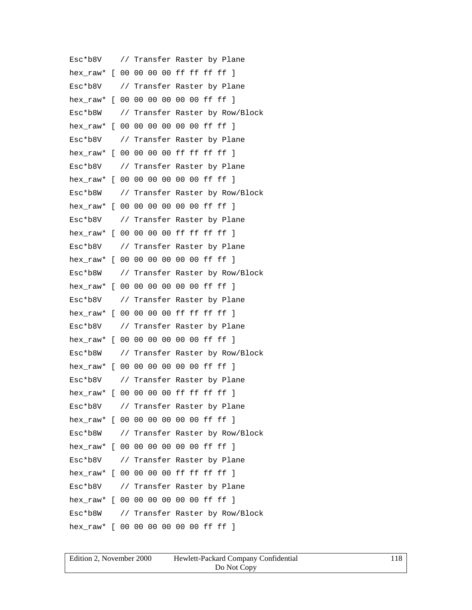Esc\*b8V // Transfer Raster by Plane hex\_raw\* [ 00 00 00 00 ff ff ff ff ] Esc\*b8V // Transfer Raster by Plane hex raw\* [ 00 00 00 00 00 00 ff ff ] Esc\*b8W // Transfer Raster by Row/Block hex raw\* [ 00 00 00 00 00 00 ff ff ] Esc\*b8V // Transfer Raster by Plane hex raw\* [ 00 00 00 00 ff ff ff ff ] Esc\*b8V // Transfer Raster by Plane hex raw\* [ 00 00 00 00 00 00 ff ff ] Esc\*b8W // Transfer Raster by Row/Block hex\_raw\* [ 00 00 00 00 00 00 ff ff ] Esc\*b8V // Transfer Raster by Plane hex\_raw\* [ 00 00 00 00 ff ff ff ff ] Esc\*b8V // Transfer Raster by Plane hex raw\* [ 00 00 00 00 00 00 ff ff ] Esc\*b8W // Transfer Raster by Row/Block hex raw\* [ 00 00 00 00 00 00 ff ff ] Esc\*b8V // Transfer Raster by Plane hex raw\* [ 00 00 00 00 ff ff ff ff ] Esc\*b8V // Transfer Raster by Plane hex\_raw\* [ 00 00 00 00 00 00 ff ff ] Esc\*b8W // Transfer Raster by Row/Block hex raw\* [ 00 00 00 00 00 00 ff ff ] Esc\*b8V // Transfer Raster by Plane hex\_raw\* [ 00 00 00 00 ff ff ff ff ] Esc\*b8V // Transfer Raster by Plane hex\_raw\* [ 00 00 00 00 00 00 ff ff ] Esc\*b8W // Transfer Raster by Row/Block hex raw\* [ 00 00 00 00 00 00 ff ff ] Esc\*b8V // Transfer Raster by Plane hex\_raw\* [ 00 00 00 00 ff ff ff ff ] Esc\*b8V // Transfer Raster by Plane hex raw\* [ 00 00 00 00 00 00 ff ff ] Esc\*b8W // Transfer Raster by Row/Block hex raw\* [ 00 00 00 00 00 00 ff ff ]

| Edition 2, November 2000 | Hewlett-Packard Company Confidential | 118 |
|--------------------------|--------------------------------------|-----|
|                          | Do Not Copy                          |     |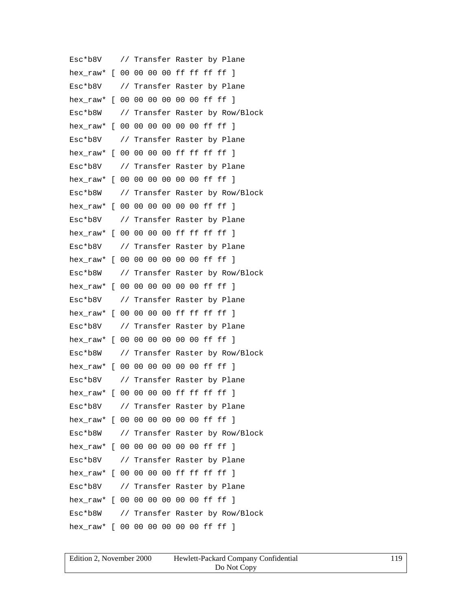Esc\*b8V // Transfer Raster by Plane hex\_raw\* [ 00 00 00 00 ff ff ff ff ] Esc\*b8V // Transfer Raster by Plane hex raw\* [ 00 00 00 00 00 00 ff ff ] Esc\*b8W // Transfer Raster by Row/Block hex raw\* [ 00 00 00 00 00 00 ff ff ] Esc\*b8V // Transfer Raster by Plane hex raw\* [ 00 00 00 00 ff ff ff ff ] Esc\*b8V // Transfer Raster by Plane hex raw\* [ 00 00 00 00 00 00 ff ff ] Esc\*b8W // Transfer Raster by Row/Block hex\_raw\* [ 00 00 00 00 00 00 ff ff ] Esc\*b8V // Transfer Raster by Plane hex\_raw\* [ 00 00 00 00 ff ff ff ff ] Esc\*b8V // Transfer Raster by Plane hex raw\* [ 00 00 00 00 00 00 ff ff ] Esc\*b8W // Transfer Raster by Row/Block hex raw\* [ 00 00 00 00 00 00 ff ff ] Esc\*b8V // Transfer Raster by Plane hex raw\* [ 00 00 00 00 ff ff ff ff ] Esc\*b8V // Transfer Raster by Plane hex\_raw\* [ 00 00 00 00 00 00 ff ff ] Esc\*b8W // Transfer Raster by Row/Block hex raw\* [ 00 00 00 00 00 00 ff ff ] Esc\*b8V // Transfer Raster by Plane hex\_raw\* [ 00 00 00 00 ff ff ff ff ] Esc\*b8V // Transfer Raster by Plane hex\_raw\* [ 00 00 00 00 00 00 ff ff ] Esc\*b8W // Transfer Raster by Row/Block hex raw\* [ 00 00 00 00 00 00 ff ff ] Esc\*b8V // Transfer Raster by Plane hex\_raw\* [ 00 00 00 00 ff ff ff ff ] Esc\*b8V // Transfer Raster by Plane hex raw\* [ 00 00 00 00 00 00 ff ff ] Esc\*b8W // Transfer Raster by Row/Block hex raw\* [ 00 00 00 00 00 00 ff ff ]

| Edition 2, November 2000 | Hewlett-Packard Company Confidential | 119 |
|--------------------------|--------------------------------------|-----|
|                          | Do Not Copy                          |     |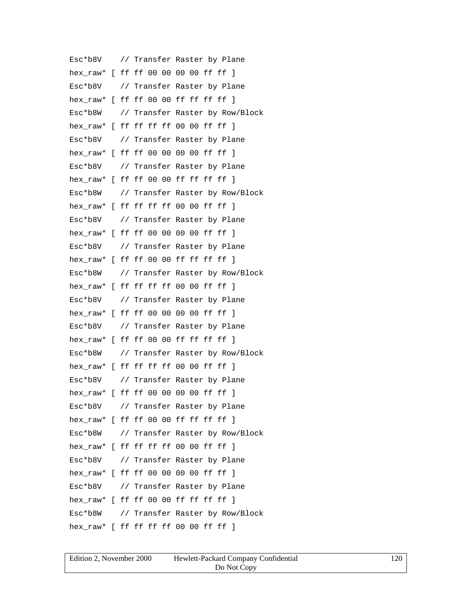Esc\*b8V // Transfer Raster by Plane hex\_raw\* [ ff ff 00 00 00 00 ff ff ] Esc\*b8V // Transfer Raster by Plane hex raw\* [ ff ff 00 00 ff ff ff ff ] Esc\*b8W // Transfer Raster by Row/Block hex\_raw\* [ ff ff ff ff 00 00 ff ff ] Esc\*b8V // Transfer Raster by Plane hex\_raw\* [ ff ff 00 00 00 00 ff ff ] Esc\*b8V // Transfer Raster by Plane hex raw\*  $[$  ff ff 00 00 ff ff ff ff  $]$ Esc\*b8W // Transfer Raster by Row/Block hex\_raw\* [ ff ff ff ff 00 00 ff ff ] Esc\*b8V // Transfer Raster by Plane hex\_raw\* [ ff ff 00 00 00 00 ff ff ] Esc\*b8V // Transfer Raster by Plane hex raw\* [ ff ff 00 00 ff ff ff ff ] Esc\*b8W // Transfer Raster by Row/Block hex raw\* [ ff ff ff ff 00 00 ff ff ] Esc\*b8V // Transfer Raster by Plane hex raw\* [ ff ff 00 00 00 00 ff ff ] Esc\*b8V // Transfer Raster by Plane hex\_raw\* [ ff ff 00 00 ff ff ff ff ] Esc\*b8W // Transfer Raster by Row/Block hex raw\* [ ff ff ff ff 00 00 ff ff ] Esc\*b8V // Transfer Raster by Plane hex\_raw\* [ ff ff 00 00 00 00 ff ff ] Esc\*b8V // Transfer Raster by Plane hex\_raw\* [ ff ff 00 00 ff ff ff ff ] Esc\*b8W // Transfer Raster by Row/Block hex raw\* [ ff ff ff ff 00 00 ff ff ] Esc\*b8V // Transfer Raster by Plane hex\_raw\* [ ff ff 00 00 00 00 ff ff ] Esc\*b8V // Transfer Raster by Plane hex raw\* [ ff ff 00 00 ff ff ff ff ] Esc\*b8W // Transfer Raster by Row/Block hex raw\* [ ff ff ff ff 00 00 ff ff ]

| Edition 2, November 2000 | Hewlett-Packard Company Confidential | 120 |
|--------------------------|--------------------------------------|-----|
|                          | Do Not Copy                          |     |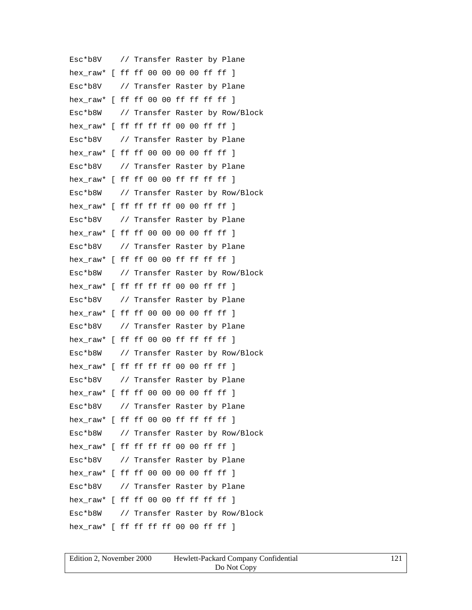Esc\*b8V // Transfer Raster by Plane hex\_raw\* [ ff ff 00 00 00 00 ff ff ] Esc\*b8V // Transfer Raster by Plane hex raw\* [ ff ff 00 00 ff ff ff ff ] Esc\*b8W // Transfer Raster by Row/Block hex\_raw\* [ ff ff ff ff 00 00 ff ff ] Esc\*b8V // Transfer Raster by Plane hex raw\* [ ff ff 00 00 00 00 ff ff ] Esc\*b8V // Transfer Raster by Plane hex raw\* [ ff ff 00 00 ff ff ff ff ] Esc\*b8W // Transfer Raster by Row/Block hex\_raw\* [ ff ff ff ff 00 00 ff ff ] Esc\*b8V // Transfer Raster by Plane hex\_raw\* [ ff ff 00 00 00 00 ff ff ] Esc\*b8V // Transfer Raster by Plane hex raw\* [ ff ff 00 00 ff ff ff ff ] Esc\*b8W // Transfer Raster by Row/Block hex raw\* [ ff ff ff ff 00 00 ff ff ] Esc\*b8V // Transfer Raster by Plane hex raw\* [ ff ff 00 00 00 00 ff ff ] Esc\*b8V // Transfer Raster by Plane hex\_raw\* [ ff ff 00 00 ff ff ff ff ] Esc\*b8W // Transfer Raster by Row/Block hex raw\* [ ff ff ff ff 00 00 ff ff ] Esc\*b8V // Transfer Raster by Plane hex\_raw\* [ ff ff 00 00 00 00 ff ff ] Esc\*b8V // Transfer Raster by Plane hex\_raw\* [ ff ff 00 00 ff ff ff ff ] Esc\*b8W // Transfer Raster by Row/Block hex raw\* [ ff ff ff ff 00 00 ff ff ] Esc\*b8V // Transfer Raster by Plane hex\_raw\* [ ff ff 00 00 00 00 ff ff ] Esc\*b8V // Transfer Raster by Plane hex raw\* [ ff ff 00 00 ff ff ff ff ] Esc\*b8W // Transfer Raster by Row/Block hex raw\* [ ff ff ff ff 00 00 ff ff ]

| Edition 2, November 2000 | Hewlett-Packard Company Confidential | 121 |
|--------------------------|--------------------------------------|-----|
|                          | Do Not Copy                          |     |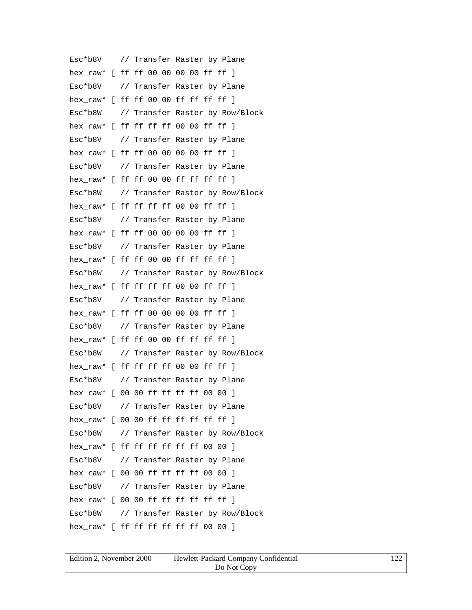Esc\*b8V // Transfer Raster by Plane hex\_raw\* [ ff ff 00 00 00 00 ff ff ] Esc\*b8V // Transfer Raster by Plane hex raw\* [ ff ff 00 00 ff ff ff ff ] Esc\*b8W // Transfer Raster by Row/Block hex\_raw\* [ ff ff ff ff 00 00 ff ff ] Esc\*b8V // Transfer Raster by Plane hex raw\* [ ff ff 00 00 00 00 ff ff ] Esc\*b8V // Transfer Raster by Plane hex raw\* [ ff ff 00 00 ff ff ff ff ] Esc\*b8W // Transfer Raster by Row/Block hex\_raw\* [ ff ff ff ff 00 00 ff ff ] Esc\*b8V // Transfer Raster by Plane hex\_raw\* [ ff ff 00 00 00 00 ff ff ] Esc\*b8V // Transfer Raster by Plane hex raw\* [ ff ff 00 00 ff ff ff ff ] Esc\*b8W // Transfer Raster by Row/Block hex raw\* [ ff ff ff ff 00 00 ff ff ] Esc\*b8V // Transfer Raster by Plane hex raw\* [ ff ff 00 00 00 00 ff ff ] Esc\*b8V // Transfer Raster by Plane hex\_raw\* [ ff ff 00 00 ff ff ff ff ] Esc\*b8W // Transfer Raster by Row/Block hex raw\* [ ff ff ff ff 00 00 ff ff ] Esc\*b8V // Transfer Raster by Plane hex\_raw\* [ 00 00 ff ff ff ff 00 00 ] Esc\*b8V // Transfer Raster by Plane hex\_raw\* [ 00 00 ff ff ff ff ff ff ] Esc\*b8W // Transfer Raster by Row/Block hex raw\* [ ff ff ff ff ff ff 00 00 ] Esc\*b8V // Transfer Raster by Plane hex\_raw\* [ 00 00 ff ff ff ff 00 00 ] Esc\*b8V // Transfer Raster by Plane hex raw\*  $[ 00 00$  ff ff ff ff ff ff  $]$ Esc\*b8W // Transfer Raster by Row/Block hex raw\* [ ff ff ff ff ff ff 00 00 ]

| Edition 2, November 2000 | Hewlett-Packard Company Confidential | 122 |
|--------------------------|--------------------------------------|-----|
|                          | Do Not Copy                          |     |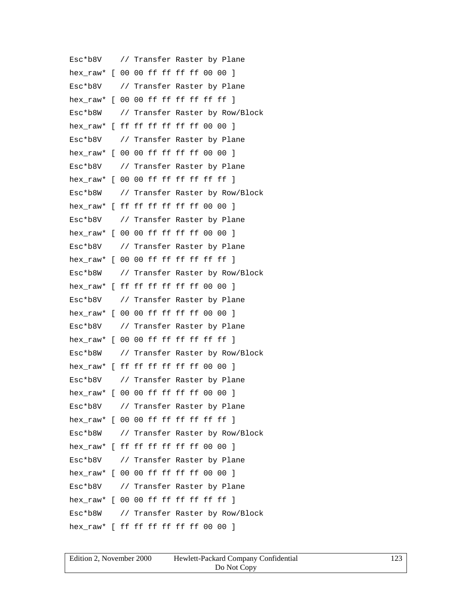Esc\*b8V // Transfer Raster by Plane hex\_raw\* [ 00 00 ff ff ff ff 00 00 ] Esc\*b8V // Transfer Raster by Plane hex  $raw*$  [ 00 00 ff ff ff ff ff ff ] Esc\*b8W // Transfer Raster by Row/Block hex raw\* [ ff ff ff ff ff ff 00 00 ] Esc\*b8V // Transfer Raster by Plane hex raw\* [ 00 00 ff ff ff ff 00 00 ] Esc\*b8V // Transfer Raster by Plane hex raw\*  $[ 00 00$  ff ff ff ff ff ff  $]$ Esc\*b8W // Transfer Raster by Row/Block hex\_raw\* [ ff ff ff ff ff ff 00 00 ] Esc\*b8V // Transfer Raster by Plane hex\_raw\* [ 00 00 ff ff ff ff 00 00 ] Esc\*b8V // Transfer Raster by Plane hex raw\*  $[ 00 00$  ff ff ff ff ff ff  $]$ Esc\*b8W // Transfer Raster by Row/Block hex raw\* [ ff ff ff ff ff ff 00 00 ] Esc\*b8V // Transfer Raster by Plane hex raw\* [ 00 00 ff ff ff ff 00 00 ] Esc\*b8V // Transfer Raster by Plane hex\_raw\* [ 00 00 ff ff ff ff ff ff ] Esc\*b8W // Transfer Raster by Row/Block hex raw\* [ ff ff ff ff ff ff 00 00 ] Esc\*b8V // Transfer Raster by Plane hex raw\* [ 00 00 ff ff ff ff 00 00 ] Esc\*b8V // Transfer Raster by Plane hex\_raw\* [ 00 00 ff ff ff ff ff ff ] Esc\*b8W // Transfer Raster by Row/Block hex raw\* [ ff ff ff ff ff ff 00 00 ] Esc\*b8V // Transfer Raster by Plane hex\_raw\* [ 00 00 ff ff ff ff 00 00 ] Esc\*b8V // Transfer Raster by Plane hex raw\*  $[ 00 00$  ff ff ff ff ff ff  $]$ Esc\*b8W // Transfer Raster by Row/Block hex raw\* [ ff ff ff ff ff ff 00 00 ]

| Edition 2, November 2000 | Hewlett-Packard Company Confidential | 123 |
|--------------------------|--------------------------------------|-----|
|                          | Do Not Copy                          |     |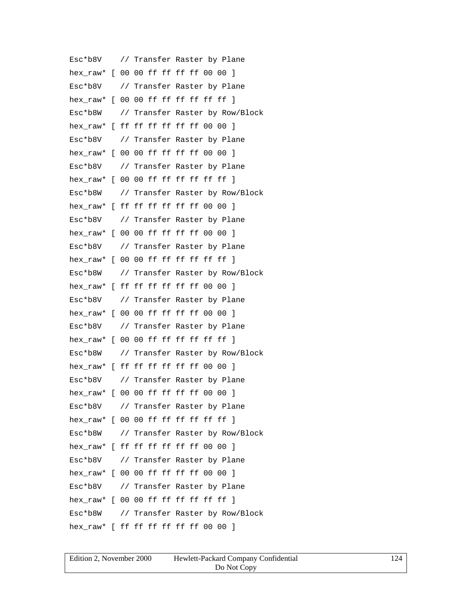Esc\*b8V // Transfer Raster by Plane hex\_raw\* [ 00 00 ff ff ff ff 00 00 ] Esc\*b8V // Transfer Raster by Plane hex  $raw*$  [ 00 00 ff ff ff ff ff ff ] Esc\*b8W // Transfer Raster by Row/Block hex raw\* [ ff ff ff ff ff ff 00 00 ] Esc\*b8V // Transfer Raster by Plane hex raw\* [ 00 00 ff ff ff ff 00 00 ] Esc\*b8V // Transfer Raster by Plane hex raw\*  $[ 00 00$  ff ff ff ff ff ff  $]$ Esc\*b8W // Transfer Raster by Row/Block hex\_raw\* [ ff ff ff ff ff ff 00 00 ] Esc\*b8V // Transfer Raster by Plane hex\_raw\* [ 00 00 ff ff ff ff 00 00 ] Esc\*b8V // Transfer Raster by Plane hex raw\*  $[ 00 00$  ff ff ff ff ff ff  $]$ Esc\*b8W // Transfer Raster by Row/Block hex raw\* [ ff ff ff ff ff ff 00 00 ] Esc\*b8V // Transfer Raster by Plane hex raw\* [ 00 00 ff ff ff ff 00 00 ] Esc\*b8V // Transfer Raster by Plane hex\_raw\* [ 00 00 ff ff ff ff ff ff ] Esc\*b8W // Transfer Raster by Row/Block hex raw\* [ ff ff ff ff ff ff 00 00 ] Esc\*b8V // Transfer Raster by Plane hex raw\* [ 00 00 ff ff ff ff 00 00 ] Esc\*b8V // Transfer Raster by Plane hex\_raw\* [ 00 00 ff ff ff ff ff ff ] Esc\*b8W // Transfer Raster by Row/Block hex raw\* [ ff ff ff ff ff ff 00 00 ] Esc\*b8V // Transfer Raster by Plane hex\_raw\* [ 00 00 ff ff ff ff 00 00 ] Esc\*b8V // Transfer Raster by Plane hex raw\* [ 00 00 ff ff ff ff ff ff ] Esc\*b8W // Transfer Raster by Row/Block hex raw\* [ ff ff ff ff ff ff 00 00 ]

| Edition 2, November 2000 | Hewlett-Packard Company Confidential | 124 |
|--------------------------|--------------------------------------|-----|
|                          | Do Not Copy                          |     |